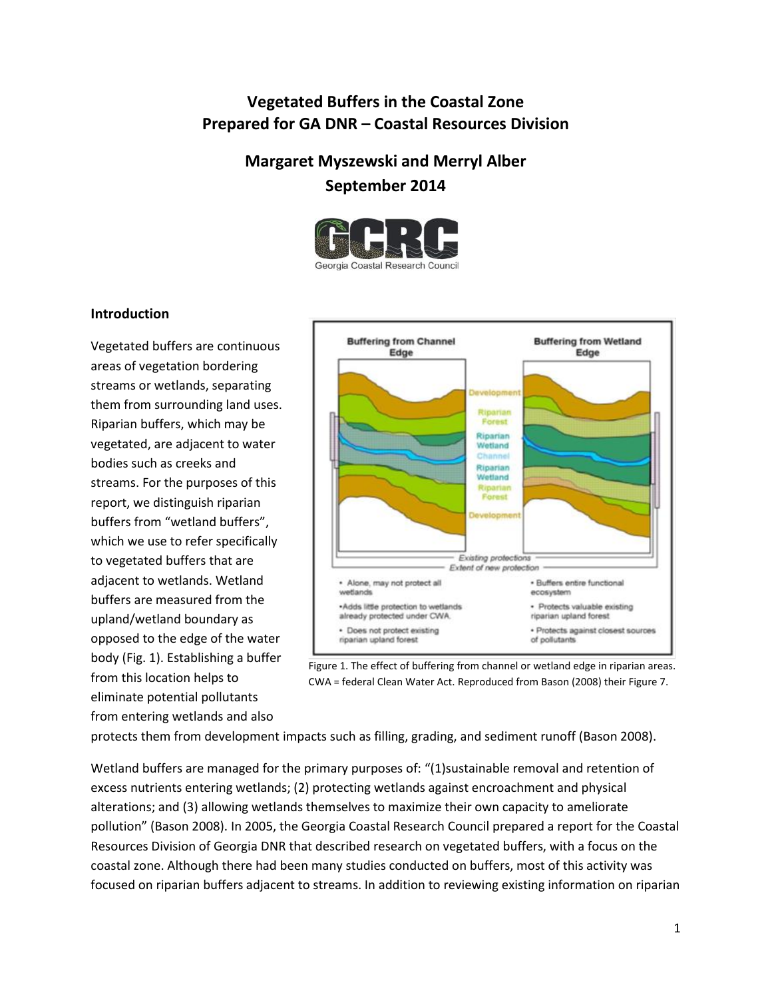## **Vegetated Buffers in the Coastal Zone Prepared for GA DNR – Coastal Resources Division**

# **Margaret Myszewski and Merryl Alber September 2014**



## **Introduction**

Vegetated buffers are continuous areas of vegetation bordering streams or wetlands, separating them from surrounding land uses. Riparian buffers, which may be vegetated, are adjacent to water bodies such as creeks and streams. For the purposes of this report, we distinguish riparian buffers from "wetland buffers", which we use to refer specifically to vegetated buffers that are adjacent to wetlands. Wetland buffers are measured from the upland/wetland boundary as opposed to the edge of the water body (Fig. 1). Establishing a buffer from this location helps to eliminate potential pollutants from entering wetlands and also



Figure 1. The effect of buffering from channel or wetland edge in riparian areas. CWA = federal Clean Water Act. Reproduced from Bason (2008) their Figure 7.

protects them from development impacts such as filling, grading, and sediment runoff (Bason 2008).

Wetland buffers are managed for the primary purposes of: "(1)sustainable removal and retention of excess nutrients entering wetlands; (2) protecting wetlands against encroachment and physical alterations; and (3) allowing wetlands themselves to maximize their own capacity to ameliorate pollution" (Bason 2008). In 2005, the Georgia Coastal Research Council prepared a report for the Coastal Resources Division of Georgia DNR that described research on vegetated buffers, with a focus on the coastal zone. Although there had been many studies conducted on buffers, most of this activity was focused on riparian buffers adjacent to streams. In addition to reviewing existing information on riparian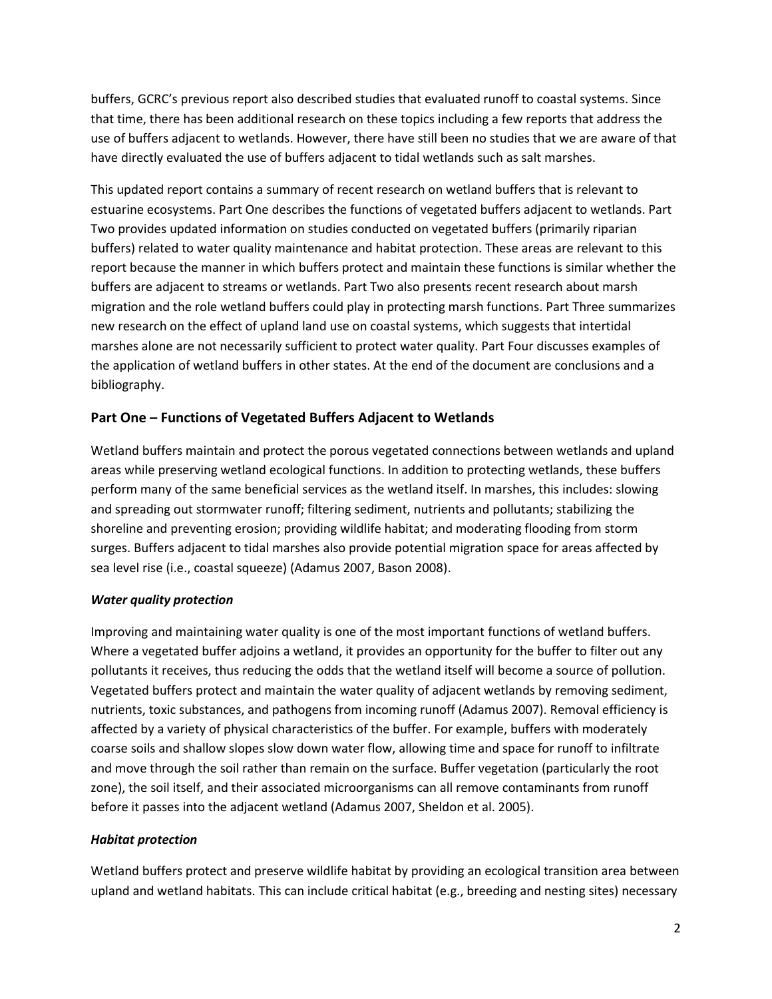buffers, GCRC's previous report also described studies that evaluated runoff to coastal systems. Since that time, there has been additional research on these topics including a few reports that address the use of buffers adjacent to wetlands. However, there have still been no studies that we are aware of that have directly evaluated the use of buffers adjacent to tidal wetlands such as salt marshes.

This updated report contains a summary of recent research on wetland buffers that is relevant to estuarine ecosystems. Part One describes the functions of vegetated buffers adjacent to wetlands. Part Two provides updated information on studies conducted on vegetated buffers (primarily riparian buffers) related to water quality maintenance and habitat protection. These areas are relevant to this report because the manner in which buffers protect and maintain these functions is similar whether the buffers are adjacent to streams or wetlands. Part Two also presents recent research about marsh migration and the role wetland buffers could play in protecting marsh functions. Part Three summarizes new research on the effect of upland land use on coastal systems, which suggests that intertidal marshes alone are not necessarily sufficient to protect water quality. Part Four discusses examples of the application of wetland buffers in other states. At the end of the document are conclusions and a bibliography.

## **Part One – Functions of Vegetated Buffers Adjacent to Wetlands**

Wetland buffers maintain and protect the porous vegetated connections between wetlands and upland areas while preserving wetland ecological functions. In addition to protecting wetlands, these buffers perform many of the same beneficial services as the wetland itself. In marshes, this includes: slowing and spreading out stormwater runoff; filtering sediment, nutrients and pollutants; stabilizing the shoreline and preventing erosion; providing wildlife habitat; and moderating flooding from storm surges. Buffers adjacent to tidal marshes also provide potential migration space for areas affected by sea level rise (i.e., coastal squeeze) (Adamus 2007, Bason 2008).

### *Water quality protection*

Improving and maintaining water quality is one of the most important functions of wetland buffers. Where a vegetated buffer adjoins a wetland, it provides an opportunity for the buffer to filter out any pollutants it receives, thus reducing the odds that the wetland itself will become a source of pollution. Vegetated buffers protect and maintain the water quality of adjacent wetlands by removing sediment, nutrients, toxic substances, and pathogens from incoming runoff (Adamus 2007). Removal efficiency is affected by a variety of physical characteristics of the buffer. For example, buffers with moderately coarse soils and shallow slopes slow down water flow, allowing time and space for runoff to infiltrate and move through the soil rather than remain on the surface. Buffer vegetation (particularly the root zone), the soil itself, and their associated microorganisms can all remove contaminants from runoff before it passes into the adjacent wetland (Adamus 2007, Sheldon et al. 2005).

### *Habitat protection*

Wetland buffers protect and preserve wildlife habitat by providing an ecological transition area between upland and wetland habitats. This can include critical habitat (e.g., breeding and nesting sites) necessary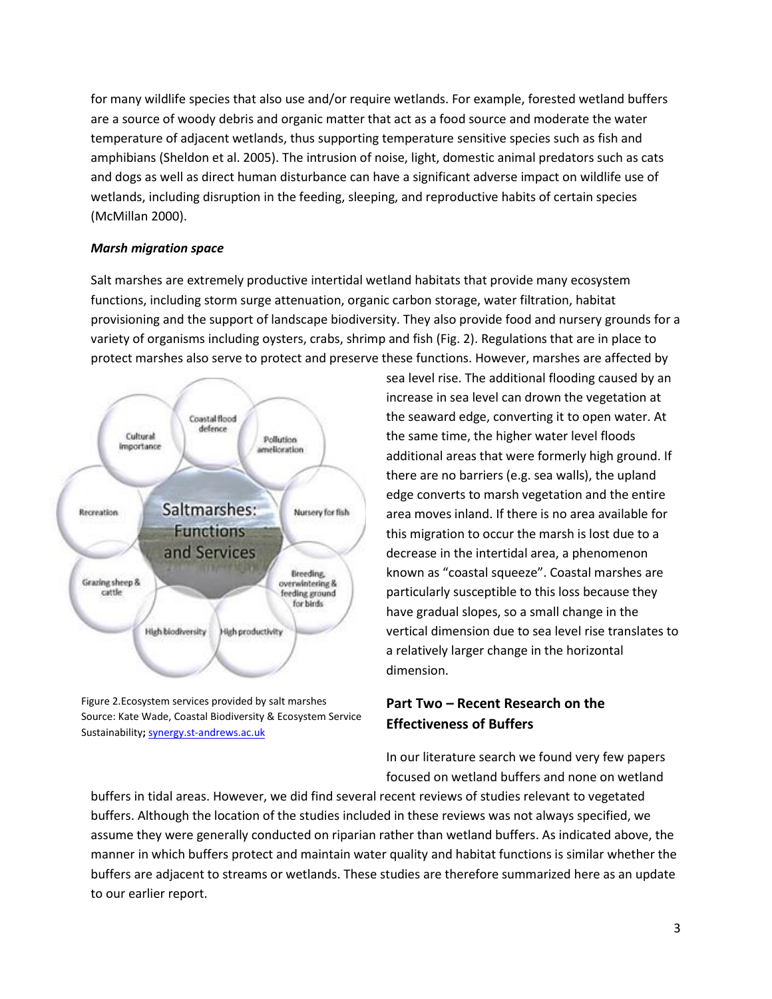for many wildlife species that also use and/or require wetlands. For example, forested wetland buffers are a source of woody debris and organic matter that act as a food source and moderate the water temperature of adjacent wetlands, thus supporting temperature sensitive species such as fish and amphibians (Sheldon et al. 2005). The intrusion of noise, light, domestic animal predators such as cats and dogs as well as direct human disturbance can have a significant adverse impact on wildlife use of wetlands, including disruption in the feeding, sleeping, and reproductive habits of certain species (McMillan 2000).

#### *Marsh migration space*

Salt marshes are extremely productive intertidal wetland habitats that provide many ecosystem functions, including storm surge attenuation, organic carbon storage, water filtration, habitat provisioning and the support of landscape biodiversity. They also provide food and nursery grounds for a variety of organisms including oysters, crabs, shrimp and fish (Fig. 2). Regulations that are in place to protect marshes also serve to protect and preserve these functions. However, marshes are affected by



Figure 2.Ecosystem services provided by salt marshes Source: Kate Wade, Coastal Biodiversity & Ecosystem Service Sustainability**;** [synergy.st-andrews.ac.uk](http://www.google.com/url?sa=i&rct=j&q=&esrc=s&source=images&cd=&cad=rja&uact=8&docid=nKsPlWFrE4_g2M&tbnid=-nOgRmRoQ7584M:&ved=0CAQQjB0&url=http%3A%2F%2Fsynergy.st-andrews.ac.uk%2Fcbess%2Fmanagment%2Fphd-students%2Fkate-wade%2F&ei=iOcNVILQC9W_ggTvzoKwAQ&psig=AFQjCNF6N5mWEY9LLXADWFgVZr0-bN48uw&ust=1410283701115494)

sea level rise. The additional flooding caused by an increase in sea level can drown the vegetation at the seaward edge, converting it to open water. At the same time, the higher water level floods additional areas that were formerly high ground. If there are no barriers (e.g. sea walls), the upland edge converts to marsh vegetation and the entire area moves inland. If there is no area available for this migration to occur the marsh is lost due to a decrease in the intertidal area, a phenomenon known as "coastal squeeze". Coastal marshes are particularly susceptible to this loss because they have gradual slopes, so a small change in the vertical dimension due to sea level rise translates to a relatively larger change in the horizontal dimension.

## **Part Two – Recent Research on the Effectiveness of Buffers**

In our literature search we found very few papers focused on wetland buffers and none on wetland

buffers in tidal areas. However, we did find several recent reviews of studies relevant to vegetated buffers. Although the location of the studies included in these reviews was not always specified, we assume they were generally conducted on riparian rather than wetland buffers. As indicated above, the manner in which buffers protect and maintain water quality and habitat functions is similar whether the buffers are adjacent to streams or wetlands. These studies are therefore summarized here as an update to our earlier report.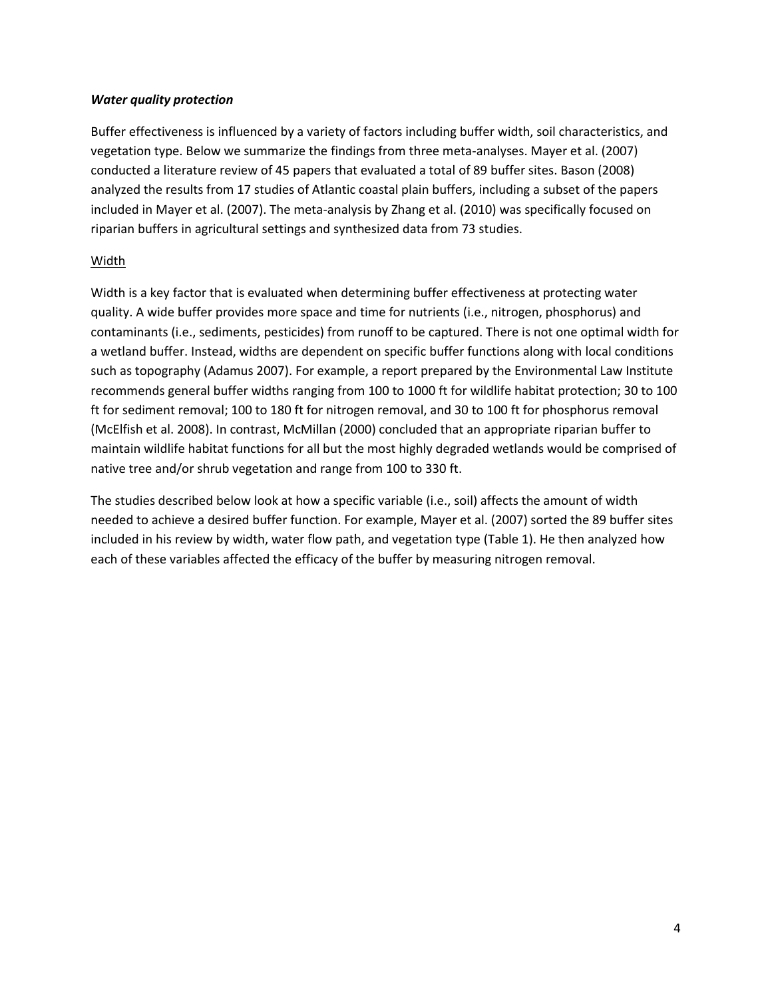### *Water quality protection*

Buffer effectiveness is influenced by a variety of factors including buffer width, soil characteristics, and vegetation type. Below we summarize the findings from three meta-analyses. Mayer et al. (2007) conducted a literature review of 45 papers that evaluated a total of 89 buffer sites. Bason (2008) analyzed the results from 17 studies of Atlantic coastal plain buffers, including a subset of the papers included in Mayer et al. (2007). The meta-analysis by Zhang et al. (2010) was specifically focused on riparian buffers in agricultural settings and synthesized data from 73 studies.

### Width

Width is a key factor that is evaluated when determining buffer effectiveness at protecting water quality. A wide buffer provides more space and time for nutrients (i.e., nitrogen, phosphorus) and contaminants (i.e., sediments, pesticides) from runoff to be captured. There is not one optimal width for a wetland buffer. Instead, widths are dependent on specific buffer functions along with local conditions such as topography (Adamus 2007). For example, a report prepared by the Environmental Law Institute recommends general buffer widths ranging from 100 to 1000 ft for wildlife habitat protection; 30 to 100 ft for sediment removal; 100 to 180 ft for nitrogen removal, and 30 to 100 ft for phosphorus removal (McElfish et al. 2008). In contrast, McMillan (2000) concluded that an appropriate riparian buffer to maintain wildlife habitat functions for all but the most highly degraded wetlands would be comprised of native tree and/or shrub vegetation and range from 100 to 330 ft.

The studies described below look at how a specific variable (i.e., soil) affects the amount of width needed to achieve a desired buffer function. For example, Mayer et al. (2007) sorted the 89 buffer sites included in his review by width, water flow path, and vegetation type (Table 1). He then analyzed how each of these variables affected the efficacy of the buffer by measuring nitrogen removal.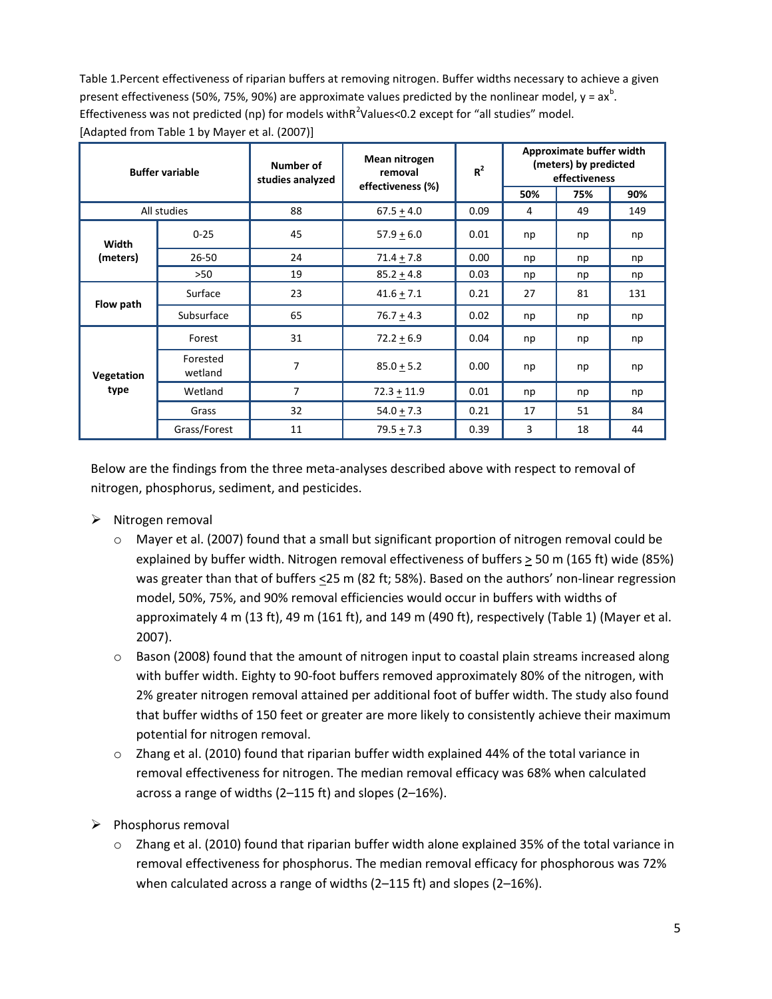Table 1.Percent effectiveness of riparian buffers at removing nitrogen. Buffer widths necessary to achieve a given present effectiveness (50%, 75%, 90%) are approximate values predicted by the nonlinear model, y = ax<sup>b</sup>. Effectiveness was not predicted (np) for models withR<sup>2</sup>Values<0.2 except for "all studies" model. [Adapted from Table 1 by Mayer et al. (2007)]

| <b>Buffer variable</b> |                     | Number of<br>studies analyzed | Mean nitrogen<br>removal<br>effectiveness (%) | $R^2$ |     | Approximate buffer width<br>(meters) by predicted<br>effectiveness |     |
|------------------------|---------------------|-------------------------------|-----------------------------------------------|-------|-----|--------------------------------------------------------------------|-----|
|                        |                     |                               |                                               |       | 50% | 75%                                                                | 90% |
|                        | All studies         | 88                            | $67.5 + 4.0$                                  | 0.09  | 4   | 49                                                                 | 149 |
| Width                  | $0 - 25$            | 45                            | $57.9 + 6.0$                                  | 0.01  | np  | np                                                                 | np  |
| (meters)               | 26-50               | 24                            | $71.4 + 7.8$                                  | 0.00  | np  | np                                                                 | np  |
|                        | >50                 | 19                            | $85.2 + 4.8$                                  | 0.03  | np  | np                                                                 | np  |
| Flow path              | Surface             | 23                            | $41.6 + 7.1$                                  | 0.21  | 27  | 81                                                                 | 131 |
|                        | Subsurface          | 65                            | $76.7 + 4.3$                                  | 0.02  | np  | np                                                                 | np  |
|                        | Forest              | 31                            | $72.2 + 6.9$                                  | 0.04  | np  | np                                                                 | np  |
| Vegetation             | Forested<br>wetland | 7                             | $85.0 + 5.2$                                  | 0.00  | np  | np                                                                 | np  |
| type                   | Wetland             | 7                             | $72.3 + 11.9$                                 | 0.01  | np  | np                                                                 | np  |
|                        | Grass               | 32                            | $54.0 + 7.3$                                  | 0.21  | 17  | 51                                                                 | 84  |
|                        | Grass/Forest        | 11                            | $79.5 + 7.3$                                  | 0.39  | 3   | 18                                                                 | 44  |

Below are the findings from the three meta-analyses described above with respect to removal of nitrogen, phosphorus, sediment, and pesticides.

- $\triangleright$  Nitrogen removal
	- o Mayer et al. (2007) found that a small but significant proportion of nitrogen removal could be explained by buffer width. Nitrogen removal effectiveness of buffers > 50 m (165 ft) wide (85%) was greater than that of buffers <25 m (82 ft; 58%). Based on the authors' non-linear regression model, 50%, 75%, and 90% removal efficiencies would occur in buffers with widths of approximately 4 m (13 ft), 49 m (161 ft), and 149 m (490 ft), respectively (Table 1) (Mayer et al. 2007).
	- $\circ$  Bason (2008) found that the amount of nitrogen input to coastal plain streams increased along with buffer width. Eighty to 90-foot buffers removed approximately 80% of the nitrogen, with 2% greater nitrogen removal attained per additional foot of buffer width. The study also found that buffer widths of 150 feet or greater are more likely to consistently achieve their maximum potential for nitrogen removal.
	- o Zhang et al. (2010) found that riparian buffer width explained 44% of the total variance in removal effectiveness for nitrogen. The median removal efficacy was 68% when calculated across a range of widths (2–115 ft) and slopes (2–16%).
- $\triangleright$  Phosphorus removal
	- $\circ$  Zhang et al. (2010) found that riparian buffer width alone explained 35% of the total variance in removal effectiveness for phosphorus. The median removal efficacy for phosphorous was 72% when calculated across a range of widths (2–115 ft) and slopes (2–16%).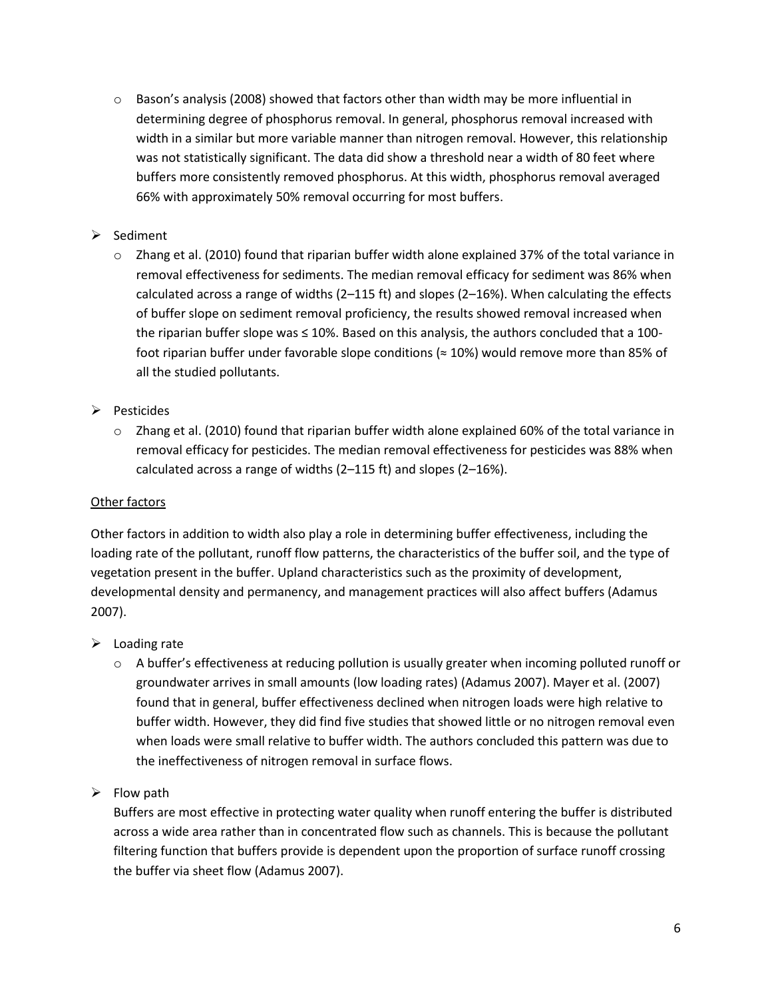- $\circ$  Bason's analysis (2008) showed that factors other than width may be more influential in determining degree of phosphorus removal. In general, phosphorus removal increased with width in a similar but more variable manner than nitrogen removal. However, this relationship was not statistically significant. The data did show a threshold near a width of 80 feet where buffers more consistently removed phosphorus. At this width, phosphorus removal averaged 66% with approximately 50% removal occurring for most buffers.
- $\triangleright$  Sediment
	- $\circ$  Zhang et al. (2010) found that riparian buffer width alone explained 37% of the total variance in removal effectiveness for sediments. The median removal efficacy for sediment was 86% when calculated across a range of widths (2–115 ft) and slopes (2–16%). When calculating the effects of buffer slope on sediment removal proficiency, the results showed removal increased when the riparian buffer slope was ≤ 10%. Based on this analysis, the authors concluded that a 100 foot riparian buffer under favorable slope conditions ( $\approx$  10%) would remove more than 85% of all the studied pollutants.
- $\triangleright$  Pesticides
	- o Zhang et al. (2010) found that riparian buffer width alone explained 60% of the total variance in removal efficacy for pesticides. The median removal effectiveness for pesticides was 88% when calculated across a range of widths (2–115 ft) and slopes (2–16%).

#### Other factors

Other factors in addition to width also play a role in determining buffer effectiveness, including the loading rate of the pollutant, runoff flow patterns, the characteristics of the buffer soil, and the type of vegetation present in the buffer. Upland characteristics such as the proximity of development, developmental density and permanency, and management practices will also affect buffers (Adamus 2007).

- $\triangleright$  Loading rate
	- o A buffer's effectiveness at reducing pollution is usually greater when incoming polluted runoff or groundwater arrives in small amounts (low loading rates) (Adamus 2007). Mayer et al. (2007) found that in general, buffer effectiveness declined when nitrogen loads were high relative to buffer width. However, they did find five studies that showed little or no nitrogen removal even when loads were small relative to buffer width. The authors concluded this pattern was due to the ineffectiveness of nitrogen removal in surface flows.
- $\triangleright$  Flow path

Buffers are most effective in protecting water quality when runoff entering the buffer is distributed across a wide area rather than in concentrated flow such as channels. This is because the pollutant filtering function that buffers provide is dependent upon the proportion of surface runoff crossing the buffer via sheet flow (Adamus 2007).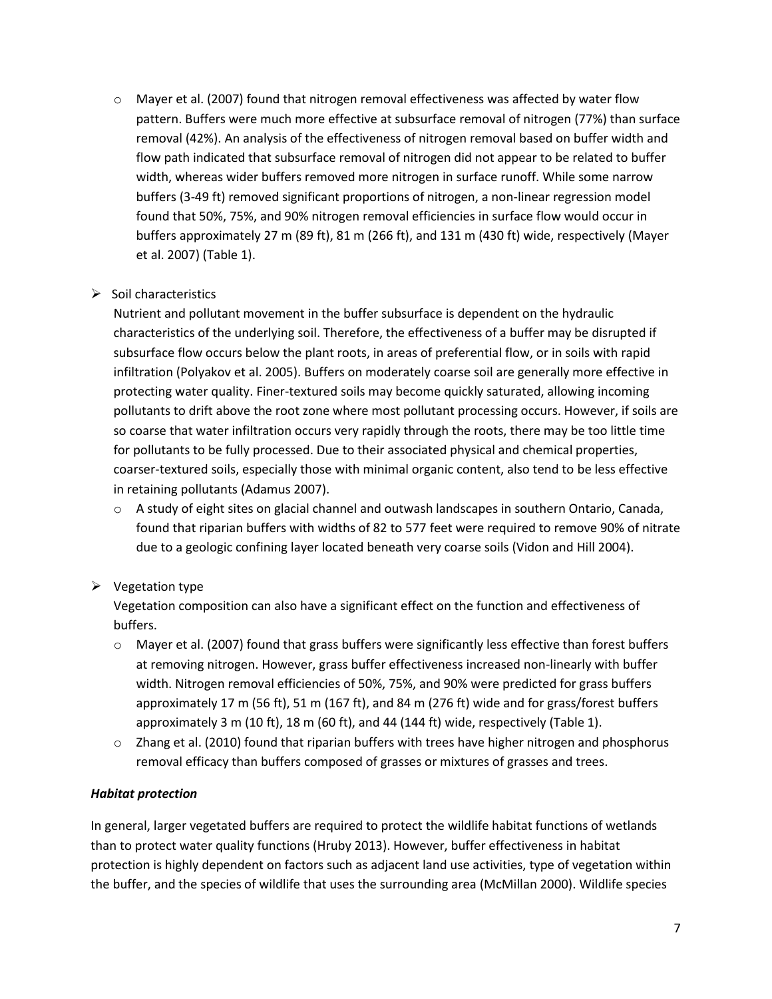$\circ$  Mayer et al. (2007) found that nitrogen removal effectiveness was affected by water flow pattern. Buffers were much more effective at subsurface removal of nitrogen (77%) than surface removal (42%). An analysis of the effectiveness of nitrogen removal based on buffer width and flow path indicated that subsurface removal of nitrogen did not appear to be related to buffer width, whereas wider buffers removed more nitrogen in surface runoff. While some narrow buffers (3-49 ft) removed significant proportions of nitrogen, a non-linear regression model found that 50%, 75%, and 90% nitrogen removal efficiencies in surface flow would occur in buffers approximately 27 m (89 ft), 81 m (266 ft), and 131 m (430 ft) wide, respectively (Mayer et al. 2007) (Table 1).

## $\triangleright$  Soil characteristics

Nutrient and pollutant movement in the buffer subsurface is dependent on the hydraulic characteristics of the underlying soil. Therefore, the effectiveness of a buffer may be disrupted if subsurface flow occurs below the plant roots, in areas of preferential flow, or in soils with rapid infiltration (Polyakov et al. 2005). Buffers on moderately coarse soil are generally more effective in protecting water quality. Finer-textured soils may become quickly saturated, allowing incoming pollutants to drift above the root zone where most pollutant processing occurs. However, if soils are so coarse that water infiltration occurs very rapidly through the roots, there may be too little time for pollutants to be fully processed. Due to their associated physical and chemical properties, coarser-textured soils, especially those with minimal organic content, also tend to be less effective in retaining pollutants (Adamus 2007).

 $\circ$  A study of eight sites on glacial channel and outwash landscapes in southern Ontario, Canada, found that riparian buffers with widths of 82 to 577 feet were required to remove 90% of nitrate due to a geologic confining layer located beneath very coarse soils (Vidon and Hill 2004).

## $\triangleright$  Vegetation type

Vegetation composition can also have a significant effect on the function and effectiveness of buffers.

- $\circ$  Mayer et al. (2007) found that grass buffers were significantly less effective than forest buffers at removing nitrogen. However, grass buffer effectiveness increased non-linearly with buffer width. Nitrogen removal efficiencies of 50%, 75%, and 90% were predicted for grass buffers approximately 17 m (56 ft), 51 m (167 ft), and 84 m (276 ft) wide and for grass/forest buffers approximately 3 m (10 ft), 18 m (60 ft), and 44 (144 ft) wide, respectively (Table 1).
- $\circ$  Zhang et al. (2010) found that riparian buffers with trees have higher nitrogen and phosphorus removal efficacy than buffers composed of grasses or mixtures of grasses and trees.

## *Habitat protection*

In general, larger vegetated buffers are required to protect the wildlife habitat functions of wetlands than to protect water quality functions (Hruby 2013). However, buffer effectiveness in habitat protection is highly dependent on factors such as adjacent land use activities, type of vegetation within the buffer, and the species of wildlife that uses the surrounding area (McMillan 2000). Wildlife species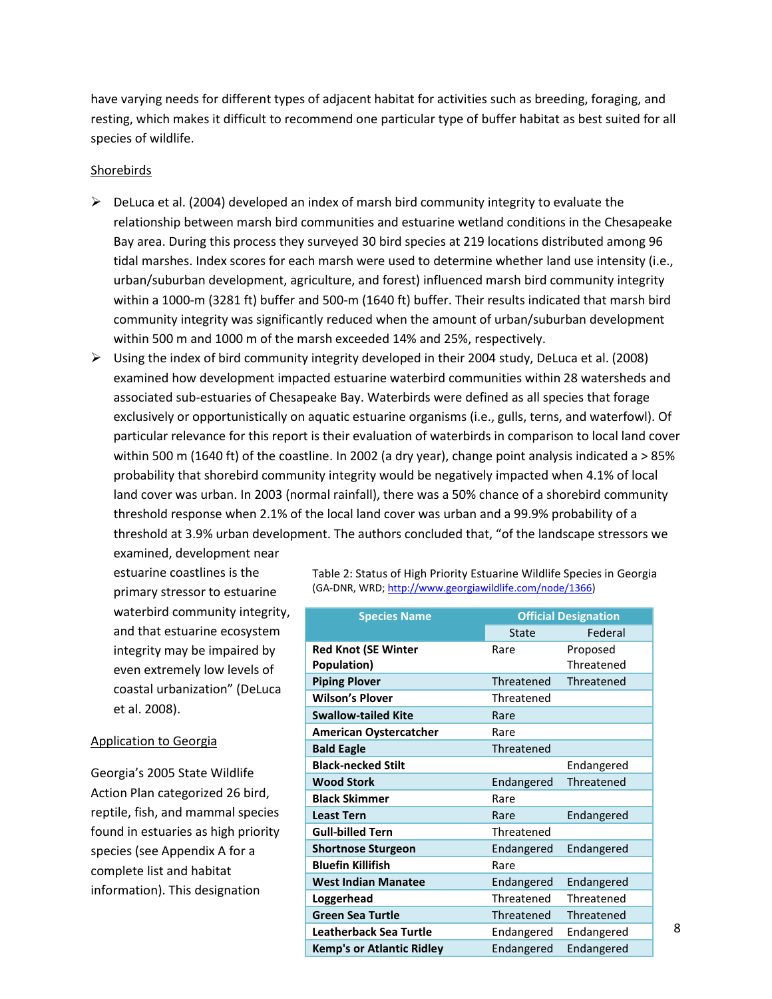have varying needs for different types of adjacent habitat for activities such as breeding, foraging, and resting, which makes it difficult to recommend one particular type of buffer habitat as best suited for all species of wildlife.

#### **Shorebirds**

- $\triangleright$  DeLuca et al. (2004) developed an index of marsh bird community integrity to evaluate the relationship between marsh bird communities and estuarine wetland conditions in the Chesapeake Bay area. During this process they surveyed 30 bird species at 219 locations distributed among 96 tidal marshes. Index scores for each marsh were used to determine whether land use intensity (i.e., urban/suburban development, agriculture, and forest) influenced marsh bird community integrity within a 1000-m (3281 ft) buffer and 500-m (1640 ft) buffer. Their results indicated that marsh bird community integrity was significantly reduced when the amount of urban/suburban development within 500 m and 1000 m of the marsh exceeded 14% and 25%, respectively.
- $\triangleright$  Using the index of bird community integrity developed in their 2004 study, DeLuca et al. (2008) examined how development impacted estuarine waterbird communities within 28 watersheds and associated sub-estuaries of Chesapeake Bay. Waterbirds were defined as all species that forage exclusively or opportunistically on aquatic estuarine organisms (i.e., gulls, terns, and waterfowl). Of particular relevance for this report is their evaluation of waterbirds in comparison to local land cover within 500 m (1640 ft) of the coastline. In 2002 (a dry year), change point analysis indicated a > 85% probability that shorebird community integrity would be negatively impacted when 4.1% of local land cover was urban. In 2003 (normal rainfall), there was a 50% chance of a shorebird community threshold response when 2.1% of the local land cover was urban and a 99.9% probability of a threshold at 3.9% urban development. The authors concluded that, "of the landscape stressors we

examined, development near estuarine coastlines is the primary stressor to estuarine waterbird community integrity, and that estuarine ecosystem integrity may be impaired by even extremely low levels of coastal urbanization" (DeLuca et al. 2008).

#### Application to Georgia

Georgia's 2005 State Wildlife Action Plan categorized 26 bird, reptile, fish, and mammal species found in estuaries as high priority species (see Appendix A for a complete list and habitat information). This designation

Table 2: Status of High Priority Estuarine Wildlife Species in Georgia (GA-DNR, WRD[; http://www.georgiawildlife.com/node/1366\)](http://www.georgiawildlife.com/node/1366)

| <b>Species Name</b>                              | <b>Official Designation</b> |                        |  |
|--------------------------------------------------|-----------------------------|------------------------|--|
|                                                  | State                       | Federal                |  |
| <b>Red Knot (SE Winter</b><br><b>Population)</b> | Rare                        | Proposed<br>Threatened |  |
| <b>Piping Plover</b>                             | Threatened                  | Threatened             |  |
| <b>Wilson's Plover</b>                           | Threatened                  |                        |  |
| <b>Swallow-tailed Kite</b>                       | Rare                        |                        |  |
| <b>American Oystercatcher</b>                    | Rare                        |                        |  |
| <b>Bald Eagle</b>                                | Threatened                  |                        |  |
| <b>Black-necked Stilt</b>                        |                             | Endangered             |  |
| <b>Wood Stork</b>                                | Endangered                  | Threatened             |  |
| <b>Black Skimmer</b>                             | Rare                        |                        |  |
| <b>Least Tern</b>                                | Rare                        | Endangered             |  |
| <b>Gull-billed Tern</b>                          | Threatened                  |                        |  |
| <b>Shortnose Sturgeon</b>                        | Endangered                  | Endangered             |  |
| <b>Bluefin Killifish</b>                         | Rare                        |                        |  |
| <b>West Indian Manatee</b>                       | Endangered                  | Endangered             |  |
| Loggerhead                                       | Threatened                  | Threatened             |  |
| <b>Green Sea Turtle</b>                          | Threatened                  | Threatened             |  |
| <b>Leatherback Sea Turtle</b>                    | Endangered                  | Endangered             |  |
| <b>Kemp's or Atlantic Ridley</b>                 | Endangered                  | Endangered             |  |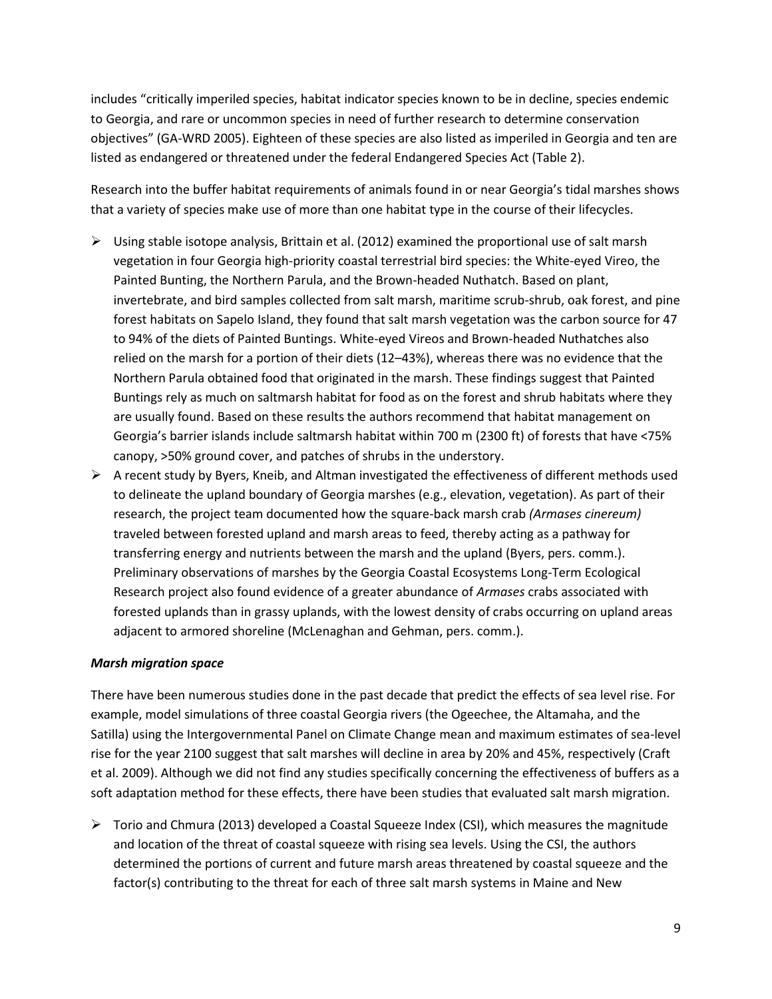includes "critically imperiled species, habitat indicator species known to be in decline, species endemic to Georgia, and rare or uncommon species in need of further research to determine conservation objectives" (GA-WRD 2005). Eighteen of these species are also listed as imperiled in Georgia and ten are listed as endangered or threatened under the federal Endangered Species Act (Table 2).

Research into the buffer habitat requirements of animals found in or near Georgia's tidal marshes shows that a variety of species make use of more than one habitat type in the course of their lifecycles.

- $\triangleright$  Using stable isotope analysis, Brittain et al. (2012) examined the proportional use of salt marsh vegetation in four Georgia high-priority coastal terrestrial bird species: the White-eyed Vireo, the Painted Bunting, the Northern Parula, and the Brown-headed Nuthatch. Based on plant, invertebrate, and bird samples collected from salt marsh, maritime scrub-shrub, oak forest, and pine forest habitats on Sapelo Island, they found that salt marsh vegetation was the carbon source for 47 to 94% of the diets of Painted Buntings. White-eyed Vireos and Brown-headed Nuthatches also relied on the marsh for a portion of their diets (12–43%), whereas there was no evidence that the Northern Parula obtained food that originated in the marsh. These findings suggest that Painted Buntings rely as much on saltmarsh habitat for food as on the forest and shrub habitats where they are usually found. Based on these results the authors recommend that habitat management on Georgia's barrier islands include saltmarsh habitat within 700 m (2300 ft) of forests that have <75% canopy, >50% ground cover, and patches of shrubs in the understory.
- $\triangleright$  A recent study by Byers, Kneib, and Altman investigated the effectiveness of different methods used to delineate the upland boundary of Georgia marshes (e.g., elevation, vegetation). As part of their research, the project team documented how the square-back marsh crab *(Armases cinereum)* traveled between forested upland and marsh areas to feed, thereby acting as a pathway for transferring energy and nutrients between the marsh and the upland (Byers, pers. comm.). Preliminary observations of marshes by the Georgia Coastal Ecosystems Long-Term Ecological Research project also found evidence of a greater abundance of *Armases* crabs associated with forested uplands than in grassy uplands, with the lowest density of crabs occurring on upland areas adjacent to armored shoreline (McLenaghan and Gehman, pers. comm.).

### *Marsh migration space*

There have been numerous studies done in the past decade that predict the effects of sea level rise. For example, model simulations of three coastal Georgia rivers (the Ogeechee, the Altamaha, and the Satilla) using the Intergovernmental Panel on Climate Change mean and maximum estimates of sea-level rise for the year 2100 suggest that salt marshes will decline in area by 20% and 45%, respectively (Craft et al. 2009). Although we did not find any studies specifically concerning the effectiveness of buffers as a soft adaptation method for these effects, there have been studies that evaluated salt marsh migration.

 $\triangleright$  Torio and Chmura (2013) developed a Coastal Squeeze Index (CSI), which measures the magnitude and location of the threat of coastal squeeze with rising sea levels. Using the CSI, the authors determined the portions of current and future marsh areas threatened by coastal squeeze and the factor(s) contributing to the threat for each of three salt marsh systems in Maine and New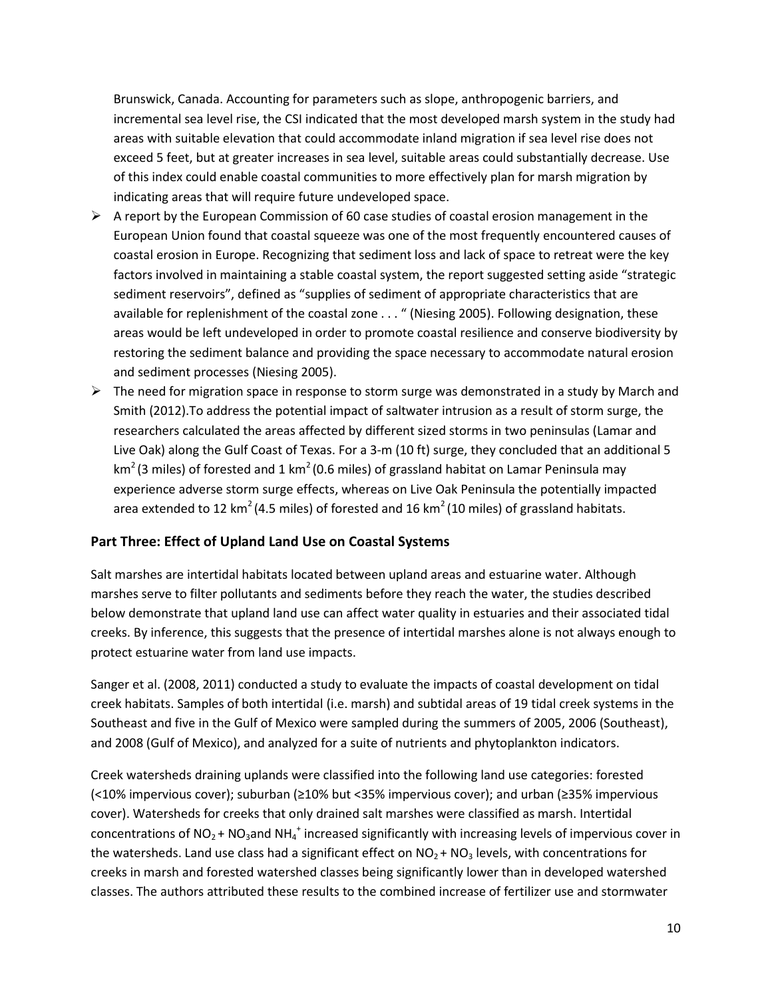Brunswick, Canada. Accounting for parameters such as slope, anthropogenic barriers, and incremental sea level rise, the CSI indicated that the most developed marsh system in the study had areas with suitable elevation that could accommodate inland migration if sea level rise does not exceed 5 feet, but at greater increases in sea level, suitable areas could substantially decrease. Use of this index could enable coastal communities to more effectively plan for marsh migration by indicating areas that will require future undeveloped space.

- $\triangleright$  A report by the European Commission of 60 case studies of coastal erosion management in the European Union found that coastal squeeze was one of the most frequently encountered causes of coastal erosion in Europe. Recognizing that sediment loss and lack of space to retreat were the key factors involved in maintaining a stable coastal system, the report suggested setting aside "strategic sediment reservoirs", defined as "supplies of sediment of appropriate characteristics that are available for replenishment of the coastal zone . . . " (Niesing 2005). Following designation, these areas would be left undeveloped in order to promote coastal resilience and conserve biodiversity by restoring the sediment balance and providing the space necessary to accommodate natural erosion and sediment processes (Niesing 2005).
- $\triangleright$  The need for migration space in response to storm surge was demonstrated in a study by March and Smith (2012).To address the potential impact of saltwater intrusion as a result of storm surge, the researchers calculated the areas affected by different sized storms in two peninsulas (Lamar and Live Oak) along the Gulf Coast of Texas. For a 3-m (10 ft) surge, they concluded that an additional 5 km<sup>2</sup> (3 miles) of forested and 1 km<sup>2</sup> (0.6 miles) of grassland habitat on Lamar Peninsula may experience adverse storm surge effects, whereas on Live Oak Peninsula the potentially impacted area extended to 12 km<sup>2</sup> (4.5 miles) of forested and 16 km<sup>2</sup> (10 miles) of grassland habitats.

## **Part Three: Effect of Upland Land Use on Coastal Systems**

Salt marshes are intertidal habitats located between upland areas and estuarine water. Although marshes serve to filter pollutants and sediments before they reach the water, the studies described below demonstrate that upland land use can affect water quality in estuaries and their associated tidal creeks. By inference, this suggests that the presence of intertidal marshes alone is not always enough to protect estuarine water from land use impacts.

Sanger et al. (2008, 2011) conducted a study to evaluate the impacts of coastal development on tidal creek habitats. Samples of both intertidal (i.e. marsh) and subtidal areas of 19 tidal creek systems in the Southeast and five in the Gulf of Mexico were sampled during the summers of 2005, 2006 (Southeast), and 2008 (Gulf of Mexico), and analyzed for a suite of nutrients and phytoplankton indicators.

Creek watersheds draining uplands were classified into the following land use categories: forested (<10% impervious cover); suburban (≥10% but <35% impervious cover); and urban (≥35% impervious cover). Watersheds for creeks that only drained salt marshes were classified as marsh. Intertidal concentrations of NO<sub>2</sub> + NO<sub>3</sub>and NH<sub>4</sub><sup>+</sup> increased significantly with increasing levels of impervious cover in the watersheds. Land use class had a significant effect on  $NO<sub>2</sub> + NO<sub>3</sub>$  levels, with concentrations for creeks in marsh and forested watershed classes being significantly lower than in developed watershed classes. The authors attributed these results to the combined increase of fertilizer use and stormwater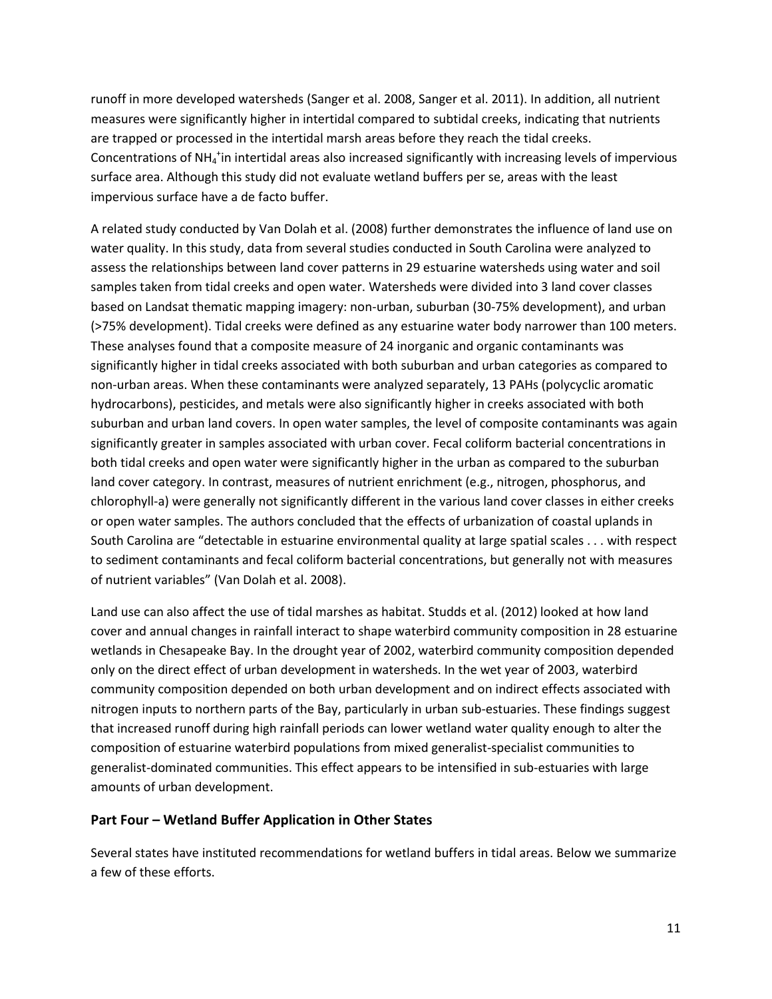runoff in more developed watersheds (Sanger et al. 2008, Sanger et al. 2011). In addition, all nutrient measures were significantly higher in intertidal compared to subtidal creeks, indicating that nutrients are trapped or processed in the intertidal marsh areas before they reach the tidal creeks. Concentrations of NH<sub>4</sub><sup>+</sup>in intertidal areas also increased significantly with increasing levels of impervious surface area. Although this study did not evaluate wetland buffers per se, areas with the least impervious surface have a de facto buffer.

A related study conducted by Van Dolah et al. (2008) further demonstrates the influence of land use on water quality. In this study, data from several studies conducted in South Carolina were analyzed to assess the relationships between land cover patterns in 29 estuarine watersheds using water and soil samples taken from tidal creeks and open water. Watersheds were divided into 3 land cover classes based on Landsat thematic mapping imagery: non-urban, suburban (30-75% development), and urban (>75% development). Tidal creeks were defined as any estuarine water body narrower than 100 meters. These analyses found that a composite measure of 24 inorganic and organic contaminants was significantly higher in tidal creeks associated with both suburban and urban categories as compared to non-urban areas. When these contaminants were analyzed separately, 13 PAHs (polycyclic aromatic hydrocarbons), pesticides, and metals were also significantly higher in creeks associated with both suburban and urban land covers. In open water samples, the level of composite contaminants was again significantly greater in samples associated with urban cover. Fecal coliform bacterial concentrations in both tidal creeks and open water were significantly higher in the urban as compared to the suburban land cover category. In contrast, measures of nutrient enrichment (e.g., nitrogen, phosphorus, and chlorophyll-a) were generally not significantly different in the various land cover classes in either creeks or open water samples. The authors concluded that the effects of urbanization of coastal uplands in South Carolina are "detectable in estuarine environmental quality at large spatial scales . . . with respect to sediment contaminants and fecal coliform bacterial concentrations, but generally not with measures of nutrient variables" (Van Dolah et al. 2008).

Land use can also affect the use of tidal marshes as habitat. Studds et al. (2012) looked at how land cover and annual changes in rainfall interact to shape waterbird community composition in 28 estuarine wetlands in Chesapeake Bay. In the drought year of 2002, waterbird community composition depended only on the direct effect of urban development in watersheds. In the wet year of 2003, waterbird community composition depended on both urban development and on indirect effects associated with nitrogen inputs to northern parts of the Bay, particularly in urban sub-estuaries. These findings suggest that increased runoff during high rainfall periods can lower wetland water quality enough to alter the composition of estuarine waterbird populations from mixed generalist-specialist communities to generalist-dominated communities. This effect appears to be intensified in sub-estuaries with large amounts of urban development.

### **Part Four – Wetland Buffer Application in Other States**

Several states have instituted recommendations for wetland buffers in tidal areas. Below we summarize a few of these efforts.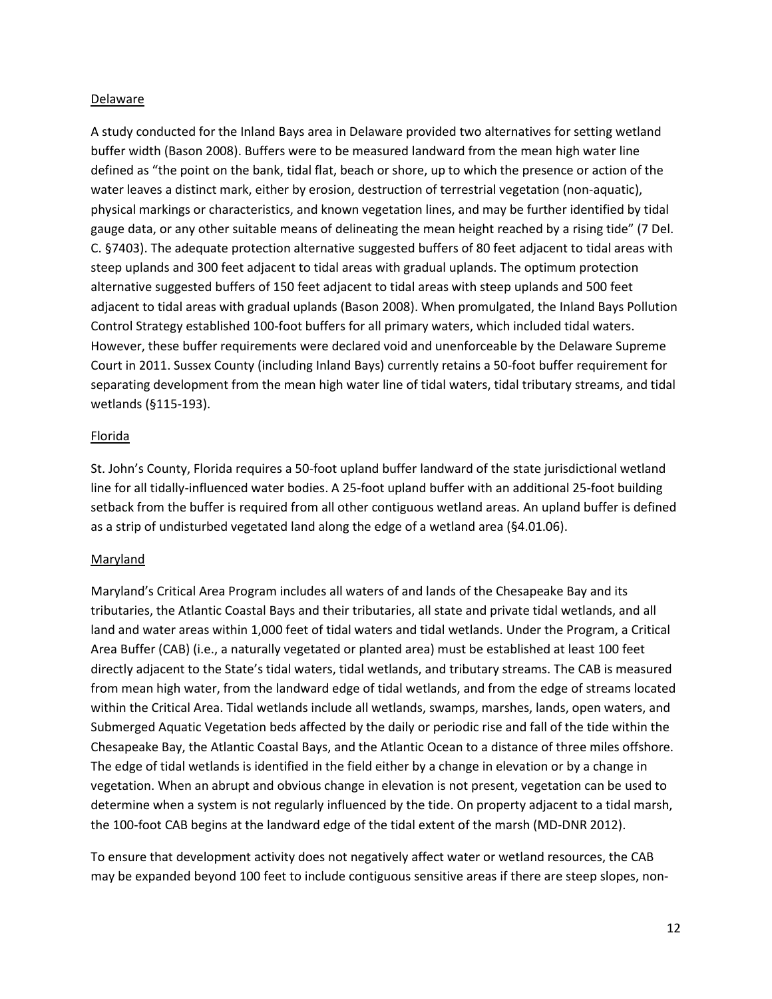### Delaware

A study conducted for the Inland Bays area in Delaware provided two alternatives for setting wetland buffer width (Bason 2008). Buffers were to be measured landward from the mean high water line defined as "the point on the bank, tidal flat, beach or shore, up to which the presence or action of the water leaves a distinct mark, either by erosion, destruction of terrestrial vegetation (non-aquatic), physical markings or characteristics, and known vegetation lines, and may be further identified by tidal gauge data, or any other suitable means of delineating the mean height reached by a rising tide" (7 Del. C. §7403). The adequate protection alternative suggested buffers of 80 feet adjacent to tidal areas with steep uplands and 300 feet adjacent to tidal areas with gradual uplands. The optimum protection alternative suggested buffers of 150 feet adjacent to tidal areas with steep uplands and 500 feet adjacent to tidal areas with gradual uplands (Bason 2008). When promulgated, the Inland Bays Pollution Control Strategy established 100-foot buffers for all primary waters, which included tidal waters. However, these buffer requirements were declared void and unenforceable by the Delaware Supreme Court in 2011. Sussex County (including Inland Bays) currently retains a 50-foot buffer requirement for separating development from the mean high water line of tidal waters, tidal tributary streams, and tidal wetlands (§115-193).

## Florida

St. John's County, Florida requires a 50-foot upland buffer landward of the state jurisdictional wetland line for all tidally-influenced water bodies. A 25-foot upland buffer with an additional 25-foot building setback from the buffer is required from all other contiguous wetland areas. An upland buffer is defined as a strip of undisturbed vegetated land along the edge of a wetland area (§4.01.06).

## Maryland

Maryland's Critical Area Program includes all waters of and lands of the Chesapeake Bay and its tributaries, the Atlantic Coastal Bays and their tributaries, all state and private tidal wetlands, and all land and water areas within 1,000 feet of tidal waters and tidal wetlands. Under the Program, a Critical Area Buffer (CAB) (i.e., a naturally vegetated or planted area) must be established at least 100 feet directly adjacent to the State's tidal waters, tidal wetlands, and tributary streams. The CAB is measured from mean high water, from the landward edge of tidal wetlands, and from the edge of streams located within the Critical Area. Tidal wetlands include all wetlands, swamps, marshes, lands, open waters, and Submerged Aquatic Vegetation beds affected by the daily or periodic rise and fall of the tide within the Chesapeake Bay, the Atlantic Coastal Bays, and the Atlantic Ocean to a distance of three miles offshore. The edge of tidal wetlands is identified in the field either by a change in elevation or by a change in vegetation. When an abrupt and obvious change in elevation is not present, vegetation can be used to determine when a system is not regularly influenced by the tide. On property adjacent to a tidal marsh, the 100-foot CAB begins at the landward edge of the tidal extent of the marsh (MD-DNR 2012).

To ensure that development activity does not negatively affect water or wetland resources, the CAB may be expanded beyond 100 feet to include contiguous sensitive areas if there are steep slopes, non-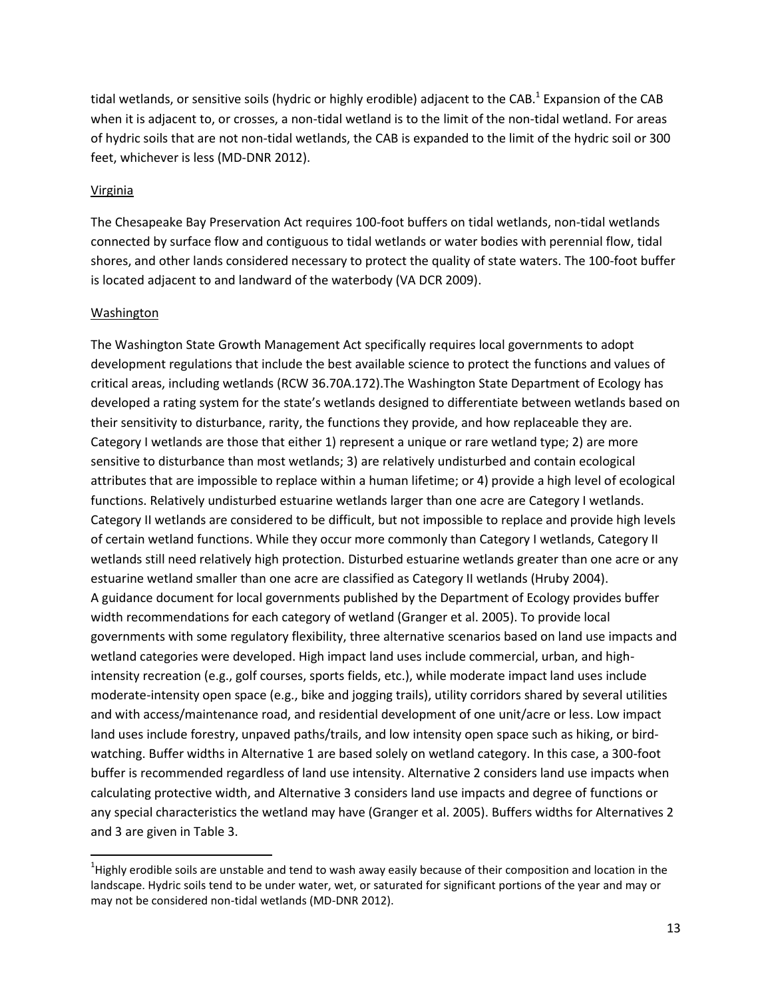tidal wetlands, or sensitive soils (hydric or highly erodible) adjacent to the CAB.<sup>1</sup> Expansion of the CAB when it is adjacent to, or crosses, a non-tidal wetland is to the limit of the non-tidal wetland. For areas of hydric soils that are not non-tidal wetlands, the CAB is expanded to the limit of the hydric soil or 300 feet, whichever is less (MD-DNR 2012).

#### Virginia

The Chesapeake Bay Preservation Act requires 100-foot buffers on tidal wetlands, non-tidal wetlands connected by surface flow and contiguous to tidal wetlands or water bodies with perennial flow, tidal shores, and other lands considered necessary to protect the quality of state waters. The 100-foot buffer is located adjacent to and landward of the waterbody (VA DCR 2009).

#### Washington

 $\overline{\phantom{a}}$ 

The Washington State Growth Management Act specifically requires local governments to adopt development regulations that include the best available science to protect the functions and values of critical areas, including wetlands (RCW 36.70A.172).The Washington State Department of Ecology has developed a rating system for the state's wetlands designed to differentiate between wetlands based on their sensitivity to disturbance, rarity, the functions they provide, and how replaceable they are. Category I wetlands are those that either 1) represent a unique or rare wetland type; 2) are more sensitive to disturbance than most wetlands; 3) are relatively undisturbed and contain ecological attributes that are impossible to replace within a human lifetime; or 4) provide a high level of ecological functions. Relatively undisturbed estuarine wetlands larger than one acre are Category I wetlands. Category II wetlands are considered to be difficult, but not impossible to replace and provide high levels of certain wetland functions. While they occur more commonly than Category I wetlands, Category II wetlands still need relatively high protection. Disturbed estuarine wetlands greater than one acre or any estuarine wetland smaller than one acre are classified as Category II wetlands (Hruby 2004). A guidance document for local governments published by the Department of Ecology provides buffer width recommendations for each category of wetland (Granger et al. 2005). To provide local governments with some regulatory flexibility, three alternative scenarios based on land use impacts and wetland categories were developed. High impact land uses include commercial, urban, and highintensity recreation (e.g., golf courses, sports fields, etc.), while moderate impact land uses include moderate-intensity open space (e.g., bike and jogging trails), utility corridors shared by several utilities and with access/maintenance road, and residential development of one unit/acre or less. Low impact land uses include forestry, unpaved paths/trails, and low intensity open space such as hiking, or birdwatching. Buffer widths in Alternative 1 are based solely on wetland category. In this case, a 300-foot buffer is recommended regardless of land use intensity. Alternative 2 considers land use impacts when calculating protective width, and Alternative 3 considers land use impacts and degree of functions or any special characteristics the wetland may have (Granger et al. 2005). Buffers widths for Alternatives 2 and 3 are given in Table 3.

 $^1$ Highly erodible soils are unstable and tend to wash away easily because of their composition and location in the landscape. Hydric soils tend to be under water, wet, or saturated for significant portions of the year and may or may not be considered non-tidal wetlands (MD-DNR 2012).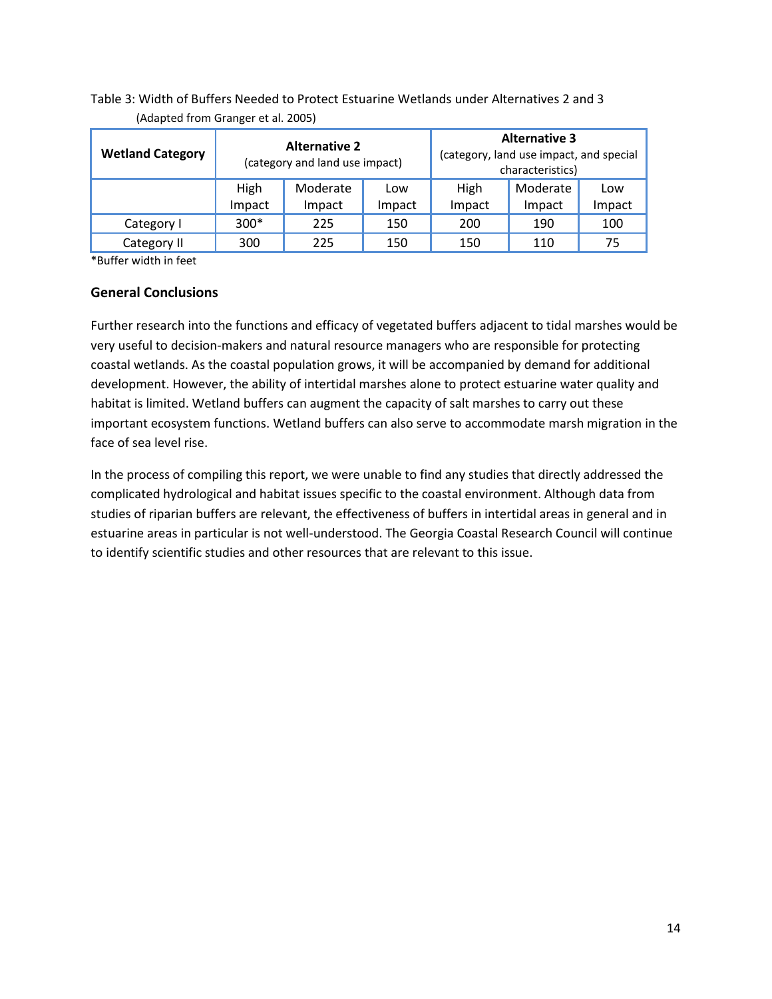| <b>Wetland Category</b> | <b>Alternative 2</b><br>(category and land use impact) |        |        |        | <b>Alternative 3</b><br>(category, land use impact, and special<br>characteristics) |        |
|-------------------------|--------------------------------------------------------|--------|--------|--------|-------------------------------------------------------------------------------------|--------|
|                         | High<br>Moderate                                       |        | Low    | High   | Moderate                                                                            | Low    |
|                         | Impact                                                 | Impact | Impact | Impact | Impact                                                                              | Impact |
| Category I              | $300*$                                                 | 225    | 150    | 200    | 190                                                                                 | 100    |
| Category II             | 300                                                    | 225    | 150    | 150    | 110                                                                                 | 75     |

## Table 3: Width of Buffers Needed to Protect Estuarine Wetlands under Alternatives 2 and 3 (Adapted from Granger et al. 2005)

\*Buffer width in feet

## **General Conclusions**

Further research into the functions and efficacy of vegetated buffers adjacent to tidal marshes would be very useful to decision-makers and natural resource managers who are responsible for protecting coastal wetlands. As the coastal population grows, it will be accompanied by demand for additional development. However, the ability of intertidal marshes alone to protect estuarine water quality and habitat is limited. Wetland buffers can augment the capacity of salt marshes to carry out these important ecosystem functions. Wetland buffers can also serve to accommodate marsh migration in the face of sea level rise.

In the process of compiling this report, we were unable to find any studies that directly addressed the complicated hydrological and habitat issues specific to the coastal environment. Although data from studies of riparian buffers are relevant, the effectiveness of buffers in intertidal areas in general and in estuarine areas in particular is not well-understood. The Georgia Coastal Research Council will continue to identify scientific studies and other resources that are relevant to this issue.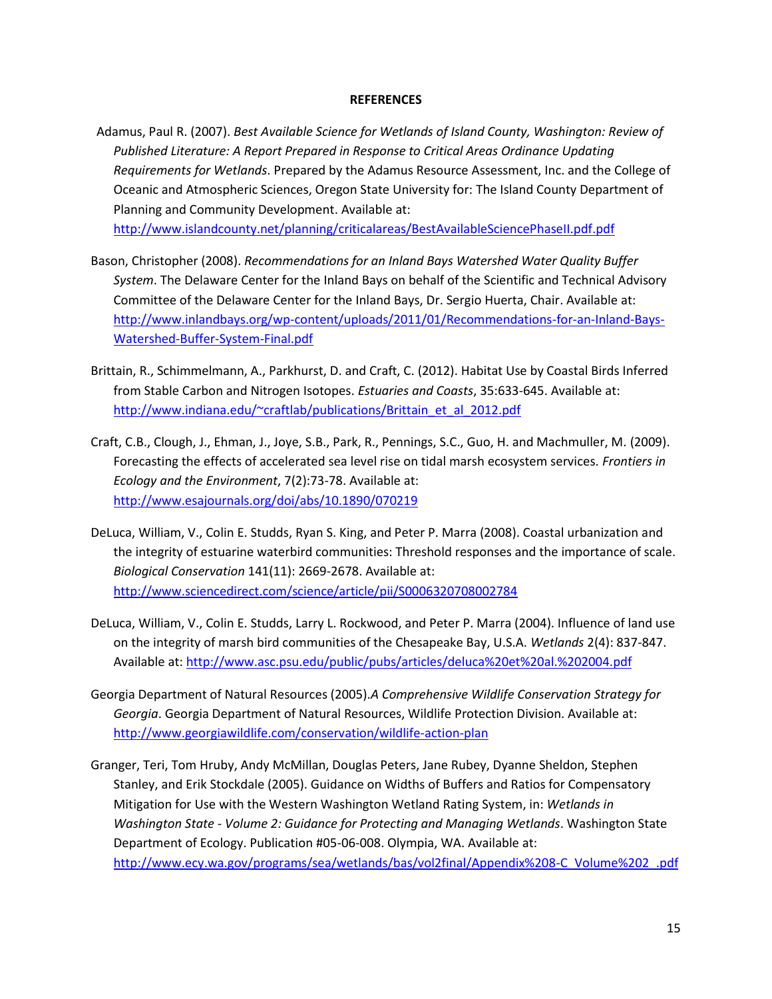#### **REFERENCES**

- Adamus, Paul R. (2007). *Best Available Science for Wetlands of Island County, Washington: Review of Published Literature: A Report Prepared in Response to Critical Areas Ordinance Updating Requirements for Wetlands*. Prepared by the Adamus Resource Assessment, Inc. and the College of Oceanic and Atmospheric Sciences, Oregon State University for: The Island County Department of Planning and Community Development. Available at: <http://www.islandcounty.net/planning/criticalareas/BestAvailableSciencePhaseII.pdf.pdf>
- Bason, Christopher (2008). *Recommendations for an Inland Bays Watershed Water Quality Buffer System*. The Delaware Center for the Inland Bays on behalf of the Scientific and Technical Advisory Committee of the Delaware Center for the Inland Bays, Dr. Sergio Huerta, Chair. Available at: [http://www.inlandbays.org/wp-content/uploads/2011/01/Recommendations-for-an-Inland-Bays-](http://www.inlandbays.org/wp-content/uploads/2011/01/Recommendations-for-an-Inland-Bays-Watershed-Buffer-System-Final.pdf)[Watershed-Buffer-System-Final.pdf](http://www.inlandbays.org/wp-content/uploads/2011/01/Recommendations-for-an-Inland-Bays-Watershed-Buffer-System-Final.pdf)
- Brittain, R., Schimmelmann, A., Parkhurst, D. and Craft, C. (2012). Habitat Use by Coastal Birds Inferred from Stable Carbon and Nitrogen Isotopes. *Estuaries and Coasts*, 35:633-645. Available at: [http://www.indiana.edu/~craftlab/publications/Brittain\\_et\\_al\\_2012.pdf](http://www.indiana.edu/~craftlab/publications/Brittain_et_al_2012.pdf)
- Craft, C.B., Clough, J., Ehman, J., Joye, S.B., Park, R., Pennings, S.C., Guo, H. and Machmuller, M. (2009). Forecasting the effects of accelerated sea level rise on tidal marsh ecosystem services. *Frontiers in Ecology and the Environment*, 7(2):73-78. Available at: <http://www.esajournals.org/doi/abs/10.1890/070219>
- DeLuca, William, V., Colin E. Studds, Ryan S. King, and Peter P. Marra (2008). Coastal urbanization and the integrity of estuarine waterbird communities: Threshold responses and the importance of scale. *Biological Conservation* 141(11): 2669-2678. Available at: <http://www.sciencedirect.com/science/article/pii/S0006320708002784>
- DeLuca, William, V., Colin E. Studds, Larry L. Rockwood, and Peter P. Marra (2004). Influence of land use on the integrity of marsh bird communities of the Chesapeake Bay, U.S.A. *Wetlands* 2(4): 837-847. Available at[: http://www.asc.psu.edu/public/pubs/articles/deluca%20et%20al.%202004.pdf](http://www.asc.psu.edu/public/pubs/articles/deluca%20et%20al.%202004.pdf)
- Georgia Department of Natural Resources (2005).*A Comprehensive Wildlife Conservation Strategy for Georgia*. Georgia Department of Natural Resources, Wildlife Protection Division. Available at: <http://www.georgiawildlife.com/conservation/wildlife-action-plan>
- Granger, Teri, Tom Hruby, Andy McMillan, Douglas Peters, Jane Rubey, Dyanne Sheldon, Stephen Stanley, and Erik Stockdale (2005). Guidance on Widths of Buffers and Ratios for Compensatory Mitigation for Use with the Western Washington Wetland Rating System, in: *Wetlands in Washington State - Volume 2: Guidance for Protecting and Managing Wetlands*. Washington State Department of Ecology. Publication #05-06-008. Olympia, WA. Available at: [http://www.ecy.wa.gov/programs/sea/wetlands/bas/vol2final/Appendix%208-C\\_Volume%202\\_.pdf](http://www.ecy.wa.gov/programs/sea/wetlands/bas/vol2final/Appendix%208-C_Volume%202_.pdf)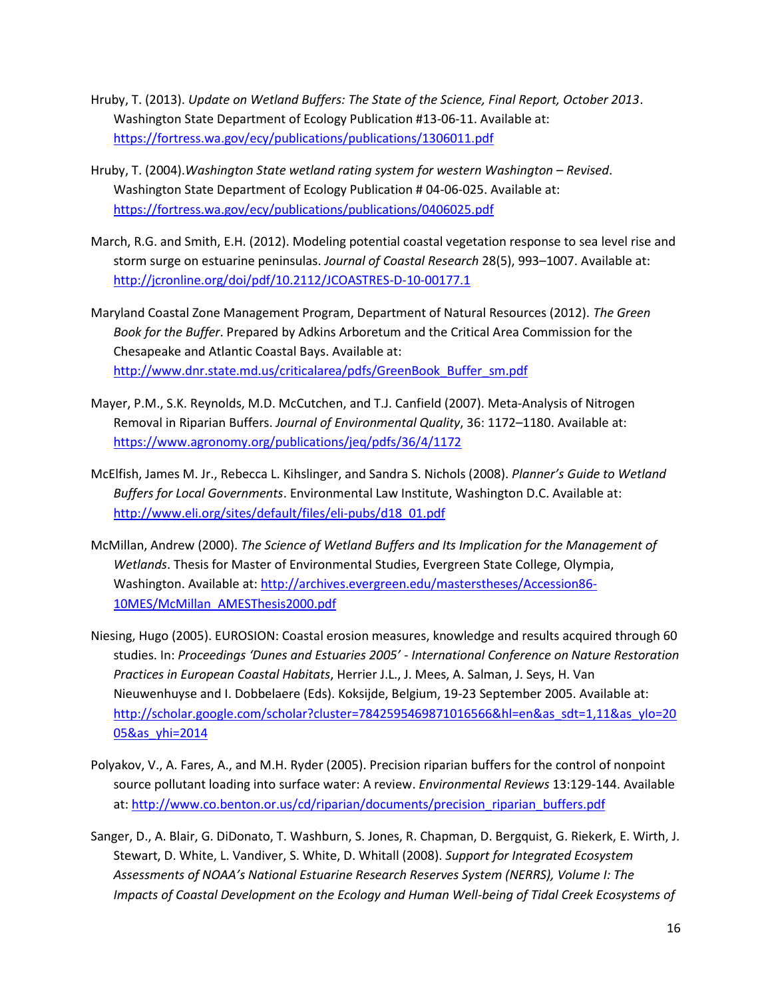- Hruby, T. (2013). *Update on Wetland Buffers: The State of the Science, Final Report, October 2013*. Washington State Department of Ecology Publication #13-06-11. Available at: <https://fortress.wa.gov/ecy/publications/publications/1306011.pdf>
- Hruby, T. (2004).*Washington State wetland rating system for western Washington – Revised*. Washington State Department of Ecology Publication # 04-06-025. Available at: <https://fortress.wa.gov/ecy/publications/publications/0406025.pdf>
- March, R.G. and Smith, E.H. (2012). Modeling potential coastal vegetation response to sea level rise and storm surge on estuarine peninsulas. *Journal of Coastal Research* 28(5), 993–1007. Available at: <http://jcronline.org/doi/pdf/10.2112/JCOASTRES-D-10-00177.1>
- Maryland Coastal Zone Management Program, Department of Natural Resources (2012). *The Green Book for the Buffer*. Prepared by Adkins Arboretum and the Critical Area Commission for the Chesapeake and Atlantic Coastal Bays. Available at: [http://www.dnr.state.md.us/criticalarea/pdfs/GreenBook\\_Buffer\\_sm.pdf](http://www.dnr.state.md.us/criticalarea/pdfs/GreenBook_Buffer_sm.pdf)
- Mayer, P.M., S.K. Reynolds, M.D. McCutchen, and T.J. Canfield (2007). Meta-Analysis of Nitrogen Removal in Riparian Buffers. *Journal of Environmental Quality*, 36: 1172–1180. Available at: <https://www.agronomy.org/publications/jeq/pdfs/36/4/1172>
- McElfish, James M. Jr., Rebecca L. Kihslinger, and Sandra S. Nichols (2008). *Planner's Guide to Wetland Buffers for Local Governments*. Environmental Law Institute, Washington D.C. Available at: [http://www.eli.org/sites/default/files/eli-pubs/d18\\_01.pdf](http://www.eli.org/sites/default/files/eli-pubs/d18_01.pdf)
- McMillan, Andrew (2000). *The Science of Wetland Buffers and Its Implication for the Management of Wetlands*. Thesis for Master of Environmental Studies, Evergreen State College, Olympia, Washington. Available at[: http://archives.evergreen.edu/masterstheses/Accession86-](http://archives.evergreen.edu/masterstheses/Accession86-10MES/McMillan_AMESThesis2000.pdf) [10MES/McMillan\\_AMESThesis2000.pdf](http://archives.evergreen.edu/masterstheses/Accession86-10MES/McMillan_AMESThesis2000.pdf)
- Niesing, Hugo (2005). EUROSION: Coastal erosion measures, knowledge and results acquired through 60 studies. In: *Proceedings 'Dunes and Estuaries 2005' - International Conference on Nature Restoration Practices in European Coastal Habitats*, Herrier J.L., J. Mees, A. Salman, J. Seys, H. Van Nieuwenhuyse and I. Dobbelaere (Eds). Koksijde, Belgium, 19-23 September 2005. Available at: [http://scholar.google.com/scholar?cluster=7842595469871016566&hl=en&as\\_sdt=1,11&as\\_ylo=20](http://scholar.google.com/scholar?cluster=7842595469871016566&hl=en&as_sdt=1,11&as_ylo=2005&as_yhi=2014) [05&as\\_yhi=2014](http://scholar.google.com/scholar?cluster=7842595469871016566&hl=en&as_sdt=1,11&as_ylo=2005&as_yhi=2014)
- Polyakov, V., A. Fares, A., and M.H. Ryder (2005). Precision riparian buffers for the control of nonpoint source pollutant loading into surface water: A review. *Environmental Reviews* 13:129-144. Available at: [http://www.co.benton.or.us/cd/riparian/documents/precision\\_riparian\\_buffers.pdf](http://www.co.benton.or.us/cd/riparian/documents/precision_riparian_buffers.pdf)
- Sanger, D., A. Blair, G. DiDonato, T. Washburn, S. Jones, R. Chapman, D. Bergquist, G. Riekerk, E. Wirth, J. Stewart, D. White, L. Vandiver, S. White, D. Whitall (2008). *Support for Integrated Ecosystem Assessments of NOAA's National Estuarine Research Reserves System (NERRS), Volume I: The Impacts of Coastal Development on the Ecology and Human Well-being of Tidal Creek Ecosystems of*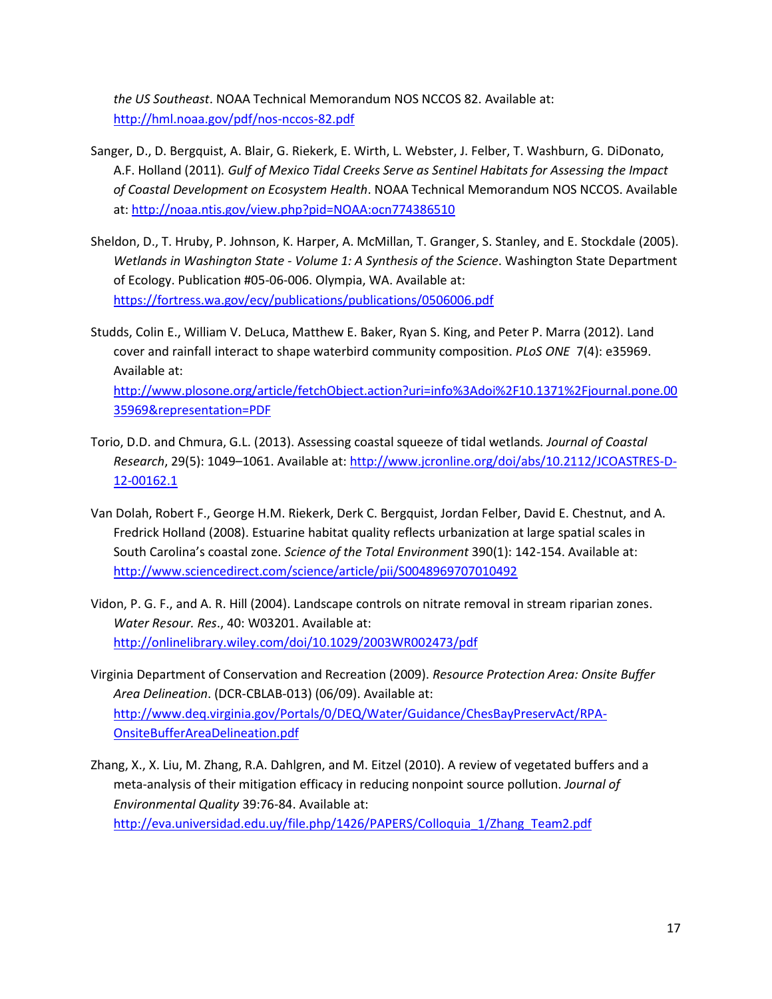*the US Southeast*. NOAA Technical Memorandum NOS NCCOS 82. Available at: <http://hml.noaa.gov/pdf/nos-nccos-82.pdf>

- Sanger, D., D. Bergquist, A. Blair, G. Riekerk, E. Wirth, L. Webster, J. Felber, T. Washburn, G. DiDonato, A.F. Holland (2011)*. Gulf of Mexico Tidal Creeks Serve as Sentinel Habitats for Assessing the Impact of Coastal Development on Ecosystem Health*. NOAA Technical Memorandum NOS NCCOS. Available at:<http://noaa.ntis.gov/view.php?pid=NOAA:ocn774386510>
- Sheldon, D., T. Hruby, P. Johnson, K. Harper, A. McMillan, T. Granger, S. Stanley, and E. Stockdale (2005). *Wetlands in Washington State - Volume 1: A Synthesis of the Science*. Washington State Department of Ecology. Publication #05-06-006. Olympia, WA. Available at: <https://fortress.wa.gov/ecy/publications/publications/0506006.pdf>

Studds, Colin E., William V. DeLuca, Matthew E. Baker, Ryan S. King, and Peter P. Marra (2012). Land cover and rainfall interact to shape waterbird community composition. *PLoS ONE* 7(4): e35969. Available at: [http://www.plosone.org/article/fetchObject.action?uri=info%3Adoi%2F10.1371%2Fjournal.pone.00](http://www.plosone.org/article/fetchObject.action?uri=info%3Adoi%2F10.1371%2Fjournal.pone.0035969&representation=PDF) [35969&representation=PDF](http://www.plosone.org/article/fetchObject.action?uri=info%3Adoi%2F10.1371%2Fjournal.pone.0035969&representation=PDF)

- Torio, D.D. and Chmura, G.L. (2013). Assessing coastal squeeze of tidal wetlands*. Journal of Coastal Research*, 29(5): 1049–1061. Available at[: http://www.jcronline.org/doi/abs/10.2112/JCOASTRES-D-](http://www.jcronline.org/doi/abs/10.2112/JCOASTRES-D-12-00162.1)[12-00162.1](http://www.jcronline.org/doi/abs/10.2112/JCOASTRES-D-12-00162.1)
- Van Dolah, Robert F., George H.M. Riekerk, Derk C. Bergquist, Jordan Felber, David E. Chestnut, and A. Fredrick Holland (2008). Estuarine habitat quality reflects urbanization at large spatial scales in South Carolina's coastal zone. *Science of the Total Environment* 390(1): 142-154. Available at: <http://www.sciencedirect.com/science/article/pii/S0048969707010492>
- Vidon, P. G. F., and A. R. Hill (2004). Landscape controls on nitrate removal in stream riparian zones. *Water Resour. Res*., 40: W03201. Available at: <http://onlinelibrary.wiley.com/doi/10.1029/2003WR002473/pdf>
- Virginia Department of Conservation and Recreation (2009). *Resource Protection Area: Onsite Buffer Area Delineation*. (DCR-CBLAB-013) (06/09). Available at: [http://www.deq.virginia.gov/Portals/0/DEQ/Water/Guidance/ChesBayPreservAct/RPA-](http://www.deq.virginia.gov/Portals/0/DEQ/Water/Guidance/ChesBayPreservAct/RPA-OnsiteBufferAreaDelineation.pdf)[OnsiteBufferAreaDelineation.pdf](http://www.deq.virginia.gov/Portals/0/DEQ/Water/Guidance/ChesBayPreservAct/RPA-OnsiteBufferAreaDelineation.pdf)
- Zhang, X., X. Liu, M. Zhang, R.A. Dahlgren, and M. Eitzel (2010). A review of vegetated buffers and a meta-analysis of their mitigation efficacy in reducing nonpoint source pollution. *Journal of Environmental Quality* 39:76-84. Available at: [http://eva.universidad.edu.uy/file.php/1426/PAPERS/Colloquia\\_1/Zhang\\_Team2.pdf](http://eva.universidad.edu.uy/file.php/1426/PAPERS/Colloquia_1/Zhang_Team2.pdf)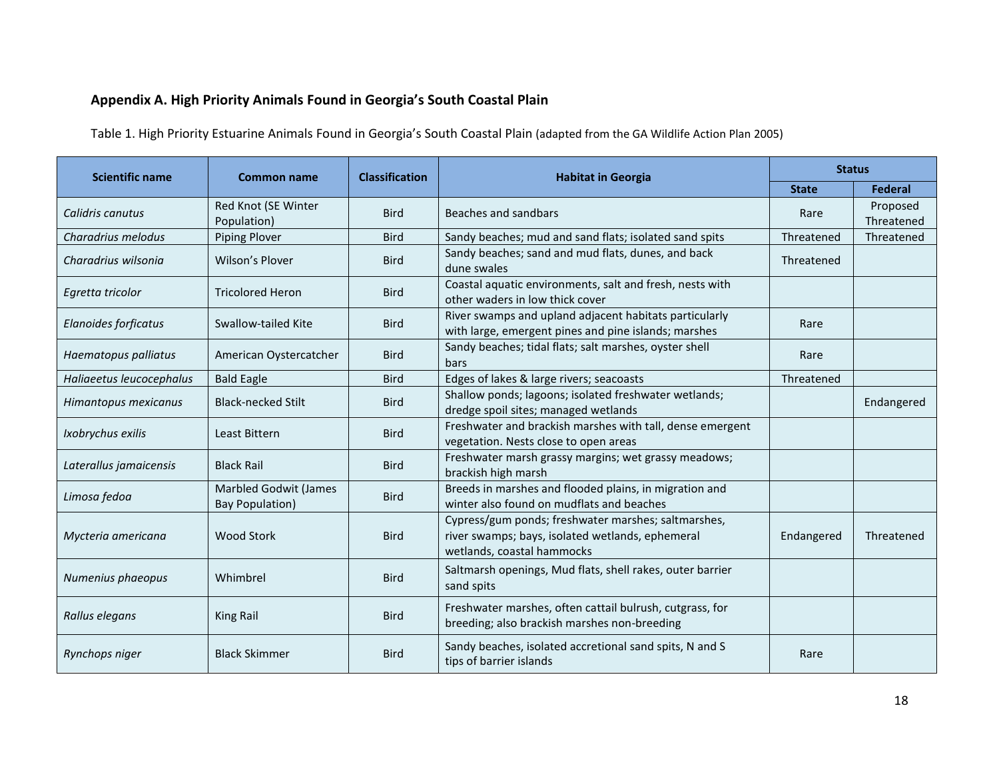## **Appendix A. High Priority Animals Found in Georgia's South Coastal Plain**

Table 1. High Priority Estuarine Animals Found in Georgia's South Coastal Plain (adapted from the GA Wildlife Action Plan 2005)

| <b>Scientific name</b>   | <b>Common name</b>                                     | <b>Classification</b> | <b>Habitat in Georgia</b>                                                                                                             | <b>Status</b> |                        |
|--------------------------|--------------------------------------------------------|-----------------------|---------------------------------------------------------------------------------------------------------------------------------------|---------------|------------------------|
|                          |                                                        |                       |                                                                                                                                       | <b>State</b>  | <b>Federal</b>         |
| Calidris canutus         | Red Knot (SE Winter<br>Population)                     | <b>Bird</b>           | Beaches and sandbars                                                                                                                  | Rare          | Proposed<br>Threatened |
| Charadrius melodus       | <b>Piping Plover</b>                                   | <b>Bird</b>           | Sandy beaches; mud and sand flats; isolated sand spits                                                                                | Threatened    | Threatened             |
| Charadrius wilsonia      | Wilson's Plover                                        | <b>Bird</b>           | Sandy beaches; sand and mud flats, dunes, and back<br>dune swales                                                                     | Threatened    |                        |
| Egretta tricolor         | <b>Tricolored Heron</b>                                | <b>Bird</b>           | Coastal aquatic environments, salt and fresh, nests with<br>other waders in low thick cover                                           |               |                        |
| Elanoides forficatus     | <b>Swallow-tailed Kite</b>                             | <b>Bird</b>           | River swamps and upland adjacent habitats particularly<br>with large, emergent pines and pine islands; marshes                        | Rare          |                        |
| Haematopus palliatus     | American Oystercatcher                                 | <b>Bird</b>           | Sandy beaches; tidal flats; salt marshes, oyster shell<br>bars                                                                        | Rare          |                        |
| Haliaeetus leucocephalus | <b>Bald Eagle</b>                                      | <b>Bird</b>           | Edges of lakes & large rivers; seacoasts                                                                                              | Threatened    |                        |
| Himantopus mexicanus     | <b>Black-necked Stilt</b>                              | <b>Bird</b>           | Shallow ponds; lagoons; isolated freshwater wetlands;<br>dredge spoil sites; managed wetlands                                         |               | Endangered             |
| Ixobrychus exilis        | Least Bittern                                          | <b>Bird</b>           | Freshwater and brackish marshes with tall, dense emergent<br>vegetation. Nests close to open areas                                    |               |                        |
| Laterallus jamaicensis   | <b>Black Rail</b>                                      | <b>Bird</b>           | Freshwater marsh grassy margins; wet grassy meadows;<br>brackish high marsh                                                           |               |                        |
| Limosa fedoa             | <b>Marbled Godwit (James</b><br><b>Bay Population)</b> | <b>Bird</b>           | Breeds in marshes and flooded plains, in migration and<br>winter also found on mudflats and beaches                                   |               |                        |
| Mycteria americana       | <b>Wood Stork</b>                                      | <b>Bird</b>           | Cypress/gum ponds; freshwater marshes; saltmarshes,<br>river swamps; bays, isolated wetlands, ephemeral<br>wetlands, coastal hammocks | Endangered    | Threatened             |
| Numenius phaeopus        | Whimbrel                                               | <b>Bird</b>           | Saltmarsh openings, Mud flats, shell rakes, outer barrier<br>sand spits                                                               |               |                        |
| Rallus elegans           | King Rail                                              | <b>Bird</b>           | Freshwater marshes, often cattail bulrush, cutgrass, for<br>breeding; also brackish marshes non-breeding                              |               |                        |
| Rynchops niger           | <b>Black Skimmer</b>                                   | <b>Bird</b>           | Sandy beaches, isolated accretional sand spits, N and S<br>tips of barrier islands                                                    | Rare          |                        |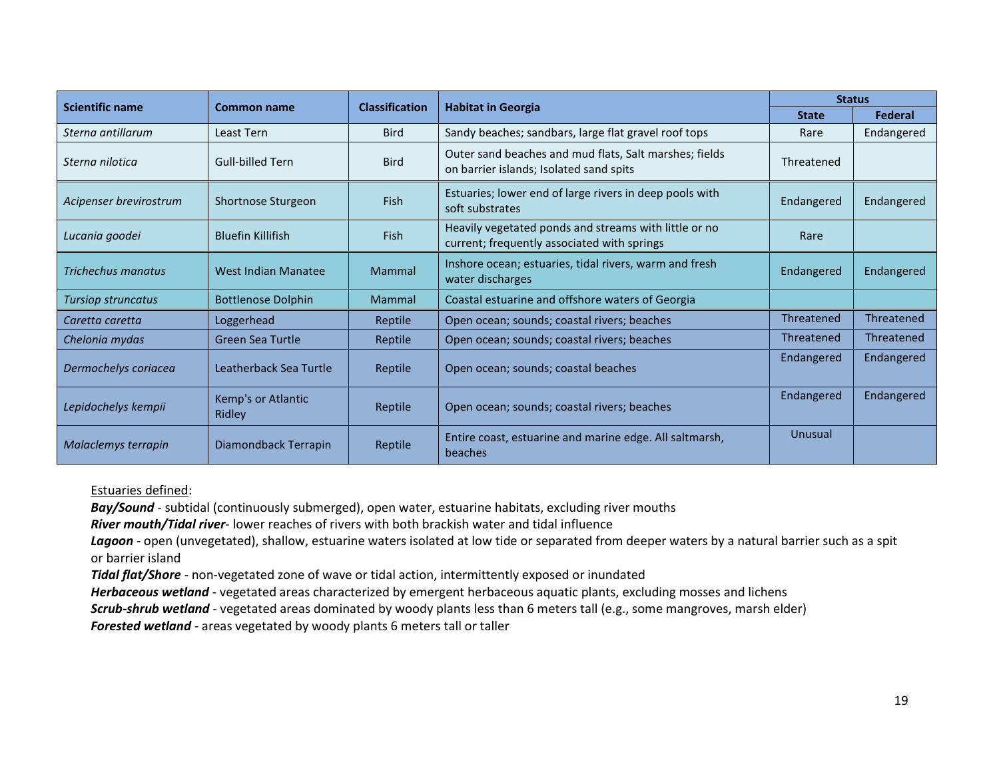| <b>Scientific name</b>    |                              | <b>Classification</b> |                                                                                                      | <b>Status</b> |                |
|---------------------------|------------------------------|-----------------------|------------------------------------------------------------------------------------------------------|---------------|----------------|
|                           | Common name                  |                       | <b>Habitat in Georgia</b>                                                                            | <b>State</b>  | <b>Federal</b> |
| Sterna antillarum         | Least Tern                   | <b>Bird</b>           | Sandy beaches; sandbars, large flat gravel roof tops                                                 | Rare          | Endangered     |
| Sterna nilotica           | <b>Gull-billed Tern</b>      | <b>Bird</b>           | Outer sand beaches and mud flats, Salt marshes; fields<br>on barrier islands; Isolated sand spits    | Threatened    |                |
| Acipenser brevirostrum    | Shortnose Sturgeon           | Fish                  | Estuaries; lower end of large rivers in deep pools with<br>soft substrates                           | Endangered    | Endangered     |
| Lucania goodei            | <b>Bluefin Killifish</b>     | <b>Fish</b>           | Heavily vegetated ponds and streams with little or no<br>current; frequently associated with springs | Rare          |                |
| Trichechus manatus        | <b>West Indian Manatee</b>   | Mammal                | Inshore ocean; estuaries, tidal rivers, warm and fresh<br>water discharges                           | Endangered    | Endangered     |
| <b>Tursiop struncatus</b> | <b>Bottlenose Dolphin</b>    | Mammal                | Coastal estuarine and offshore waters of Georgia                                                     |               |                |
| Caretta caretta           | Loggerhead                   | Reptile               | Open ocean; sounds; coastal rivers; beaches                                                          | Threatened    | Threatened     |
| Chelonia mydas            | Green Sea Turtle             | Reptile               | Open ocean; sounds; coastal rivers; beaches                                                          | Threatened    | Threatened     |
| Dermochelys coriacea      | Leatherback Sea Turtle       | Reptile               | Open ocean; sounds; coastal beaches                                                                  | Endangered    | Endangered     |
| Lepidochelys kempii       | Kemp's or Atlantic<br>Ridley | Reptile               | Open ocean; sounds; coastal rivers; beaches                                                          | Endangered    | Endangered     |
| Malaclemys terrapin       | Diamondback Terrapin         | Reptile               | Entire coast, estuarine and marine edge. All saltmarsh,<br>beaches                                   | Unusual       |                |

#### Estuaries defined:

*Bay/Sound* - subtidal (continuously submerged), open water, estuarine habitats, excluding river mouths

*River mouth/Tidal river*- lower reaches of rivers with both brackish water and tidal influence

Lagoon - open (unvegetated), shallow, estuarine waters isolated at low tide or separated from deeper waters by a natural barrier such as a spit or barrier island

*Tidal flat/Shore* - non-vegetated zone of wave or tidal action, intermittently exposed or inundated

*Herbaceous wetland* - vegetated areas characterized by emergent herbaceous aquatic plants, excluding mosses and lichens

*Scrub-shrub wetland* - vegetated areas dominated by woody plants less than 6 meters tall (e.g., some mangroves, marsh elder)

*Forested wetland* - areas vegetated by woody plants 6 meters tall or taller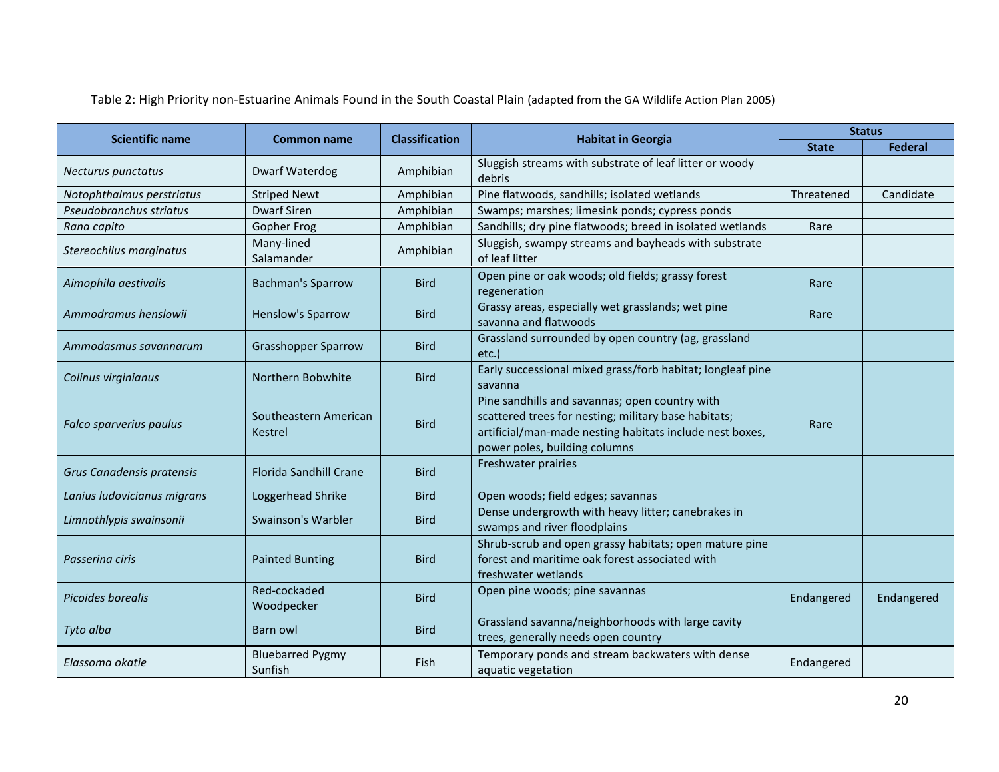Table 2: High Priority non-Estuarine Animals Found in the South Coastal Plain (adapted from the GA Wildlife Action Plan 2005)

| <b>Scientific name</b>      |                                    | <b>Classification</b> |                                                                                                                                                                                                     | <b>Status</b> |                |
|-----------------------------|------------------------------------|-----------------------|-----------------------------------------------------------------------------------------------------------------------------------------------------------------------------------------------------|---------------|----------------|
|                             | <b>Common name</b>                 |                       | <b>Habitat in Georgia</b>                                                                                                                                                                           | <b>State</b>  | <b>Federal</b> |
| Necturus punctatus          | <b>Dwarf Waterdog</b>              | Amphibian             | Sluggish streams with substrate of leaf litter or woody<br>debris                                                                                                                                   |               |                |
| Notophthalmus perstriatus   | <b>Striped Newt</b>                | Amphibian             | Pine flatwoods, sandhills; isolated wetlands                                                                                                                                                        | Threatened    | Candidate      |
| Pseudobranchus striatus     | <b>Dwarf Siren</b>                 | Amphibian             | Swamps; marshes; limesink ponds; cypress ponds                                                                                                                                                      |               |                |
| Rana capito                 | <b>Gopher Frog</b>                 | Amphibian             | Sandhills; dry pine flatwoods; breed in isolated wetlands                                                                                                                                           | Rare          |                |
| Stereochilus marginatus     | Many-lined<br>Salamander           | Amphibian             | Sluggish, swampy streams and bayheads with substrate<br>of leaf litter                                                                                                                              |               |                |
| Aimophila aestivalis        | <b>Bachman's Sparrow</b>           | <b>Bird</b>           | Open pine or oak woods; old fields; grassy forest<br>regeneration                                                                                                                                   | Rare          |                |
| Ammodramus henslowii        | <b>Henslow's Sparrow</b>           | <b>Bird</b>           | Grassy areas, especially wet grasslands; wet pine<br>savanna and flatwoods                                                                                                                          | Rare          |                |
| Ammodasmus savannarum       | <b>Grasshopper Sparrow</b>         | <b>Bird</b>           | Grassland surrounded by open country (ag, grassland<br>etc.)                                                                                                                                        |               |                |
| Colinus virginianus         | Northern Bobwhite                  | <b>Bird</b>           | Early successional mixed grass/forb habitat; longleaf pine<br>savanna                                                                                                                               |               |                |
| Falco sparverius paulus     | Southeastern American<br>Kestrel   | <b>Bird</b>           | Pine sandhills and savannas; open country with<br>scattered trees for nesting; military base habitats;<br>artificial/man-made nesting habitats include nest boxes,<br>power poles, building columns | Rare          |                |
| Grus Canadensis pratensis   | <b>Florida Sandhill Crane</b>      | <b>Bird</b>           | Freshwater prairies                                                                                                                                                                                 |               |                |
| Lanius ludovicianus migrans | Loggerhead Shrike                  | <b>Bird</b>           | Open woods; field edges; savannas                                                                                                                                                                   |               |                |
| Limnothlypis swainsonii     | Swainson's Warbler                 | <b>Bird</b>           | Dense undergrowth with heavy litter; canebrakes in<br>swamps and river floodplains                                                                                                                  |               |                |
| Passerina ciris             | <b>Painted Bunting</b>             | <b>Bird</b>           | Shrub-scrub and open grassy habitats; open mature pine<br>forest and maritime oak forest associated with<br>freshwater wetlands                                                                     |               |                |
| Picoides borealis           | Red-cockaded<br>Woodpecker         | <b>Bird</b>           | Open pine woods; pine savannas                                                                                                                                                                      | Endangered    | Endangered     |
| Tyto alba                   | Barn owl                           | <b>Bird</b>           | Grassland savanna/neighborhoods with large cavity<br>trees, generally needs open country                                                                                                            |               |                |
| Elassoma okatie             | <b>Bluebarred Pygmy</b><br>Sunfish | Fish                  | Temporary ponds and stream backwaters with dense<br>aquatic vegetation                                                                                                                              | Endangered    |                |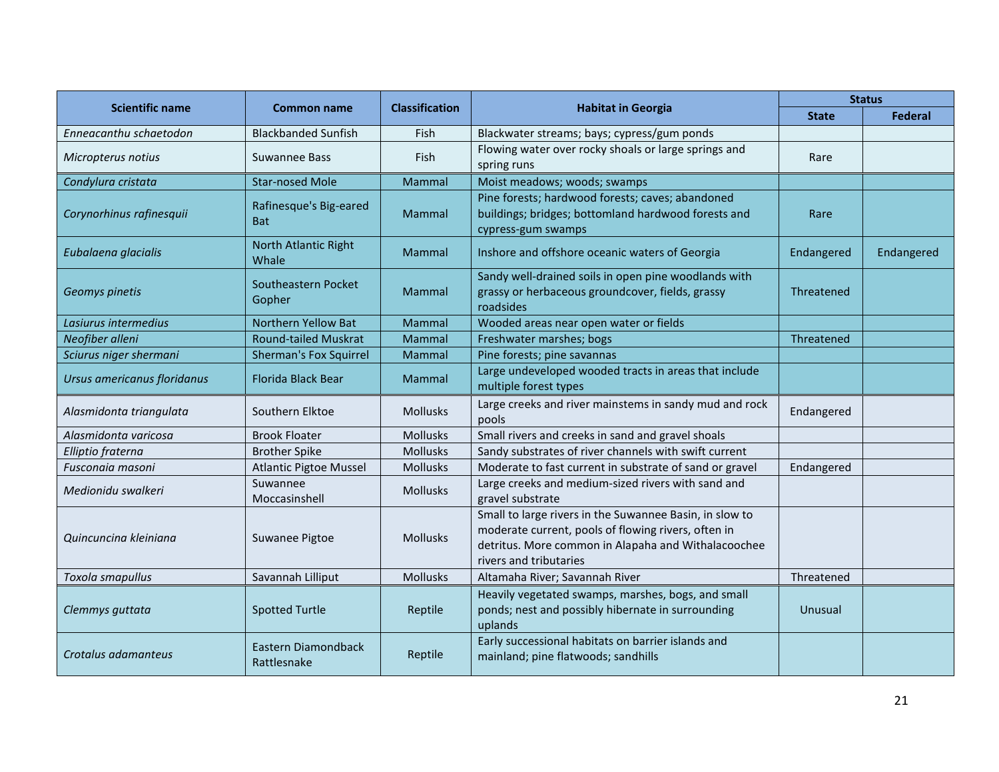| <b>Scientific name</b>      | <b>Common name</b>                   | <b>Classification</b> |                                                                                                                                                                                                 | <b>Status</b> |                |
|-----------------------------|--------------------------------------|-----------------------|-------------------------------------------------------------------------------------------------------------------------------------------------------------------------------------------------|---------------|----------------|
|                             |                                      |                       | <b>Habitat in Georgia</b>                                                                                                                                                                       | <b>State</b>  | <b>Federal</b> |
| Enneacanthu schaetodon      | <b>Blackbanded Sunfish</b>           | Fish                  | Blackwater streams; bays; cypress/gum ponds                                                                                                                                                     |               |                |
| Micropterus notius          | Suwannee Bass                        | Fish                  | Flowing water over rocky shoals or large springs and<br>spring runs                                                                                                                             | Rare          |                |
| Condylura cristata          | <b>Star-nosed Mole</b>               | Mammal                | Moist meadows; woods; swamps                                                                                                                                                                    |               |                |
| Corynorhinus rafinesquii    | Rafinesque's Big-eared<br><b>Bat</b> | <b>Mammal</b>         | Pine forests; hardwood forests; caves; abandoned<br>buildings; bridges; bottomland hardwood forests and<br>cypress-gum swamps                                                                   | Rare          |                |
| Eubalaena glacialis         | North Atlantic Right<br>Whale        | Mammal                | Inshore and offshore oceanic waters of Georgia                                                                                                                                                  | Endangered    | Endangered     |
| Geomys pinetis              | Southeastern Pocket<br>Gopher        | Mammal                | Sandy well-drained soils in open pine woodlands with<br>grassy or herbaceous groundcover, fields, grassy<br>roadsides                                                                           | Threatened    |                |
| Lasiurus intermedius        | Northern Yellow Bat                  | Mammal                | Wooded areas near open water or fields                                                                                                                                                          |               |                |
| Neofiber alleni             | <b>Round-tailed Muskrat</b>          | Mammal                | Freshwater marshes; bogs                                                                                                                                                                        | Threatened    |                |
| Sciurus niger shermani      | <b>Sherman's Fox Squirrel</b>        | Mammal                | Pine forests; pine savannas                                                                                                                                                                     |               |                |
| Ursus americanus floridanus | <b>Florida Black Bear</b>            | <b>Mammal</b>         | Large undeveloped wooded tracts in areas that include<br>multiple forest types                                                                                                                  |               |                |
| Alasmidonta triangulata     | Southern Elktoe                      | <b>Mollusks</b>       | Large creeks and river mainstems in sandy mud and rock<br>pools                                                                                                                                 | Endangered    |                |
| Alasmidonta varicosa        | <b>Brook Floater</b>                 | <b>Mollusks</b>       | Small rivers and creeks in sand and gravel shoals                                                                                                                                               |               |                |
| Elliptio fraterna           | <b>Brother Spike</b>                 | <b>Mollusks</b>       | Sandy substrates of river channels with swift current                                                                                                                                           |               |                |
| Fusconaia masoni            | <b>Atlantic Pigtoe Mussel</b>        | <b>Mollusks</b>       | Moderate to fast current in substrate of sand or gravel                                                                                                                                         | Endangered    |                |
| Medionidu swalkeri          | Suwannee<br>Moccasinshell            | <b>Mollusks</b>       | Large creeks and medium-sized rivers with sand and<br>gravel substrate                                                                                                                          |               |                |
| Quincuncina kleiniana       | Suwanee Pigtoe                       | <b>Mollusks</b>       | Small to large rivers in the Suwannee Basin, in slow to<br>moderate current, pools of flowing rivers, often in<br>detritus. More common in Alapaha and Withalacoochee<br>rivers and tributaries |               |                |
| Toxola smapullus            | Savannah Lilliput                    | <b>Mollusks</b>       | Altamaha River; Savannah River                                                                                                                                                                  | Threatened    |                |
| Clemmys guttata             | <b>Spotted Turtle</b>                | Reptile               | Heavily vegetated swamps, marshes, bogs, and small<br>ponds; nest and possibly hibernate in surrounding<br>uplands                                                                              | Unusual       |                |
| Crotalus adamanteus         | Eastern Diamondback<br>Rattlesnake   | Reptile               | Early successional habitats on barrier islands and<br>mainland; pine flatwoods; sandhills                                                                                                       |               |                |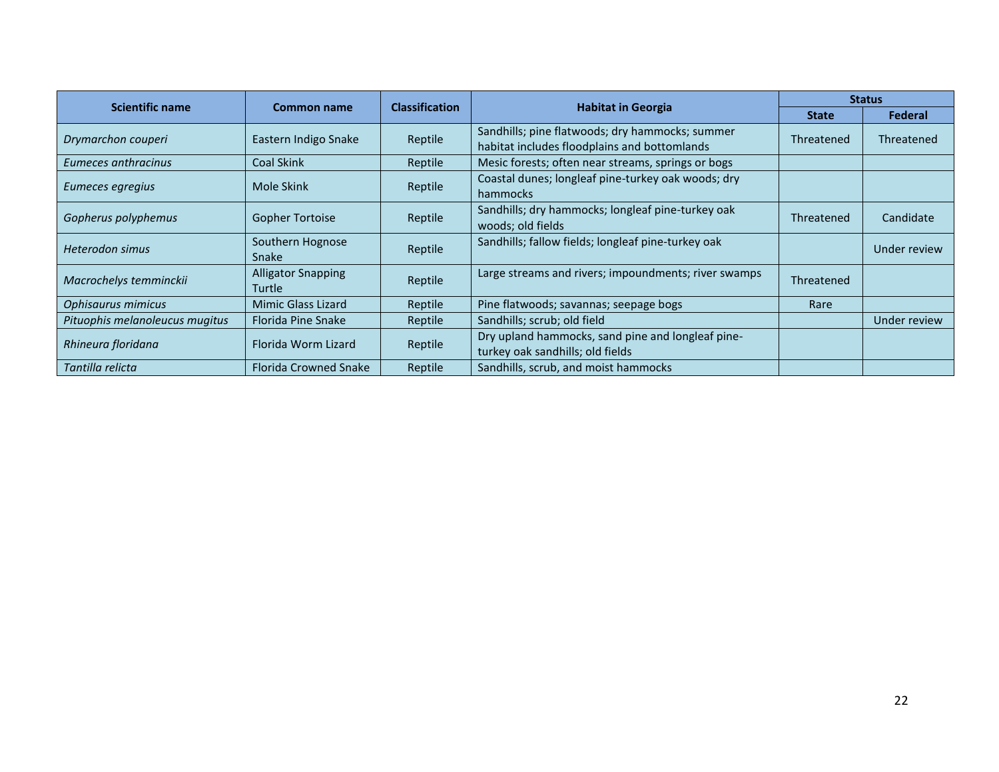| <b>Scientific name</b>         |                                     | <b>Classification</b> |                                                                                                 | <b>Status</b> |              |
|--------------------------------|-------------------------------------|-----------------------|-------------------------------------------------------------------------------------------------|---------------|--------------|
|                                | Common name                         |                       | <b>Habitat in Georgia</b>                                                                       | <b>State</b>  | Federal      |
| Drymarchon couperi             | Eastern Indigo Snake                | Reptile               | Sandhills; pine flatwoods; dry hammocks; summer<br>habitat includes floodplains and bottomlands | Threatened    | Threatened   |
| Eumeces anthracinus            | Coal Skink                          | Reptile               | Mesic forests; often near streams, springs or bogs                                              |               |              |
| Eumeces egregius               | Mole Skink                          | Reptile               | Coastal dunes; longleaf pine-turkey oak woods; dry<br>hammocks                                  |               |              |
| Gopherus polyphemus            | <b>Gopher Tortoise</b>              | Reptile               | Sandhills; dry hammocks; longleaf pine-turkey oak<br>woods; old fields                          | Threatened    | Candidate    |
| <b>Heterodon simus</b>         | Southern Hognose<br>Snake           | Reptile               | Sandhills; fallow fields; longleaf pine-turkey oak                                              |               | Under review |
| Macrochelys temminckii         | <b>Alligator Snapping</b><br>Turtle | Reptile               | Large streams and rivers; impoundments; river swamps                                            | Threatened    |              |
| Ophisaurus mimicus             | Mimic Glass Lizard                  | Reptile               | Pine flatwoods; savannas; seepage bogs                                                          | Rare          |              |
| Pituophis melanoleucus mugitus | Florida Pine Snake                  | Reptile               | Sandhills; scrub; old field                                                                     |               | Under review |
| Rhineura floridana             | Florida Worm Lizard                 | Reptile               | Dry upland hammocks, sand pine and longleaf pine-<br>turkey oak sandhills; old fields           |               |              |
| Tantilla relicta               | Florida Crowned Snake               | Reptile               | Sandhills, scrub, and moist hammocks                                                            |               |              |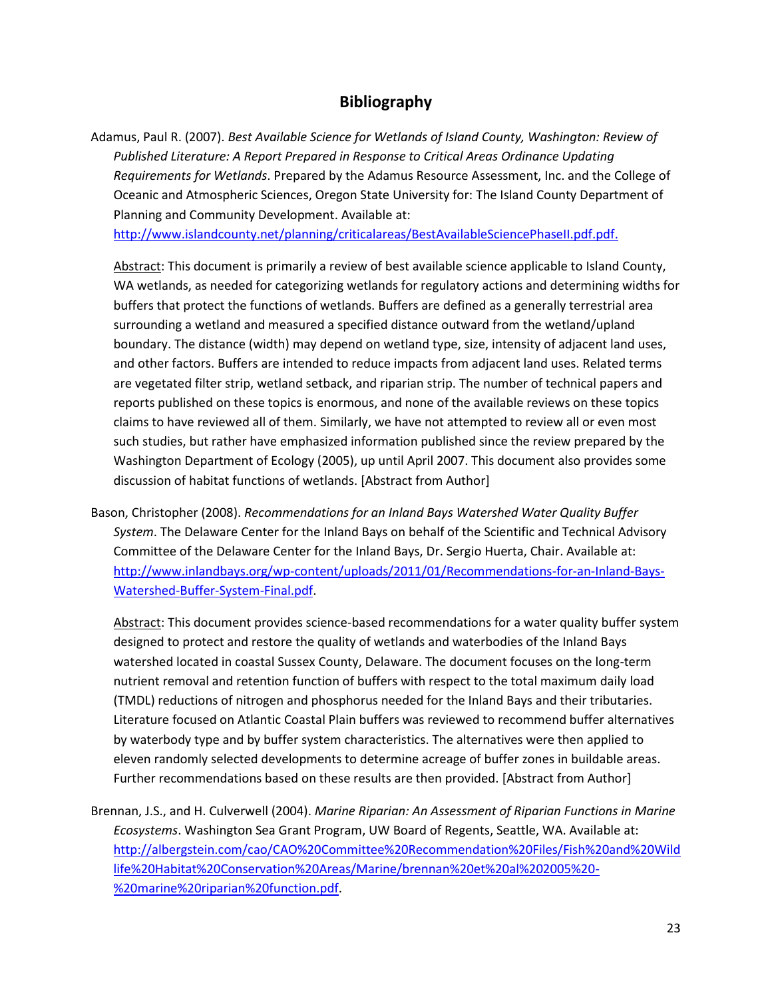## **Bibliography**

Adamus, Paul R. (2007). *Best Available Science for Wetlands of Island County, Washington: Review of Published Literature: A Report Prepared in Response to Critical Areas Ordinance Updating Requirements for Wetlands*. Prepared by the Adamus Resource Assessment, Inc. and the College of Oceanic and Atmospheric Sciences, Oregon State University for: The Island County Department of Planning and Community Development. Available at: [http://www.islandcounty.net/planning/criticalareas/BestAvailableSciencePhaseII.pdf.pdf.](http://www.islandcounty.net/planning/criticalareas/BestAvailableSciencePhaseII.pdf.pdf)

Abstract: This document is primarily a review of best available science applicable to Island County, WA wetlands, as needed for categorizing wetlands for regulatory actions and determining widths for buffers that protect the functions of wetlands. Buffers are defined as a generally terrestrial area surrounding a wetland and measured a specified distance outward from the wetland/upland boundary. The distance (width) may depend on wetland type, size, intensity of adjacent land uses, and other factors. Buffers are intended to reduce impacts from adjacent land uses. Related terms are vegetated filter strip, wetland setback, and riparian strip. The number of technical papers and reports published on these topics is enormous, and none of the available reviews on these topics claims to have reviewed all of them. Similarly, we have not attempted to review all or even most such studies, but rather have emphasized information published since the review prepared by the Washington Department of Ecology (2005), up until April 2007. This document also provides some discussion of habitat functions of wetlands. [Abstract from Author]

Bason, Christopher (2008). *Recommendations for an Inland Bays Watershed Water Quality Buffer System*. The Delaware Center for the Inland Bays on behalf of the Scientific and Technical Advisory Committee of the Delaware Center for the Inland Bays, Dr. Sergio Huerta, Chair. Available at: [http://www.inlandbays.org/wp-content/uploads/2011/01/Recommendations-for-an-Inland-Bays-](http://www.inlandbays.org/wp-content/uploads/2011/01/Recommendations-for-an-Inland-Bays-Watershed-Buffer-System-Final.pdf)[Watershed-Buffer-System-Final.pdf.](http://www.inlandbays.org/wp-content/uploads/2011/01/Recommendations-for-an-Inland-Bays-Watershed-Buffer-System-Final.pdf)

Abstract: This document provides science-based recommendations for a water quality buffer system designed to protect and restore the quality of wetlands and waterbodies of the Inland Bays watershed located in coastal Sussex County, Delaware. The document focuses on the long-term nutrient removal and retention function of buffers with respect to the total maximum daily load (TMDL) reductions of nitrogen and phosphorus needed for the Inland Bays and their tributaries. Literature focused on Atlantic Coastal Plain buffers was reviewed to recommend buffer alternatives by waterbody type and by buffer system characteristics. The alternatives were then applied to eleven randomly selected developments to determine acreage of buffer zones in buildable areas. Further recommendations based on these results are then provided. [Abstract from Author]

Brennan, J.S., and H. Culverwell (2004). *Marine Riparian: An Assessment of Riparian Functions in Marine Ecosystems*. Washington Sea Grant Program, UW Board of Regents, Seattle, WA. Available at: [http://albergstein.com/cao/CAO%20Committee%20Recommendation%20Files/Fish%20and%20Wild](http://albergstein.com/cao/CAO%20Committee%20Recommendation%20Files/Fish%20and%20Wildlife%20Habitat%20Conservation%20Areas/Marine/brennan%20et%20al%202005%20-%20marine%20riparian%20function.pdf) [life%20Habitat%20Conservation%20Areas/Marine/brennan%20et%20al%202005%20-](http://albergstein.com/cao/CAO%20Committee%20Recommendation%20Files/Fish%20and%20Wildlife%20Habitat%20Conservation%20Areas/Marine/brennan%20et%20al%202005%20-%20marine%20riparian%20function.pdf) [%20marine%20riparian%20function.pdf.](http://albergstein.com/cao/CAO%20Committee%20Recommendation%20Files/Fish%20and%20Wildlife%20Habitat%20Conservation%20Areas/Marine/brennan%20et%20al%202005%20-%20marine%20riparian%20function.pdf)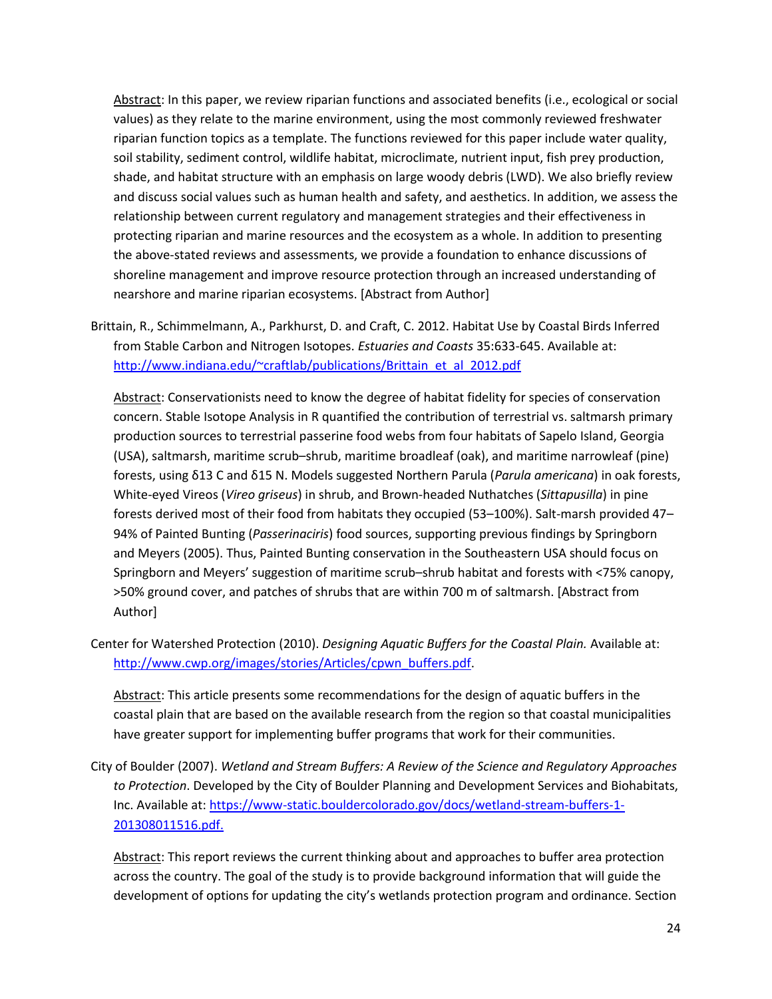Abstract: In this paper, we review riparian functions and associated benefits (i.e., ecological or social values) as they relate to the marine environment, using the most commonly reviewed freshwater riparian function topics as a template. The functions reviewed for this paper include water quality, soil stability, sediment control, wildlife habitat, microclimate, nutrient input, fish prey production, shade, and habitat structure with an emphasis on large woody debris (LWD). We also briefly review and discuss social values such as human health and safety, and aesthetics. In addition, we assess the relationship between current regulatory and management strategies and their effectiveness in protecting riparian and marine resources and the ecosystem as a whole. In addition to presenting the above-stated reviews and assessments, we provide a foundation to enhance discussions of shoreline management and improve resource protection through an increased understanding of nearshore and marine riparian ecosystems. [Abstract from Author]

Brittain, R., Schimmelmann, A., Parkhurst, D. and Craft, C. 2012. Habitat Use by Coastal Birds Inferred from Stable Carbon and Nitrogen Isotopes. *Estuaries and Coasts* 35:633-645. Available at: [http://www.indiana.edu/~craftlab/publications/Brittain\\_et\\_al\\_2012.pdf](http://www.indiana.edu/~craftlab/publications/Brittain_et_al_2012.pdf)

Abstract: Conservationists need to know the degree of habitat fidelity for species of conservation concern. Stable Isotope Analysis in R quantified the contribution of terrestrial vs. saltmarsh primary production sources to terrestrial passerine food webs from four habitats of Sapelo Island, Georgia (USA), saltmarsh, maritime scrub–shrub, maritime broadleaf (oak), and maritime narrowleaf (pine) forests, using δ13 C and δ15 N. Models suggested Northern Parula (*Parula americana*) in oak forests, White-eyed Vireos (*Vireo griseus*) in shrub, and Brown-headed Nuthatches (*Sittapusilla*) in pine forests derived most of their food from habitats they occupied (53–100%). Salt-marsh provided 47– 94% of Painted Bunting (*Passerinaciris*) food sources, supporting previous findings by Springborn and Meyers (2005). Thus, Painted Bunting conservation in the Southeastern USA should focus on Springborn and Meyers' suggestion of maritime scrub–shrub habitat and forests with <75% canopy, >50% ground cover, and patches of shrubs that are within 700 m of saltmarsh. [Abstract from Author]

Center for Watershed Protection (2010). *Designing Aquatic Buffers for the Coastal Plain.* Available at: [http://www.cwp.org/images/stories/Articles/cpwn\\_buffers.pdf.](http://www.cwp.org/images/stories/Articles/cpwn_buffers.pdf)

Abstract: This article presents some recommendations for the design of aquatic buffers in the coastal plain that are based on the available research from the region so that coastal municipalities have greater support for implementing buffer programs that work for their communities.

City of Boulder (2007). *Wetland and Stream Buffers: A Review of the Science and Regulatory Approaches to Protection*. Developed by the City of Boulder Planning and Development Services and Biohabitats, Inc. Available at: [https://www-static.bouldercolorado.gov/docs/wetland-stream-buffers-1-](https://www-static.bouldercolorado.gov/docs/wetland-stream-buffers-1-201308011516.pdf) [201308011516.pdf.](https://www-static.bouldercolorado.gov/docs/wetland-stream-buffers-1-201308011516.pdf)

Abstract: This report reviews the current thinking about and approaches to buffer area protection across the country. The goal of the study is to provide background information that will guide the development of options for updating the city's wetlands protection program and ordinance. Section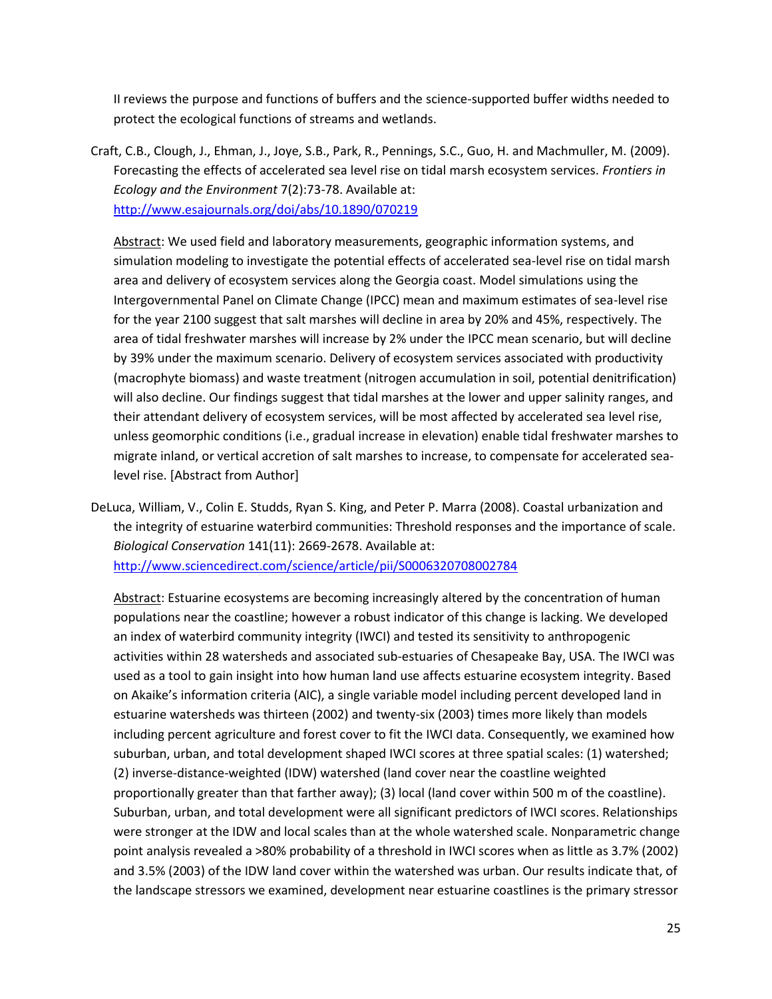II reviews the purpose and functions of buffers and the science-supported buffer widths needed to protect the ecological functions of streams and wetlands.

Craft, C.B., Clough, J., Ehman, J., Joye, S.B., Park, R., Pennings, S.C., Guo, H. and Machmuller, M. (2009). Forecasting the effects of accelerated sea level rise on tidal marsh ecosystem services. *Frontiers in Ecology and the Environment* 7(2):73-78. Available at: <http://www.esajournals.org/doi/abs/10.1890/070219>

Abstract: We used field and laboratory measurements, geographic information systems, and simulation modeling to investigate the potential effects of accelerated sea-level rise on tidal marsh area and delivery of ecosystem services along the Georgia coast. Model simulations using the Intergovernmental Panel on Climate Change (IPCC) mean and maximum estimates of sea-level rise for the year 2100 suggest that salt marshes will decline in area by 20% and 45%, respectively. The area of tidal freshwater marshes will increase by 2% under the IPCC mean scenario, but will decline by 39% under the maximum scenario. Delivery of ecosystem services associated with productivity (macrophyte biomass) and waste treatment (nitrogen accumulation in soil, potential denitrification) will also decline. Our findings suggest that tidal marshes at the lower and upper salinity ranges, and their attendant delivery of ecosystem services, will be most affected by accelerated sea level rise, unless geomorphic conditions (i.e., gradual increase in elevation) enable tidal freshwater marshes to migrate inland, or vertical accretion of salt marshes to increase, to compensate for accelerated sealevel rise. [Abstract from Author]

DeLuca, William, V., Colin E. Studds, Ryan S. King, and Peter P. Marra (2008). Coastal urbanization and the integrity of estuarine waterbird communities: Threshold responses and the importance of scale. *Biological Conservation* 141(11): 2669-2678. Available at: <http://www.sciencedirect.com/science/article/pii/S0006320708002784>

Abstract: Estuarine ecosystems are becoming increasingly altered by the concentration of human populations near the coastline; however a robust indicator of this change is lacking. We developed an index of waterbird community integrity (IWCI) and tested its sensitivity to anthropogenic activities within 28 watersheds and associated sub-estuaries of Chesapeake Bay, USA. The IWCI was used as a tool to gain insight into how human land use affects estuarine ecosystem integrity. Based on Akaike's information criteria (AIC), a single variable model including percent developed land in estuarine watersheds was thirteen (2002) and twenty-six (2003) times more likely than models including percent agriculture and forest cover to fit the IWCI data. Consequently, we examined how suburban, urban, and total development shaped IWCI scores at three spatial scales: (1) watershed; (2) inverse-distance-weighted (IDW) watershed (land cover near the coastline weighted proportionally greater than that farther away); (3) local (land cover within 500 m of the coastline). Suburban, urban, and total development were all significant predictors of IWCI scores. Relationships were stronger at the IDW and local scales than at the whole watershed scale. Nonparametric change point analysis revealed a >80% probability of a threshold in IWCI scores when as little as 3.7% (2002) and 3.5% (2003) of the IDW land cover within the watershed was urban. Our results indicate that, of the landscape stressors we examined, development near estuarine coastlines is the primary stressor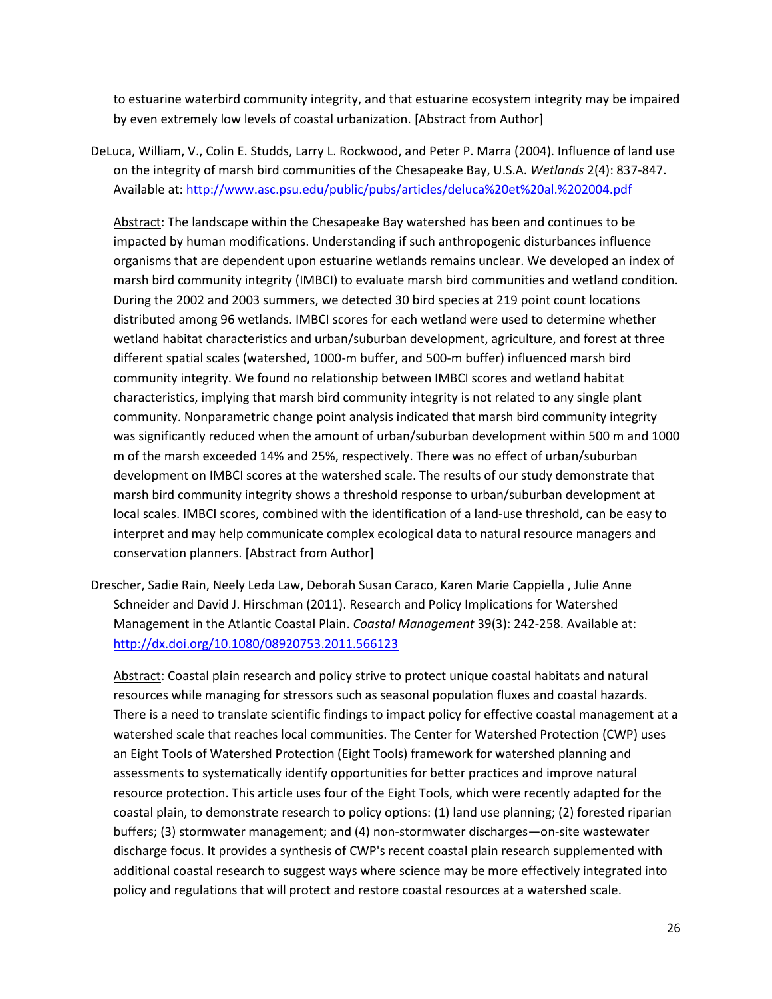to estuarine waterbird community integrity, and that estuarine ecosystem integrity may be impaired by even extremely low levels of coastal urbanization. [Abstract from Author]

DeLuca, William, V., Colin E. Studds, Larry L. Rockwood, and Peter P. Marra (2004). Influence of land use on the integrity of marsh bird communities of the Chesapeake Bay, U.S.A. *Wetlands* 2(4): 837-847. Available at[: http://www.asc.psu.edu/public/pubs/articles/deluca%20et%20al.%202004.pdf](http://www.asc.psu.edu/public/pubs/articles/deluca%20et%20al.%202004.pdf)

Abstract: The landscape within the Chesapeake Bay watershed has been and continues to be impacted by human modifications. Understanding if such anthropogenic disturbances influence organisms that are dependent upon estuarine wetlands remains unclear. We developed an index of marsh bird community integrity (IMBCI) to evaluate marsh bird communities and wetland condition. During the 2002 and 2003 summers, we detected 30 bird species at 219 point count locations distributed among 96 wetlands. IMBCI scores for each wetland were used to determine whether wetland habitat characteristics and urban/suburban development, agriculture, and forest at three different spatial scales (watershed, 1000-m buffer, and 500-m buffer) influenced marsh bird community integrity. We found no relationship between IMBCI scores and wetland habitat characteristics, implying that marsh bird community integrity is not related to any single plant community. Nonparametric change point analysis indicated that marsh bird community integrity was significantly reduced when the amount of urban/suburban development within 500 m and 1000 m of the marsh exceeded 14% and 25%, respectively. There was no effect of urban/suburban development on IMBCI scores at the watershed scale. The results of our study demonstrate that marsh bird community integrity shows a threshold response to urban/suburban development at local scales. IMBCI scores, combined with the identification of a land-use threshold, can be easy to interpret and may help communicate complex ecological data to natural resource managers and conservation planners. [Abstract from Author]

Drescher, Sadie Rain, Neely Leda Law, Deborah Susan Caraco, Karen Marie Cappiella , Julie Anne Schneider and David J. Hirschman (2011). Research and Policy Implications for Watershed Management in the Atlantic Coastal Plain. *Coastal Management* 39(3): 242-258. Available at: <http://dx.doi.org/10.1080/08920753.2011.566123>

Abstract: Coastal plain research and policy strive to protect unique coastal habitats and natural resources while managing for stressors such as seasonal population fluxes and coastal hazards. There is a need to translate scientific findings to impact policy for effective coastal management at a watershed scale that reaches local communities. The Center for Watershed Protection (CWP) uses an Eight Tools of Watershed Protection (Eight Tools) framework for watershed planning and assessments to systematically identify opportunities for better practices and improve natural resource protection. This article uses four of the Eight Tools, which were recently adapted for the coastal plain, to demonstrate research to policy options: (1) land use planning; (2) forested riparian buffers; (3) stormwater management; and (4) non-stormwater discharges—on-site wastewater discharge focus. It provides a synthesis of CWP's recent coastal plain research supplemented with additional coastal research to suggest ways where science may be more effectively integrated into policy and regulations that will protect and restore coastal resources at a watershed scale.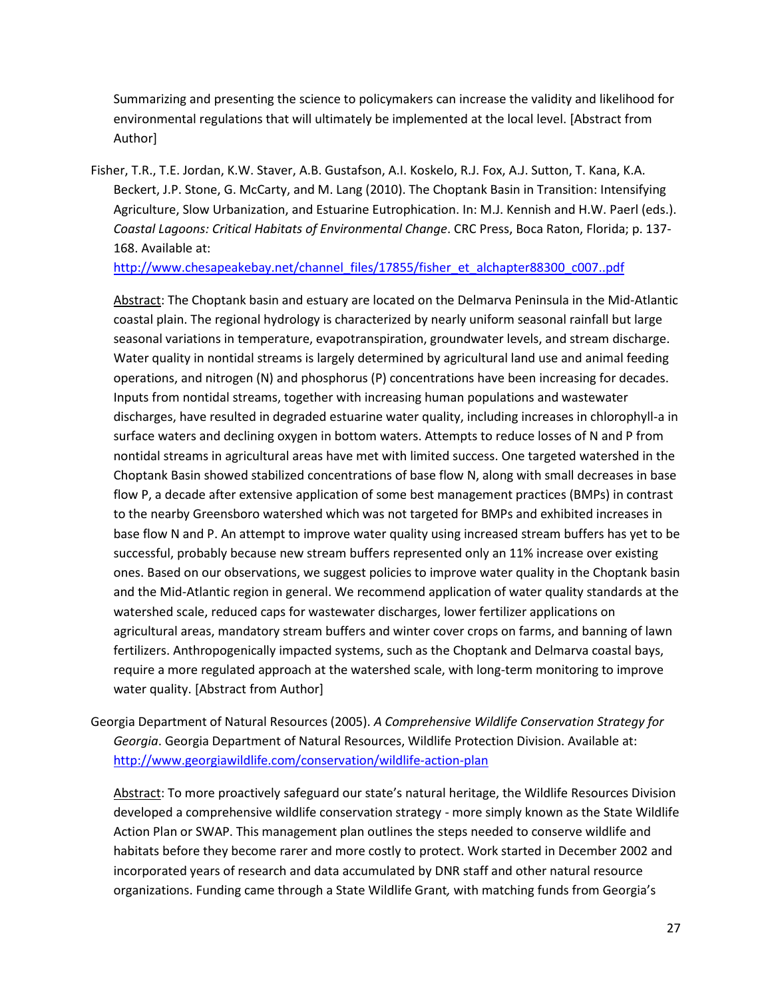Summarizing and presenting the science to policymakers can increase the validity and likelihood for environmental regulations that will ultimately be implemented at the local level. [Abstract from Author]

Fisher, T.R., T.E. Jordan, K.W. Staver, A.B. Gustafson, A.I. Koskelo, R.J. Fox, A.J. Sutton, T. Kana, K.A. Beckert, J.P. Stone, G. McCarty, and M. Lang (2010). The Choptank Basin in Transition: Intensifying Agriculture, Slow Urbanization, and Estuarine Eutrophication. In: M.J. Kennish and H.W. Paerl (eds.). *Coastal Lagoons: Critical Habitats of Environmental Change*. CRC Press, Boca Raton, Florida; p. 137- 168. Available at:

[http://www.chesapeakebay.net/channel\\_files/17855/fisher\\_et\\_alchapter88300\\_c007..pdf](http://www.chesapeakebay.net/channel_files/17855/fisher_et_alchapter88300_c007..pdf)

Abstract: The Choptank basin and estuary are located on the Delmarva Peninsula in the Mid-Atlantic coastal plain. The regional hydrology is characterized by nearly uniform seasonal rainfall but large seasonal variations in temperature, evapotranspiration, groundwater levels, and stream discharge. Water quality in nontidal streams is largely determined by agricultural land use and animal feeding operations, and nitrogen (N) and phosphorus (P) concentrations have been increasing for decades. Inputs from nontidal streams, together with increasing human populations and wastewater discharges, have resulted in degraded estuarine water quality, including increases in chlorophyll-a in surface waters and declining oxygen in bottom waters. Attempts to reduce losses of N and P from nontidal streams in agricultural areas have met with limited success. One targeted watershed in the Choptank Basin showed stabilized concentrations of base flow N, along with small decreases in base flow P, a decade after extensive application of some best management practices (BMPs) in contrast to the nearby Greensboro watershed which was not targeted for BMPs and exhibited increases in base flow N and P. An attempt to improve water quality using increased stream buffers has yet to be successful, probably because new stream buffers represented only an 11% increase over existing ones. Based on our observations, we suggest policies to improve water quality in the Choptank basin and the Mid-Atlantic region in general. We recommend application of water quality standards at the watershed scale, reduced caps for wastewater discharges, lower fertilizer applications on agricultural areas, mandatory stream buffers and winter cover crops on farms, and banning of lawn fertilizers. Anthropogenically impacted systems, such as the Choptank and Delmarva coastal bays, require a more regulated approach at the watershed scale, with long-term monitoring to improve water quality. [Abstract from Author]

Georgia Department of Natural Resources (2005). *A Comprehensive Wildlife Conservation Strategy for Georgia*. Georgia Department of Natural Resources, Wildlife Protection Division. Available at: <http://www.georgiawildlife.com/conservation/wildlife-action-plan>

Abstract: To more proactively safeguard our state's natural heritage, the Wildlife Resources Division developed a comprehensive wildlife conservation strategy - more simply known as the State Wildlife Action Plan or SWAP. This management plan outlines the steps needed to conserve wildlife and habitats before they become rarer and more costly to protect. Work started in December 2002 and incorporated years of research and data accumulated by DNR staff and other natural resource organizations. Funding came through a State Wildlife Grant*,* with matching funds from Georgia's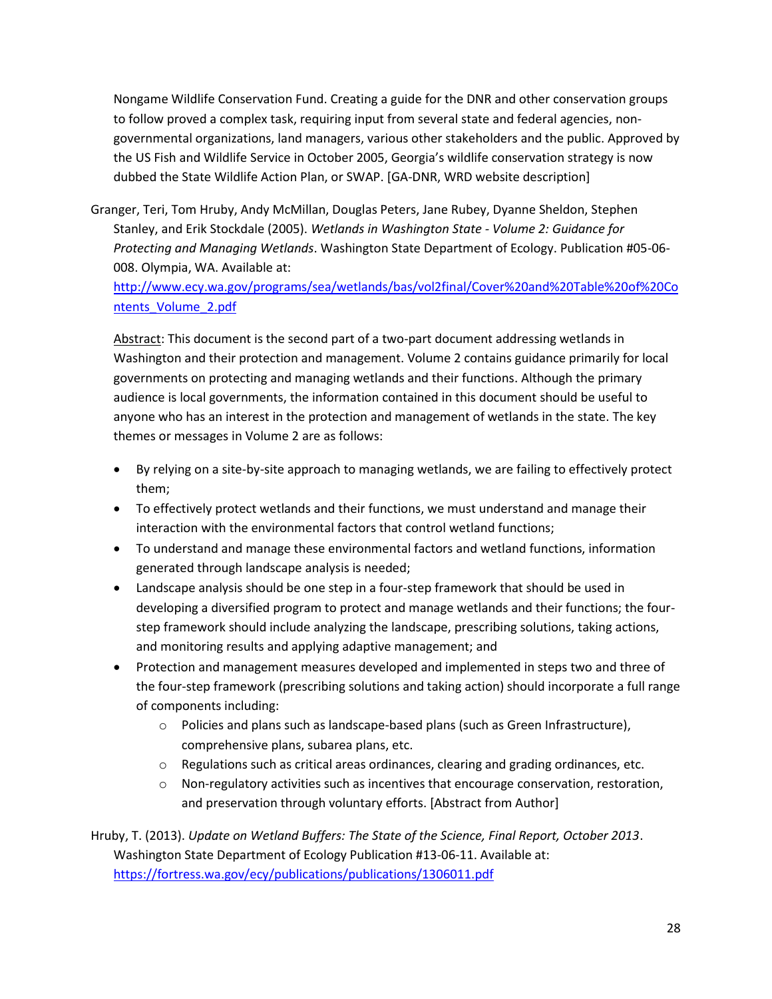Nongame Wildlife Conservation Fund. Creating a guide for the DNR and other conservation groups to follow proved a complex task, requiring input from several state and federal agencies, nongovernmental organizations, land managers, various other stakeholders and the public. Approved by the US Fish and Wildlife Service in October 2005, Georgia's wildlife conservation strategy is now dubbed the State Wildlife Action Plan, or SWAP. [GA-DNR, WRD website description]

Granger, Teri, Tom Hruby, Andy McMillan, Douglas Peters, Jane Rubey, Dyanne Sheldon, Stephen Stanley, and Erik Stockdale (2005). *Wetlands in Washington State - Volume 2: Guidance for Protecting and Managing Wetlands*. Washington State Department of Ecology. Publication #05-06- 008. Olympia, WA. Available at:

[http://www.ecy.wa.gov/programs/sea/wetlands/bas/vol2final/Cover%20and%20Table%20of%20Co](http://www.ecy.wa.gov/programs/sea/wetlands/bas/vol2final/Cover%20and%20Table%20of%20Contents_Volume_2.pdf) [ntents\\_Volume\\_2.pdf](http://www.ecy.wa.gov/programs/sea/wetlands/bas/vol2final/Cover%20and%20Table%20of%20Contents_Volume_2.pdf)

Abstract: This document is the second part of a two-part document addressing wetlands in Washington and their protection and management. Volume 2 contains guidance primarily for local governments on protecting and managing wetlands and their functions. Although the primary audience is local governments, the information contained in this document should be useful to anyone who has an interest in the protection and management of wetlands in the state. The key themes or messages in Volume 2 are as follows:

- By relying on a site-by-site approach to managing wetlands, we are failing to effectively protect them;
- To effectively protect wetlands and their functions, we must understand and manage their interaction with the environmental factors that control wetland functions;
- To understand and manage these environmental factors and wetland functions, information generated through landscape analysis is needed;
- Landscape analysis should be one step in a four-step framework that should be used in developing a diversified program to protect and manage wetlands and their functions; the fourstep framework should include analyzing the landscape, prescribing solutions, taking actions, and monitoring results and applying adaptive management; and
- Protection and management measures developed and implemented in steps two and three of the four-step framework (prescribing solutions and taking action) should incorporate a full range of components including:
	- $\circ$  Policies and plans such as landscape-based plans (such as Green Infrastructure), comprehensive plans, subarea plans, etc.
	- $\circ$  Regulations such as critical areas ordinances, clearing and grading ordinances, etc.
	- $\circ$  Non-regulatory activities such as incentives that encourage conservation, restoration, and preservation through voluntary efforts. [Abstract from Author]

Hruby, T. (2013). *Update on Wetland Buffers: The State of the Science, Final Report, October 2013*. Washington State Department of Ecology Publication #13-06-11. Available at: <https://fortress.wa.gov/ecy/publications/publications/1306011.pdf>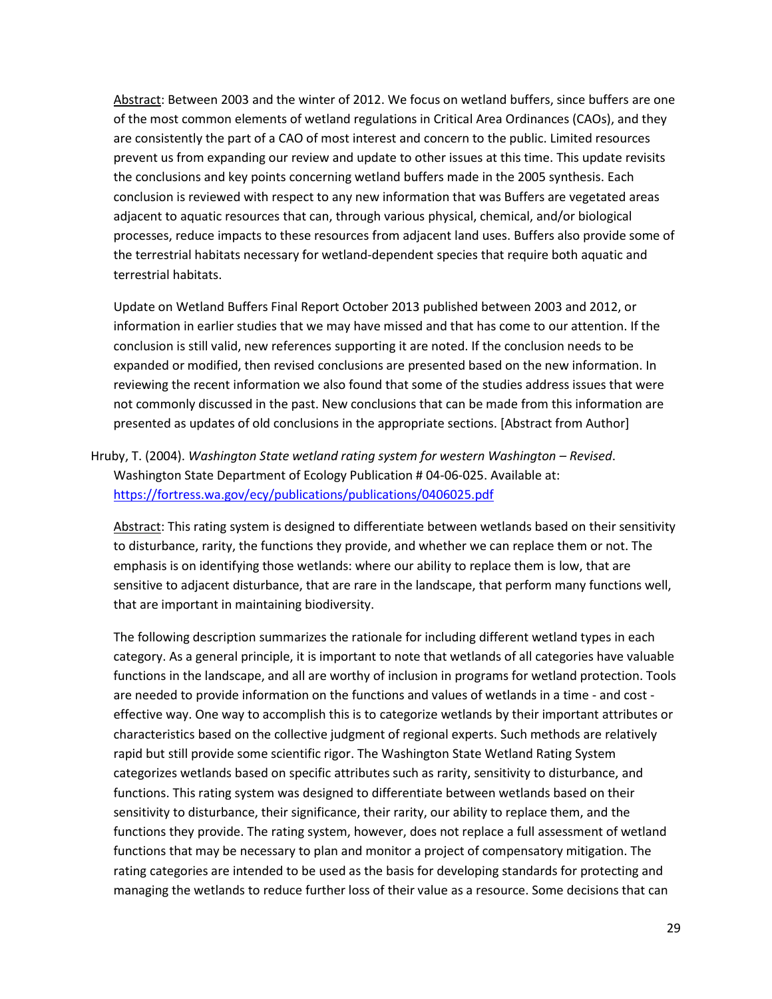Abstract: Between 2003 and the winter of 2012. We focus on wetland buffers, since buffers are one of the most common elements of wetland regulations in Critical Area Ordinances (CAOs), and they are consistently the part of a CAO of most interest and concern to the public. Limited resources prevent us from expanding our review and update to other issues at this time. This update revisits the conclusions and key points concerning wetland buffers made in the 2005 synthesis. Each conclusion is reviewed with respect to any new information that was Buffers are vegetated areas adjacent to aquatic resources that can, through various physical, chemical, and/or biological processes, reduce impacts to these resources from adjacent land uses. Buffers also provide some of the terrestrial habitats necessary for wetland-dependent species that require both aquatic and terrestrial habitats.

Update on Wetland Buffers Final Report October 2013 published between 2003 and 2012, or information in earlier studies that we may have missed and that has come to our attention. If the conclusion is still valid, new references supporting it are noted. If the conclusion needs to be expanded or modified, then revised conclusions are presented based on the new information. In reviewing the recent information we also found that some of the studies address issues that were not commonly discussed in the past. New conclusions that can be made from this information are presented as updates of old conclusions in the appropriate sections. [Abstract from Author]

Hruby, T. (2004). *Washington State wetland rating system for western Washington – Revised*. Washington State Department of Ecology Publication # 04-06-025. Available at: <https://fortress.wa.gov/ecy/publications/publications/0406025.pdf>

Abstract: This rating system is designed to differentiate between wetlands based on their sensitivity to disturbance, rarity, the functions they provide, and whether we can replace them or not. The emphasis is on identifying those wetlands: where our ability to replace them is low, that are sensitive to adjacent disturbance, that are rare in the landscape, that perform many functions well, that are important in maintaining biodiversity.

The following description summarizes the rationale for including different wetland types in each category. As a general principle, it is important to note that wetlands of all categories have valuable functions in the landscape, and all are worthy of inclusion in programs for wetland protection. Tools are needed to provide information on the functions and values of wetlands in a time - and cost effective way. One way to accomplish this is to categorize wetlands by their important attributes or characteristics based on the collective judgment of regional experts. Such methods are relatively rapid but still provide some scientific rigor. The Washington State Wetland Rating System categorizes wetlands based on specific attributes such as rarity, sensitivity to disturbance, and functions. This rating system was designed to differentiate between wetlands based on their sensitivity to disturbance, their significance, their rarity, our ability to replace them, and the functions they provide. The rating system, however, does not replace a full assessment of wetland functions that may be necessary to plan and monitor a project of compensatory mitigation. The rating categories are intended to be used as the basis for developing standards for protecting and managing the wetlands to reduce further loss of their value as a resource. Some decisions that can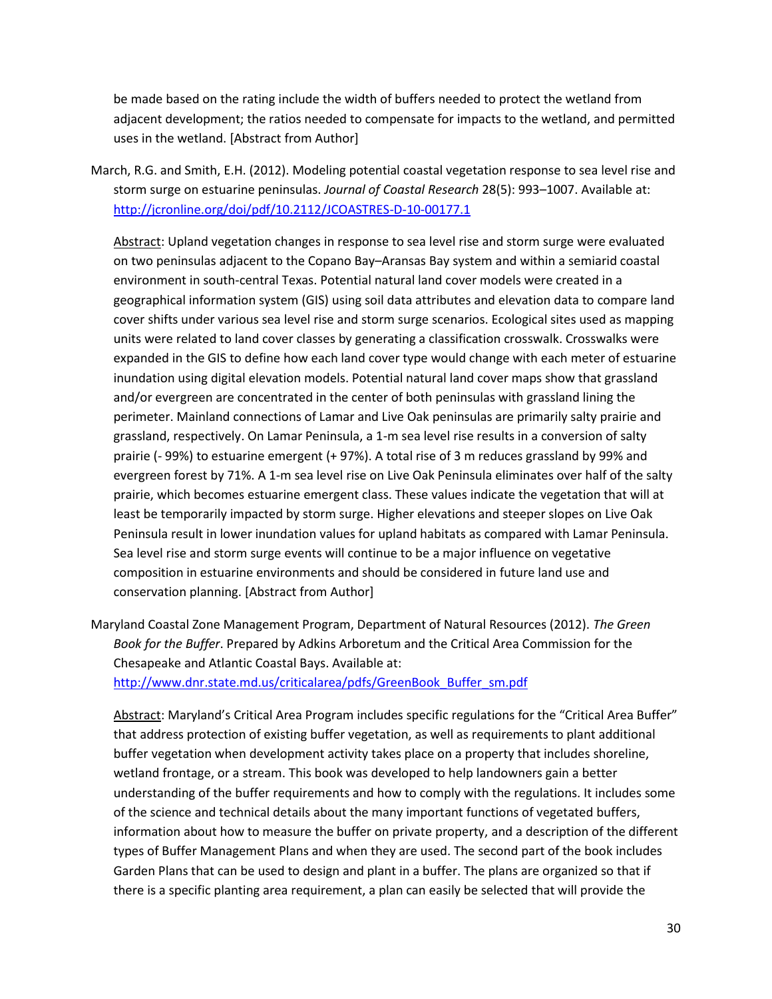be made based on the rating include the width of buffers needed to protect the wetland from adjacent development; the ratios needed to compensate for impacts to the wetland, and permitted uses in the wetland. [Abstract from Author]

March, R.G. and Smith, E.H. (2012). Modeling potential coastal vegetation response to sea level rise and storm surge on estuarine peninsulas. *Journal of Coastal Research* 28(5): 993–1007. Available at: <http://jcronline.org/doi/pdf/10.2112/JCOASTRES-D-10-00177.1>

Abstract: Upland vegetation changes in response to sea level rise and storm surge were evaluated on two peninsulas adjacent to the Copano Bay–Aransas Bay system and within a semiarid coastal environment in south-central Texas. Potential natural land cover models were created in a geographical information system (GIS) using soil data attributes and elevation data to compare land cover shifts under various sea level rise and storm surge scenarios. Ecological sites used as mapping units were related to land cover classes by generating a classification crosswalk. Crosswalks were expanded in the GIS to define how each land cover type would change with each meter of estuarine inundation using digital elevation models. Potential natural land cover maps show that grassland and/or evergreen are concentrated in the center of both peninsulas with grassland lining the perimeter. Mainland connections of Lamar and Live Oak peninsulas are primarily salty prairie and grassland, respectively. On Lamar Peninsula, a 1-m sea level rise results in a conversion of salty prairie (- 99%) to estuarine emergent (+ 97%). A total rise of 3 m reduces grassland by 99% and evergreen forest by 71%. A 1-m sea level rise on Live Oak Peninsula eliminates over half of the salty prairie, which becomes estuarine emergent class. These values indicate the vegetation that will at least be temporarily impacted by storm surge. Higher elevations and steeper slopes on Live Oak Peninsula result in lower inundation values for upland habitats as compared with Lamar Peninsula. Sea level rise and storm surge events will continue to be a major influence on vegetative composition in estuarine environments and should be considered in future land use and conservation planning. [Abstract from Author]

Maryland Coastal Zone Management Program, Department of Natural Resources (2012). *The Green Book for the Buffer*. Prepared by Adkins Arboretum and the Critical Area Commission for the Chesapeake and Atlantic Coastal Bays. Available at: [http://www.dnr.state.md.us/criticalarea/pdfs/GreenBook\\_Buffer\\_sm.pdf](http://www.dnr.state.md.us/criticalarea/pdfs/GreenBook_Buffer_sm.pdf)

Abstract: Maryland's Critical Area Program includes specific regulations for the "Critical Area Buffer" that address protection of existing buffer vegetation, as well as requirements to plant additional buffer vegetation when development activity takes place on a property that includes shoreline, wetland frontage, or a stream. This book was developed to help landowners gain a better understanding of the buffer requirements and how to comply with the regulations. It includes some of the science and technical details about the many important functions of vegetated buffers, information about how to measure the buffer on private property, and a description of the different types of Buffer Management Plans and when they are used. The second part of the book includes Garden Plans that can be used to design and plant in a buffer. The plans are organized so that if there is a specific planting area requirement, a plan can easily be selected that will provide the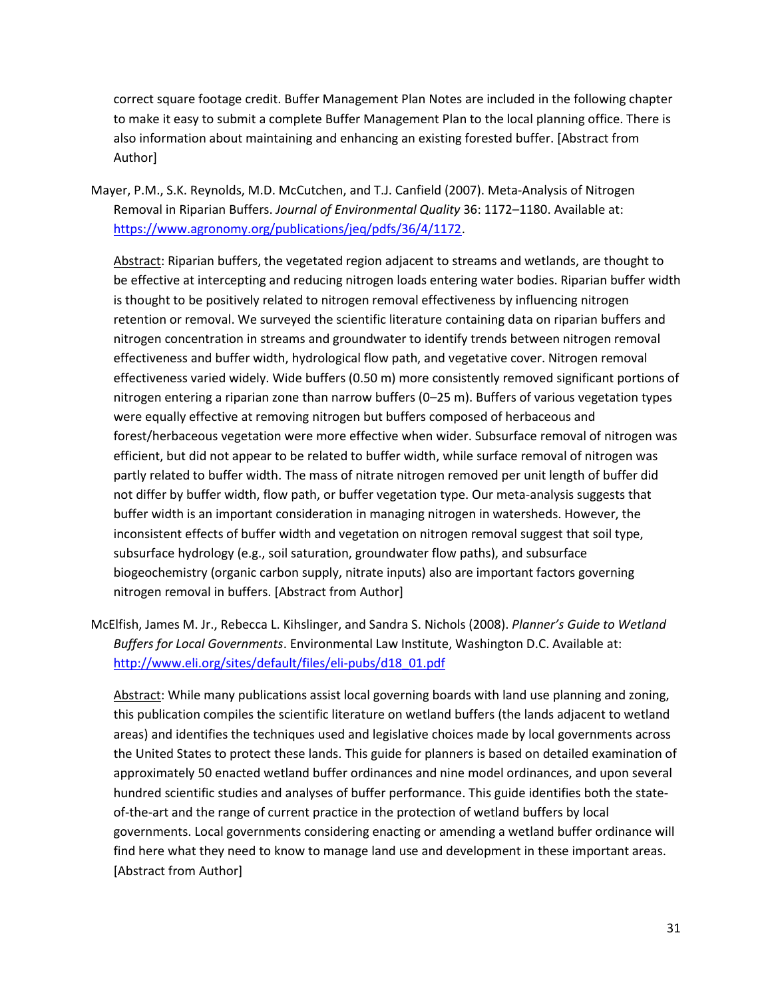correct square footage credit. Buffer Management Plan Notes are included in the following chapter to make it easy to submit a complete Buffer Management Plan to the local planning office. There is also information about maintaining and enhancing an existing forested buffer. [Abstract from Author]

Mayer, P.M., S.K. Reynolds, M.D. McCutchen, and T.J. Canfield (2007). Meta-Analysis of Nitrogen Removal in Riparian Buffers. *Journal of Environmental Quality* 36: 1172–1180. Available at: [https://www.agronomy.org/publications/jeq/pdfs/36/4/1172.](https://www.agronomy.org/publications/jeq/pdfs/36/4/1172)

Abstract: Riparian buffers, the vegetated region adjacent to streams and wetlands, are thought to be effective at intercepting and reducing nitrogen loads entering water bodies. Riparian buffer width is thought to be positively related to nitrogen removal effectiveness by influencing nitrogen retention or removal. We surveyed the scientific literature containing data on riparian buffers and nitrogen concentration in streams and groundwater to identify trends between nitrogen removal effectiveness and buffer width, hydrological flow path, and vegetative cover. Nitrogen removal effectiveness varied widely. Wide buffers (0.50 m) more consistently removed significant portions of nitrogen entering a riparian zone than narrow buffers (0–25 m). Buffers of various vegetation types were equally effective at removing nitrogen but buffers composed of herbaceous and forest/herbaceous vegetation were more effective when wider. Subsurface removal of nitrogen was efficient, but did not appear to be related to buffer width, while surface removal of nitrogen was partly related to buffer width. The mass of nitrate nitrogen removed per unit length of buffer did not differ by buffer width, flow path, or buffer vegetation type. Our meta-analysis suggests that buffer width is an important consideration in managing nitrogen in watersheds. However, the inconsistent effects of buffer width and vegetation on nitrogen removal suggest that soil type, subsurface hydrology (e.g., soil saturation, groundwater flow paths), and subsurface biogeochemistry (organic carbon supply, nitrate inputs) also are important factors governing nitrogen removal in buffers. [Abstract from Author]

McElfish, James M. Jr., Rebecca L. Kihslinger, and Sandra S. Nichols (2008). *Planner's Guide to Wetland Buffers for Local Governments*. Environmental Law Institute, Washington D.C. Available at: [http://www.eli.org/sites/default/files/eli-pubs/d18\\_01.pdf](http://www.eli.org/sites/default/files/eli-pubs/d18_01.pdf)

Abstract: While many publications assist local governing boards with land use planning and zoning, this publication compiles the scientific literature on wetland buffers (the lands adjacent to wetland areas) and identifies the techniques used and legislative choices made by local governments across the United States to protect these lands. This guide for planners is based on detailed examination of approximately 50 enacted wetland buffer ordinances and nine model ordinances, and upon several hundred scientific studies and analyses of buffer performance. This guide identifies both the stateof-the-art and the range of current practice in the protection of wetland buffers by local governments. Local governments considering enacting or amending a wetland buffer ordinance will find here what they need to know to manage land use and development in these important areas. [Abstract from Author]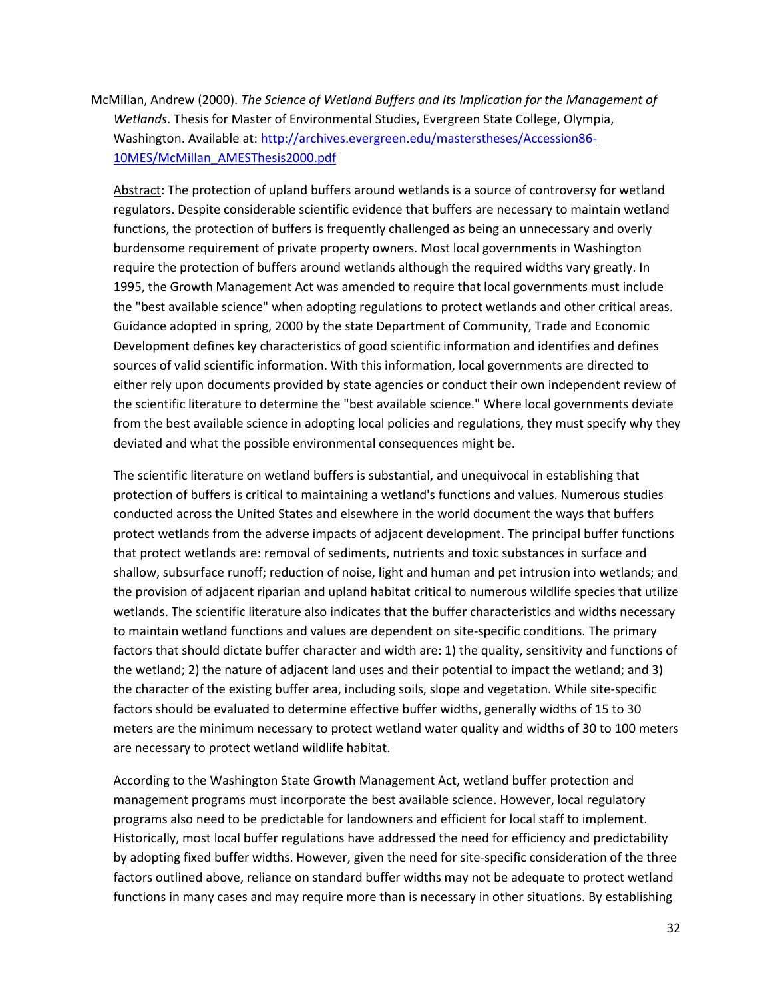McMillan, Andrew (2000). *The Science of Wetland Buffers and Its Implication for the Management of Wetlands*. Thesis for Master of Environmental Studies, Evergreen State College, Olympia, Washington. Available at[: http://archives.evergreen.edu/masterstheses/Accession86-](http://archives.evergreen.edu/masterstheses/Accession86-10MES/McMillan_AMESThesis2000.pdf) [10MES/McMillan\\_AMESThesis2000.pdf](http://archives.evergreen.edu/masterstheses/Accession86-10MES/McMillan_AMESThesis2000.pdf)

Abstract: The protection of upland buffers around wetlands is a source of controversy for wetland regulators. Despite considerable scientific evidence that buffers are necessary to maintain wetland functions, the protection of buffers is frequently challenged as being an unnecessary and overly burdensome requirement of private property owners. Most local governments in Washington require the protection of buffers around wetlands although the required widths vary greatly. In 1995, the Growth Management Act was amended to require that local governments must include the "best available science" when adopting regulations to protect wetlands and other critical areas. Guidance adopted in spring, 2000 by the state Department of Community, Trade and Economic Development defines key characteristics of good scientific information and identifies and defines sources of valid scientific information. With this information, local governments are directed to either rely upon documents provided by state agencies or conduct their own independent review of the scientific literature to determine the "best available science." Where local governments deviate from the best available science in adopting local policies and regulations, they must specify why they deviated and what the possible environmental consequences might be.

The scientific literature on wetland buffers is substantial, and unequivocal in establishing that protection of buffers is critical to maintaining a wetland's functions and values. Numerous studies conducted across the United States and elsewhere in the world document the ways that buffers protect wetlands from the adverse impacts of adjacent development. The principal buffer functions that protect wetlands are: removal of sediments, nutrients and toxic substances in surface and shallow, subsurface runoff; reduction of noise, light and human and pet intrusion into wetlands; and the provision of adjacent riparian and upland habitat critical to numerous wildlife species that utilize wetlands. The scientific literature also indicates that the buffer characteristics and widths necessary to maintain wetland functions and values are dependent on site-specific conditions. The primary factors that should dictate buffer character and width are: 1) the quality, sensitivity and functions of the wetland; 2) the nature of adjacent land uses and their potential to impact the wetland; and 3) the character of the existing buffer area, including soils, slope and vegetation. While site-specific factors should be evaluated to determine effective buffer widths, generally widths of 15 to 30 meters are the minimum necessary to protect wetland water quality and widths of 30 to 100 meters are necessary to protect wetland wildlife habitat.

According to the Washington State Growth Management Act, wetland buffer protection and management programs must incorporate the best available science. However, local regulatory programs also need to be predictable for landowners and efficient for local staff to implement. Historically, most local buffer regulations have addressed the need for efficiency and predictability by adopting fixed buffer widths. However, given the need for site-specific consideration of the three factors outlined above, reliance on standard buffer widths may not be adequate to protect wetland functions in many cases and may require more than is necessary in other situations. By establishing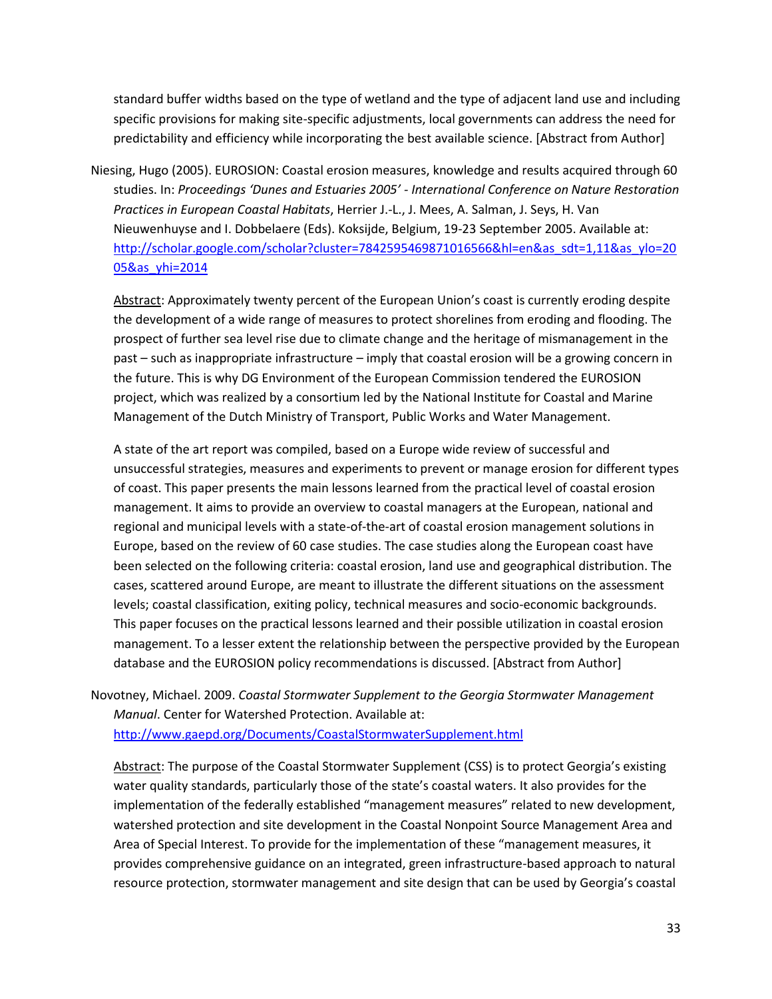standard buffer widths based on the type of wetland and the type of adjacent land use and including specific provisions for making site-specific adjustments, local governments can address the need for predictability and efficiency while incorporating the best available science. [Abstract from Author]

Niesing, Hugo (2005). EUROSION: Coastal erosion measures, knowledge and results acquired through 60 studies. In: *Proceedings 'Dunes and Estuaries 2005' - International Conference on Nature Restoration Practices in European Coastal Habitats*, Herrier J.-L., J. Mees, A. Salman, J. Seys, H. Van Nieuwenhuyse and I. Dobbelaere (Eds). Koksijde, Belgium, 19-23 September 2005. Available at: [http://scholar.google.com/scholar?cluster=7842595469871016566&hl=en&as\\_sdt=1,11&as\\_ylo=20](http://scholar.google.com/scholar?cluster=7842595469871016566&hl=en&as_sdt=1,11&as_ylo=2005&as_yhi=2014) [05&as\\_yhi=2014](http://scholar.google.com/scholar?cluster=7842595469871016566&hl=en&as_sdt=1,11&as_ylo=2005&as_yhi=2014)

Abstract: Approximately twenty percent of the European Union's coast is currently eroding despite the development of a wide range of measures to protect shorelines from eroding and flooding. The prospect of further sea level rise due to climate change and the heritage of mismanagement in the past – such as inappropriate infrastructure – imply that coastal erosion will be a growing concern in the future. This is why DG Environment of the European Commission tendered the EUROSION project, which was realized by a consortium led by the National Institute for Coastal and Marine Management of the Dutch Ministry of Transport, Public Works and Water Management.

A state of the art report was compiled, based on a Europe wide review of successful and unsuccessful strategies, measures and experiments to prevent or manage erosion for different types of coast. This paper presents the main lessons learned from the practical level of coastal erosion management. It aims to provide an overview to coastal managers at the European, national and regional and municipal levels with a state-of-the-art of coastal erosion management solutions in Europe, based on the review of 60 case studies. The case studies along the European coast have been selected on the following criteria: coastal erosion, land use and geographical distribution. The cases, scattered around Europe, are meant to illustrate the different situations on the assessment levels; coastal classification, exiting policy, technical measures and socio-economic backgrounds. This paper focuses on the practical lessons learned and their possible utilization in coastal erosion management. To a lesser extent the relationship between the perspective provided by the European database and the EUROSION policy recommendations is discussed. [Abstract from Author]

Novotney, Michael. 2009. *Coastal Stormwater Supplement to the Georgia Stormwater Management Manual*. Center for Watershed Protection. Available at: <http://www.gaepd.org/Documents/CoastalStormwaterSupplement.html>

Abstract: The purpose of the Coastal Stormwater Supplement (CSS) is to protect Georgia's existing water quality standards, particularly those of the state's coastal waters. It also provides for the implementation of the federally established "management measures" related to new development, watershed protection and site development in the Coastal Nonpoint Source Management Area and Area of Special Interest. To provide for the implementation of these "management measures, it provides comprehensive guidance on an integrated, green infrastructure-based approach to natural resource protection, stormwater management and site design that can be used by Georgia's coastal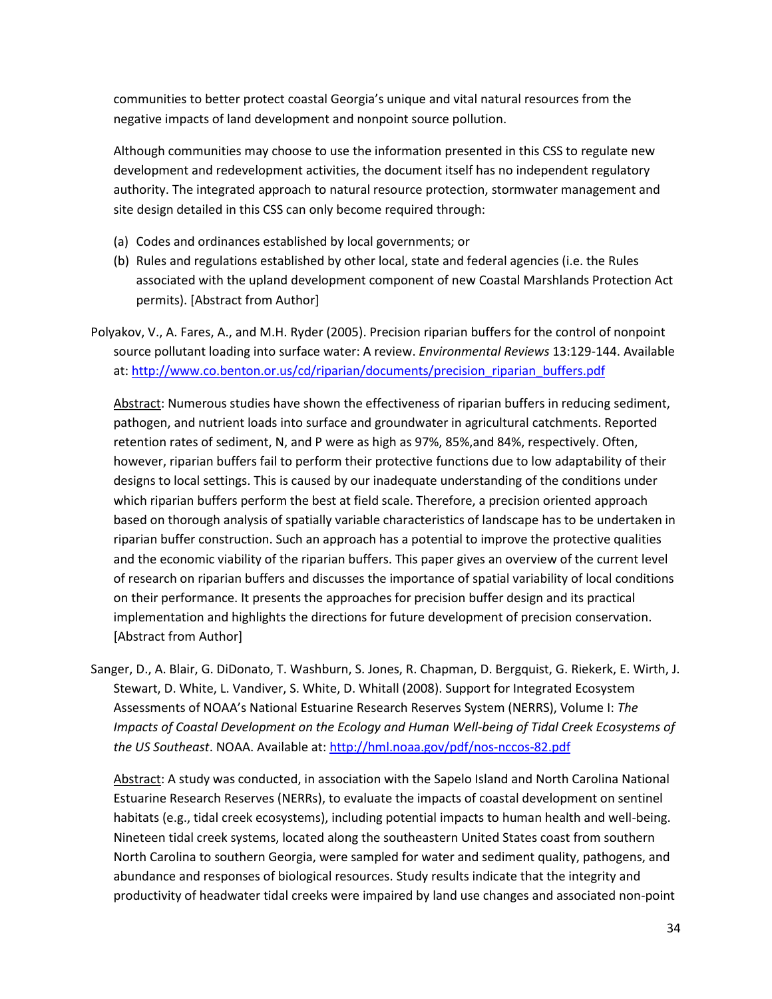communities to better protect coastal Georgia's unique and vital natural resources from the negative impacts of land development and nonpoint source pollution.

Although communities may choose to use the information presented in this CSS to regulate new development and redevelopment activities, the document itself has no independent regulatory authority. The integrated approach to natural resource protection, stormwater management and site design detailed in this CSS can only become required through:

- (a) Codes and ordinances established by local governments; or
- (b) Rules and regulations established by other local, state and federal agencies (i.e. the Rules associated with the upland development component of new Coastal Marshlands Protection Act permits). [Abstract from Author]
- Polyakov, V., A. Fares, A., and M.H. Ryder (2005). Precision riparian buffers for the control of nonpoint source pollutant loading into surface water: A review. *Environmental Reviews* 13:129-144. Available at: [http://www.co.benton.or.us/cd/riparian/documents/precision\\_riparian\\_buffers.pdf](http://www.co.benton.or.us/cd/riparian/documents/precision_riparian_buffers.pdf)

Abstract: Numerous studies have shown the effectiveness of riparian buffers in reducing sediment, pathogen, and nutrient loads into surface and groundwater in agricultural catchments. Reported retention rates of sediment, N, and P were as high as 97%, 85%,and 84%, respectively. Often, however, riparian buffers fail to perform their protective functions due to low adaptability of their designs to local settings. This is caused by our inadequate understanding of the conditions under which riparian buffers perform the best at field scale. Therefore, a precision oriented approach based on thorough analysis of spatially variable characteristics of landscape has to be undertaken in riparian buffer construction. Such an approach has a potential to improve the protective qualities and the economic viability of the riparian buffers. This paper gives an overview of the current level of research on riparian buffers and discusses the importance of spatial variability of local conditions on their performance. It presents the approaches for precision buffer design and its practical implementation and highlights the directions for future development of precision conservation. [Abstract from Author]

Sanger, D., A. Blair, G. DiDonato, T. Washburn, S. Jones, R. Chapman, D. Bergquist, G. Riekerk, E. Wirth, J. Stewart, D. White, L. Vandiver, S. White, D. Whitall (2008). Support for Integrated Ecosystem Assessments of NOAA's National Estuarine Research Reserves System (NERRS), Volume I: *The Impacts of Coastal Development on the Ecology and Human Well-being of Tidal Creek Ecosystems of the US Southeast*. NOAA. Available at:<http://hml.noaa.gov/pdf/nos-nccos-82.pdf>

Abstract: A study was conducted, in association with the Sapelo Island and North Carolina National Estuarine Research Reserves (NERRs), to evaluate the impacts of coastal development on sentinel habitats (e.g., tidal creek ecosystems), including potential impacts to human health and well-being. Nineteen tidal creek systems, located along the southeastern United States coast from southern North Carolina to southern Georgia, were sampled for water and sediment quality, pathogens, and abundance and responses of biological resources. Study results indicate that the integrity and productivity of headwater tidal creeks were impaired by land use changes and associated non-point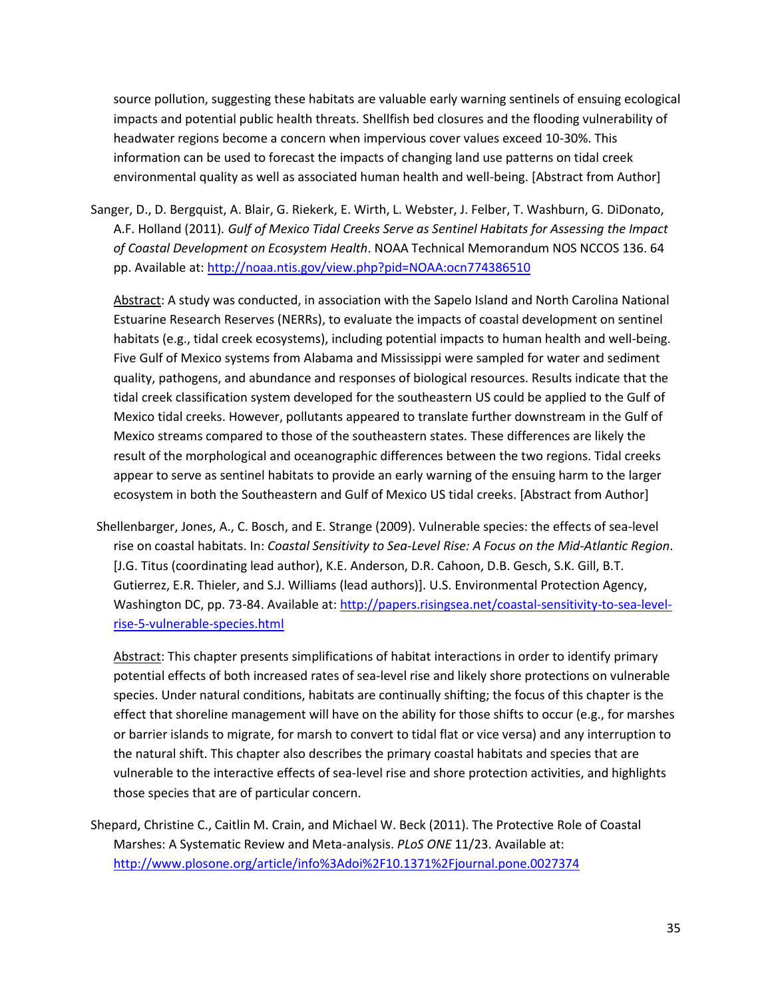source pollution, suggesting these habitats are valuable early warning sentinels of ensuing ecological impacts and potential public health threats. Shellfish bed closures and the flooding vulnerability of headwater regions become a concern when impervious cover values exceed 10-30%. This information can be used to forecast the impacts of changing land use patterns on tidal creek environmental quality as well as associated human health and well-being. [Abstract from Author]

Sanger, D., D. Bergquist, A. Blair, G. Riekerk, E. Wirth, L. Webster, J. Felber, T. Washburn, G. DiDonato, A.F. Holland (2011)*. Gulf of Mexico Tidal Creeks Serve as Sentinel Habitats for Assessing the Impact of Coastal Development on Ecosystem Health*. NOAA Technical Memorandum NOS NCCOS 136. 64 pp. Available at:<http://noaa.ntis.gov/view.php?pid=NOAA:ocn774386510>

Abstract: A study was conducted, in association with the Sapelo Island and North Carolina National Estuarine Research Reserves (NERRs), to evaluate the impacts of coastal development on sentinel habitats (e.g., tidal creek ecosystems), including potential impacts to human health and well-being. Five Gulf of Mexico systems from Alabama and Mississippi were sampled for water and sediment quality, pathogens, and abundance and responses of biological resources. Results indicate that the tidal creek classification system developed for the southeastern US could be applied to the Gulf of Mexico tidal creeks. However, pollutants appeared to translate further downstream in the Gulf of Mexico streams compared to those of the southeastern states. These differences are likely the result of the morphological and oceanographic differences between the two regions. Tidal creeks appear to serve as sentinel habitats to provide an early warning of the ensuing harm to the larger ecosystem in both the Southeastern and Gulf of Mexico US tidal creeks. [Abstract from Author]

Shellenbarger, Jones, A., C. Bosch, and E. Strange (2009). Vulnerable species: the effects of sea-level rise on coastal habitats. In: *Coastal Sensitivity to Sea-Level Rise: A Focus on the Mid-Atlantic Region*. [J.G. Titus (coordinating lead author), K.E. Anderson, D.R. Cahoon, D.B. Gesch, S.K. Gill, B.T. Gutierrez, E.R. Thieler, and S.J. Williams (lead authors)]. U.S. Environmental Protection Agency, Washington DC, pp. 73-84. Available at[: http://papers.risingsea.net/coastal-sensitivity-to-sea-level](http://papers.risingsea.net/coastal-sensitivity-to-sea-level-rise-5-vulnerable-species.html)[rise-5-vulnerable-species.html](http://papers.risingsea.net/coastal-sensitivity-to-sea-level-rise-5-vulnerable-species.html)

Abstract: This chapter presents simplifications of habitat interactions in order to identify primary potential effects of both increased rates of sea-level rise and likely shore protections on vulnerable species. Under natural conditions, habitats are continually shifting; the focus of this chapter is the effect that shoreline management will have on the ability for those shifts to occur (e.g., for marshes or barrier islands to migrate, for marsh to convert to tidal flat or vice versa) and any interruption to the natural shift. This chapter also describes the primary coastal habitats and species that are vulnerable to the interactive effects of sea-level rise and shore protection activities, and highlights those species that are of particular concern.

Shepard, Christine C., Caitlin M. Crain, and Michael W. Beck (2011). The Protective Role of Coastal Marshes: A Systematic Review and Meta-analysis. *PLoS ONE* 11/23. Available at: <http://www.plosone.org/article/info%3Adoi%2F10.1371%2Fjournal.pone.0027374>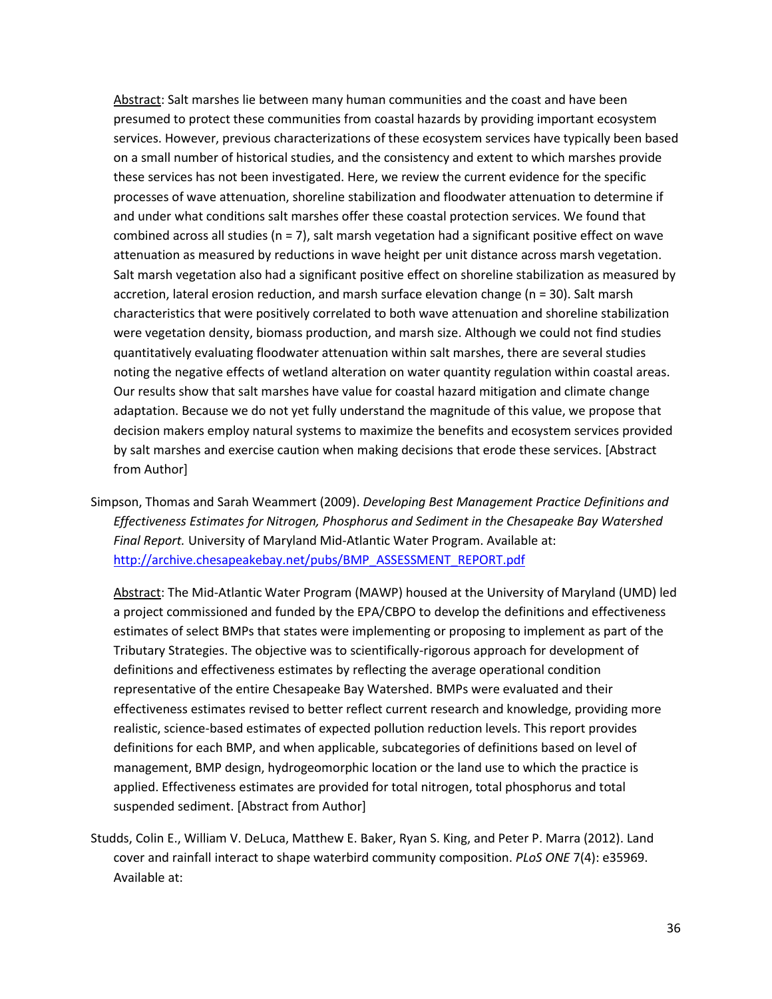Abstract: Salt marshes lie between many human communities and the coast and have been presumed to protect these communities from coastal hazards by providing important ecosystem services. However, previous characterizations of these ecosystem services have typically been based on a small number of historical studies, and the consistency and extent to which marshes provide these services has not been investigated. Here, we review the current evidence for the specific processes of wave attenuation, shoreline stabilization and floodwater attenuation to determine if and under what conditions salt marshes offer these coastal protection services. We found that combined across all studies ( $n = 7$ ), salt marsh vegetation had a significant positive effect on wave attenuation as measured by reductions in wave height per unit distance across marsh vegetation. Salt marsh vegetation also had a significant positive effect on shoreline stabilization as measured by accretion, lateral erosion reduction, and marsh surface elevation change (n = 30). Salt marsh characteristics that were positively correlated to both wave attenuation and shoreline stabilization were vegetation density, biomass production, and marsh size. Although we could not find studies quantitatively evaluating floodwater attenuation within salt marshes, there are several studies noting the negative effects of wetland alteration on water quantity regulation within coastal areas. Our results show that salt marshes have value for coastal hazard mitigation and climate change adaptation. Because we do not yet fully understand the magnitude of this value, we propose that decision makers employ natural systems to maximize the benefits and ecosystem services provided by salt marshes and exercise caution when making decisions that erode these services. [Abstract from Author]

Simpson, Thomas and Sarah Weammert (2009). *Developing Best Management Practice Definitions and Effectiveness Estimates for Nitrogen, Phosphorus and Sediment in the Chesapeake Bay Watershed Final Report.* University of Maryland Mid-Atlantic Water Program. Available at: [http://archive.chesapeakebay.net/pubs/BMP\\_ASSESSMENT\\_REPORT.pdf](http://archive.chesapeakebay.net/pubs/BMP_ASSESSMENT_REPORT.pdf)

Abstract: The Mid-Atlantic Water Program (MAWP) housed at the University of Maryland (UMD) led a project commissioned and funded by the EPA/CBPO to develop the definitions and effectiveness estimates of select BMPs that states were implementing or proposing to implement as part of the Tributary Strategies. The objective was to scientifically-rigorous approach for development of definitions and effectiveness estimates by reflecting the average operational condition representative of the entire Chesapeake Bay Watershed. BMPs were evaluated and their effectiveness estimates revised to better reflect current research and knowledge, providing more realistic, science-based estimates of expected pollution reduction levels. This report provides definitions for each BMP, and when applicable, subcategories of definitions based on level of management, BMP design, hydrogeomorphic location or the land use to which the practice is applied. Effectiveness estimates are provided for total nitrogen, total phosphorus and total suspended sediment. [Abstract from Author]

Studds, Colin E., William V. DeLuca, Matthew E. Baker, Ryan S. King, and Peter P. Marra (2012). Land cover and rainfall interact to shape waterbird community composition. *PLoS ONE* 7(4): e35969. Available at: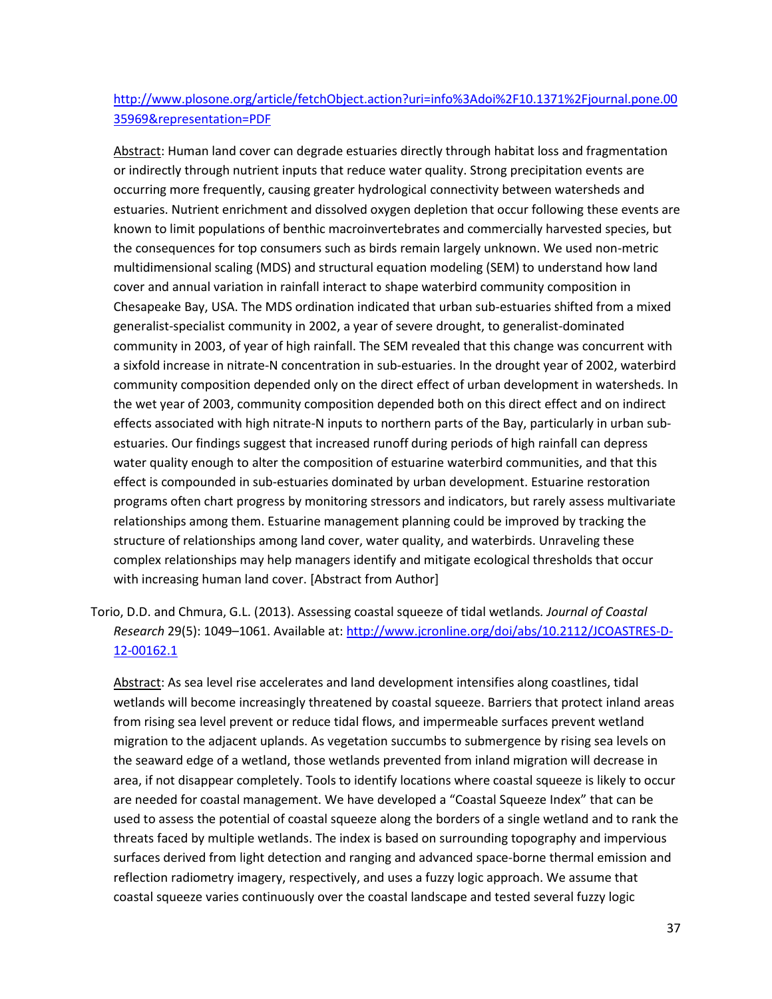## [http://www.plosone.org/article/fetchObject.action?uri=info%3Adoi%2F10.1371%2Fjournal.pone.00](http://www.plosone.org/article/fetchObject.action?uri=info%3Adoi%2F10.1371%2Fjournal.pone.0035969&representation=PDF) [35969&representation=PDF](http://www.plosone.org/article/fetchObject.action?uri=info%3Adoi%2F10.1371%2Fjournal.pone.0035969&representation=PDF)

Abstract: Human land cover can degrade estuaries directly through habitat loss and fragmentation or indirectly through nutrient inputs that reduce water quality. Strong precipitation events are occurring more frequently, causing greater hydrological connectivity between watersheds and estuaries. Nutrient enrichment and dissolved oxygen depletion that occur following these events are known to limit populations of benthic macroinvertebrates and commercially harvested species, but the consequences for top consumers such as birds remain largely unknown. We used non-metric multidimensional scaling (MDS) and structural equation modeling (SEM) to understand how land cover and annual variation in rainfall interact to shape waterbird community composition in Chesapeake Bay, USA. The MDS ordination indicated that urban sub-estuaries shifted from a mixed generalist-specialist community in 2002, a year of severe drought, to generalist-dominated community in 2003, of year of high rainfall. The SEM revealed that this change was concurrent with a sixfold increase in nitrate-N concentration in sub-estuaries. In the drought year of 2002, waterbird community composition depended only on the direct effect of urban development in watersheds. In the wet year of 2003, community composition depended both on this direct effect and on indirect effects associated with high nitrate-N inputs to northern parts of the Bay, particularly in urban subestuaries. Our findings suggest that increased runoff during periods of high rainfall can depress water quality enough to alter the composition of estuarine waterbird communities, and that this effect is compounded in sub-estuaries dominated by urban development. Estuarine restoration programs often chart progress by monitoring stressors and indicators, but rarely assess multivariate relationships among them. Estuarine management planning could be improved by tracking the structure of relationships among land cover, water quality, and waterbirds. Unraveling these complex relationships may help managers identify and mitigate ecological thresholds that occur with increasing human land cover. [Abstract from Author]

Torio, D.D. and Chmura, G.L. (2013). Assessing coastal squeeze of tidal wetlands*. Journal of Coastal Research* 29(5): 1049–1061. Available at[: http://www.jcronline.org/doi/abs/10.2112/JCOASTRES-D-](http://www.jcronline.org/doi/abs/10.2112/JCOASTRES-D-12-00162.1)[12-00162.1](http://www.jcronline.org/doi/abs/10.2112/JCOASTRES-D-12-00162.1)

Abstract: As sea level rise accelerates and land development intensifies along coastlines, tidal wetlands will become increasingly threatened by coastal squeeze. Barriers that protect inland areas from rising sea level prevent or reduce tidal flows, and impermeable surfaces prevent wetland migration to the adjacent uplands. As vegetation succumbs to submergence by rising sea levels on the seaward edge of a wetland, those wetlands prevented from inland migration will decrease in area, if not disappear completely. Tools to identify locations where coastal squeeze is likely to occur are needed for coastal management. We have developed a "Coastal Squeeze Index" that can be used to assess the potential of coastal squeeze along the borders of a single wetland and to rank the threats faced by multiple wetlands. The index is based on surrounding topography and impervious surfaces derived from light detection and ranging and advanced space-borne thermal emission and reflection radiometry imagery, respectively, and uses a fuzzy logic approach. We assume that coastal squeeze varies continuously over the coastal landscape and tested several fuzzy logic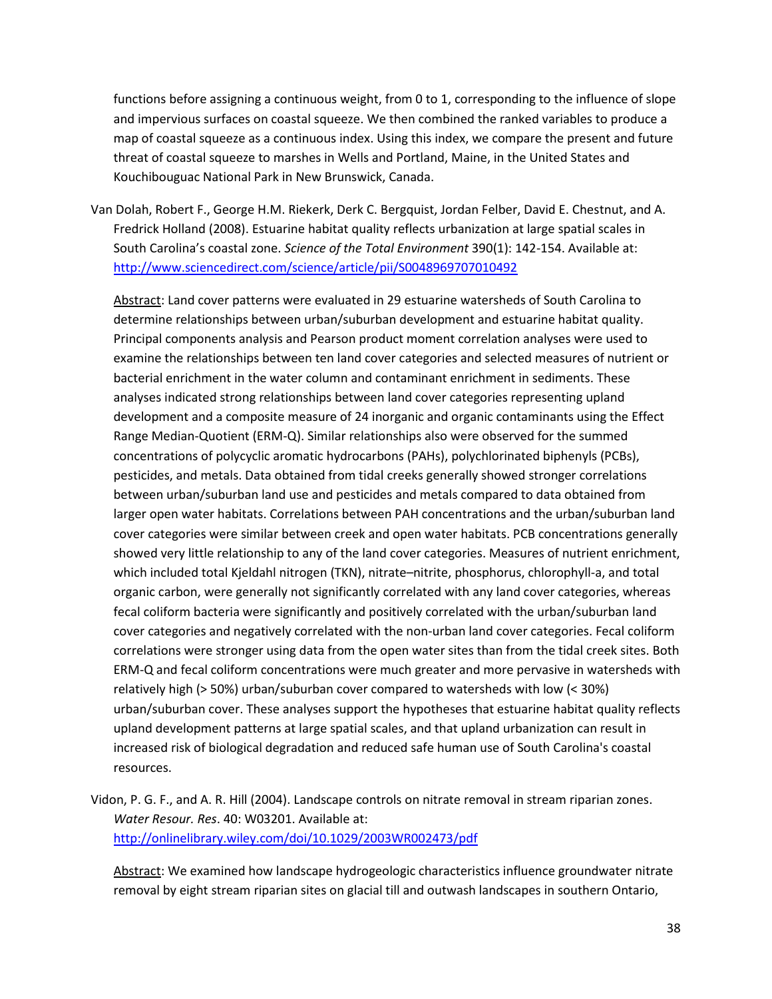functions before assigning a continuous weight, from 0 to 1, corresponding to the influence of slope and impervious surfaces on coastal squeeze. We then combined the ranked variables to produce a map of coastal squeeze as a continuous index. Using this index, we compare the present and future threat of coastal squeeze to marshes in Wells and Portland, Maine, in the United States and Kouchibouguac National Park in New Brunswick, Canada.

Van Dolah, Robert F., George H.M. Riekerk, Derk C. Bergquist, Jordan Felber, David E. Chestnut, and A. Fredrick Holland (2008). Estuarine habitat quality reflects urbanization at large spatial scales in South Carolina's coastal zone. *Science of the Total Environment* 390(1): 142-154. Available at: <http://www.sciencedirect.com/science/article/pii/S0048969707010492>

Abstract: Land cover patterns were evaluated in 29 estuarine watersheds of South Carolina to determine relationships between urban/suburban development and estuarine habitat quality. Principal components analysis and Pearson product moment correlation analyses were used to examine the relationships between ten land cover categories and selected measures of nutrient or bacterial enrichment in the water column and contaminant enrichment in sediments. These analyses indicated strong relationships between land cover categories representing upland development and a composite measure of 24 inorganic and organic contaminants using the Effect Range Median-Quotient (ERM-Q). Similar relationships also were observed for the summed concentrations of polycyclic aromatic hydrocarbons (PAHs), polychlorinated biphenyls (PCBs), pesticides, and metals. Data obtained from tidal creeks generally showed stronger correlations between urban/suburban land use and pesticides and metals compared to data obtained from larger open water habitats. Correlations between PAH concentrations and the urban/suburban land cover categories were similar between creek and open water habitats. PCB concentrations generally showed very little relationship to any of the land cover categories. Measures of nutrient enrichment, which included total Kjeldahl nitrogen (TKN), nitrate–nitrite, phosphorus, chlorophyll-a, and total organic carbon, were generally not significantly correlated with any land cover categories, whereas fecal coliform bacteria were significantly and positively correlated with the urban/suburban land cover categories and negatively correlated with the non-urban land cover categories. Fecal coliform correlations were stronger using data from the open water sites than from the tidal creek sites. Both ERM-Q and fecal coliform concentrations were much greater and more pervasive in watersheds with relatively high (> 50%) urban/suburban cover compared to watersheds with low (< 30%) urban/suburban cover. These analyses support the hypotheses that estuarine habitat quality reflects upland development patterns at large spatial scales, and that upland urbanization can result in increased risk of biological degradation and reduced safe human use of South Carolina's coastal resources.

Vidon, P. G. F., and A. R. Hill (2004). Landscape controls on nitrate removal in stream riparian zones. *Water Resour. Res*. 40: W03201. Available at: <http://onlinelibrary.wiley.com/doi/10.1029/2003WR002473/pdf>

Abstract: We examined how landscape hydrogeologic characteristics influence groundwater nitrate removal by eight stream riparian sites on glacial till and outwash landscapes in southern Ontario,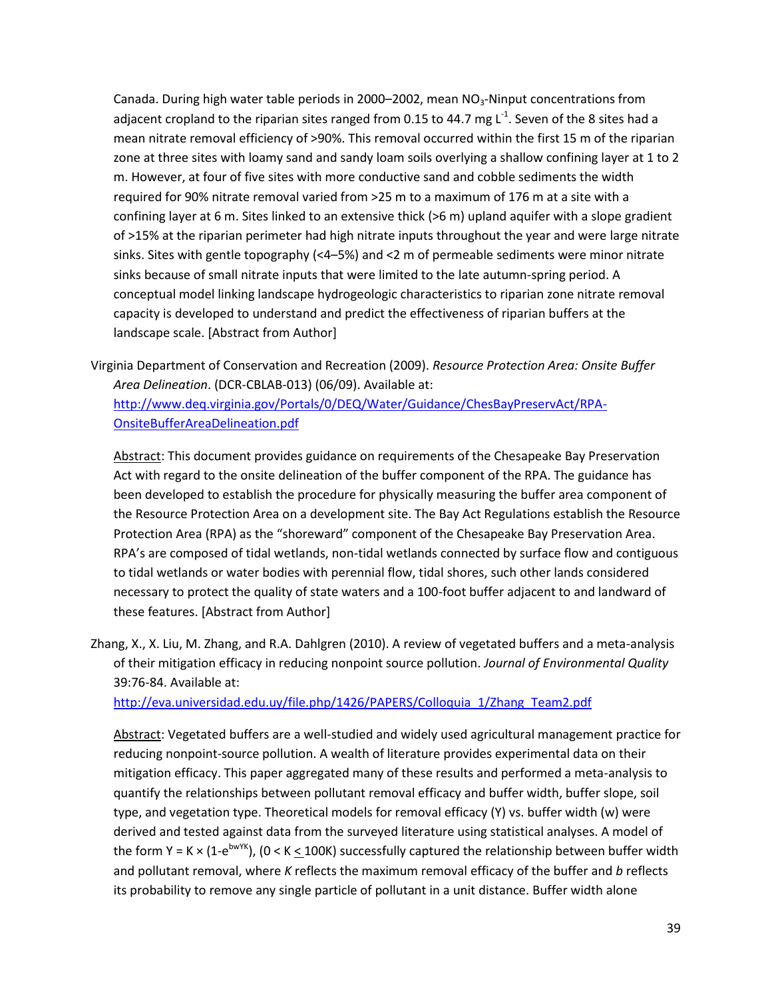Canada. During high water table periods in 2000–2002, mean  $NO<sub>3</sub>$ -Ninput concentrations from adjacent cropland to the riparian sites ranged from 0.15 to 44.7 mg L<sup>-1</sup>. Seven of the 8 sites had a mean nitrate removal efficiency of >90%. This removal occurred within the first 15 m of the riparian zone at three sites with loamy sand and sandy loam soils overlying a shallow confining layer at 1 to 2 m. However, at four of five sites with more conductive sand and cobble sediments the width required for 90% nitrate removal varied from >25 m to a maximum of 176 m at a site with a confining layer at 6 m. Sites linked to an extensive thick (>6 m) upland aquifer with a slope gradient of >15% at the riparian perimeter had high nitrate inputs throughout the year and were large nitrate sinks. Sites with gentle topography (<4–5%) and <2 m of permeable sediments were minor nitrate sinks because of small nitrate inputs that were limited to the late autumn-spring period. A conceptual model linking landscape hydrogeologic characteristics to riparian zone nitrate removal capacity is developed to understand and predict the effectiveness of riparian buffers at the landscape scale. [Abstract from Author]

Virginia Department of Conservation and Recreation (2009). *Resource Protection Area: Onsite Buffer Area Delineation*. (DCR-CBLAB-013) (06/09). Available at: [http://www.deq.virginia.gov/Portals/0/DEQ/Water/Guidance/ChesBayPreservAct/RPA-](http://www.deq.virginia.gov/Portals/0/DEQ/Water/Guidance/ChesBayPreservAct/RPA-OnsiteBufferAreaDelineation.pdf)[OnsiteBufferAreaDelineation.pdf](http://www.deq.virginia.gov/Portals/0/DEQ/Water/Guidance/ChesBayPreservAct/RPA-OnsiteBufferAreaDelineation.pdf)

Abstract: This document provides guidance on requirements of the Chesapeake Bay Preservation Act with regard to the onsite delineation of the buffer component of the RPA. The guidance has been developed to establish the procedure for physically measuring the buffer area component of the Resource Protection Area on a development site. The Bay Act Regulations establish the Resource Protection Area (RPA) as the "shoreward" component of the Chesapeake Bay Preservation Area. RPA's are composed of tidal wetlands, non-tidal wetlands connected by surface flow and contiguous to tidal wetlands or water bodies with perennial flow, tidal shores, such other lands considered necessary to protect the quality of state waters and a 100-foot buffer adjacent to and landward of these features. [Abstract from Author]

Zhang, X., X. Liu, M. Zhang, and R.A. Dahlgren (2010). A review of vegetated buffers and a meta-analysis of their mitigation efficacy in reducing nonpoint source pollution. *Journal of Environmental Quality* 39:76-84. Available at:

[http://eva.universidad.edu.uy/file.php/1426/PAPERS/Colloquia\\_1/Zhang\\_Team2.pdf](http://eva.universidad.edu.uy/file.php/1426/PAPERS/Colloquia_1/Zhang_Team2.pdf)

Abstract: Vegetated buffers are a well-studied and widely used agricultural management practice for reducing nonpoint-source pollution. A wealth of literature provides experimental data on their mitigation efficacy. This paper aggregated many of these results and performed a meta-analysis to quantify the relationships between pollutant removal efficacy and buffer width, buffer slope, soil type, and vegetation type. Theoretical models for removal efficacy (Y) vs. buffer width (w) were derived and tested against data from the surveyed literature using statistical analyses. A model of the form Y = K × (1-e<sup>bwYK</sup>), (0 < K  $\leq$ 100K) successfully captured the relationship between buffer width and pollutant removal, where *K* reflects the maximum removal efficacy of the buffer and *b* reflects its probability to remove any single particle of pollutant in a unit distance. Buffer width alone